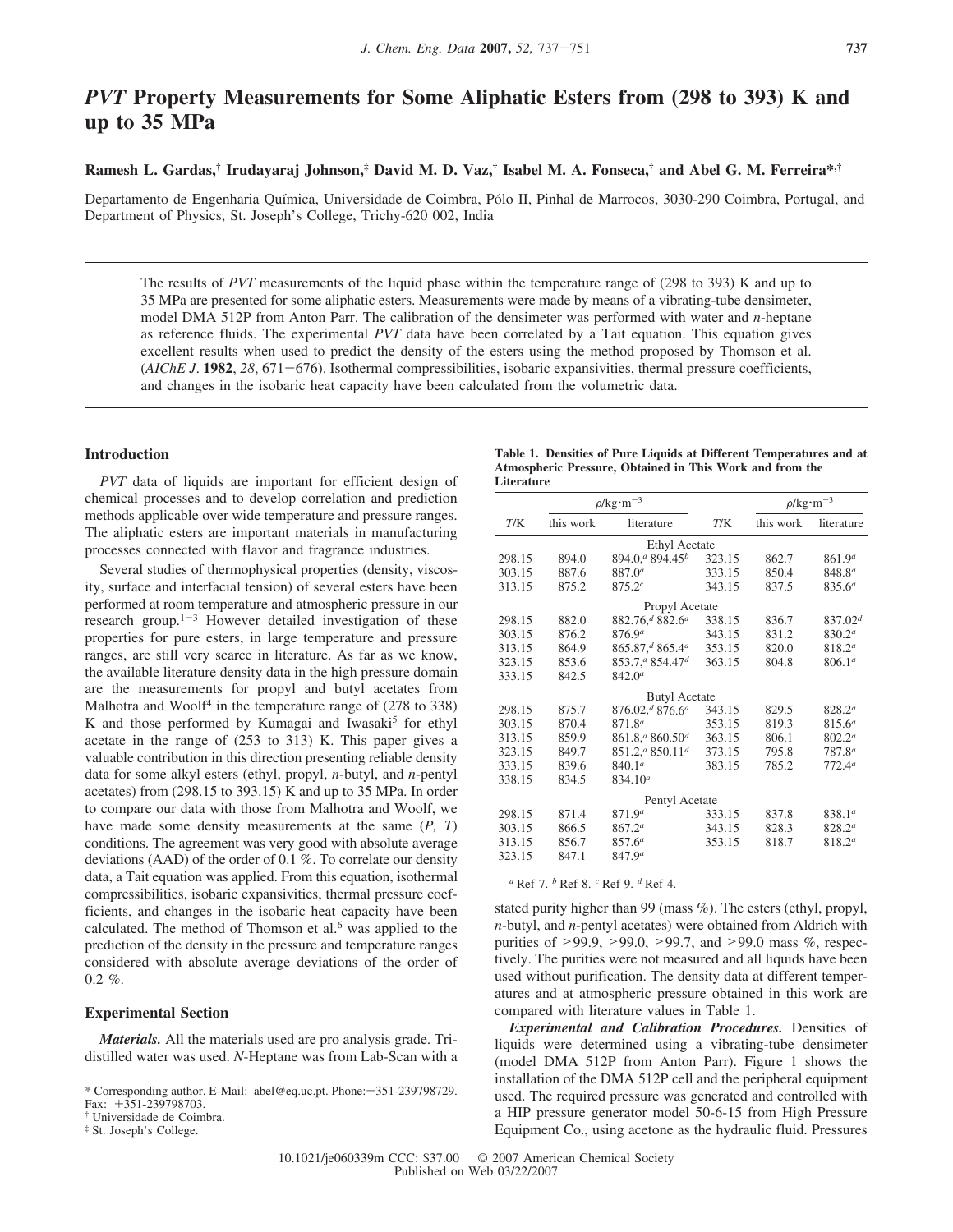# *PVT* **Property Measurements for Some Aliphatic Esters from (298 to 393) K and up to 35 MPa**

## **Ramesh L. Gardas,† Irudayaraj Johnson,‡ David M. D. Vaz,† Isabel M. A. Fonseca,† and Abel G. M. Ferreira\*,†**

Departamento de Engenharia Química, Universidade de Coimbra, Pólo II, Pinhal de Marrocos, 3030-290 Coimbra, Portugal, and Department of Physics, St. Joseph's College, Trichy-620 002, India

The results of *PVT* measurements of the liquid phase within the temperature range of (298 to 393) K and up to 35 MPa are presented for some aliphatic esters. Measurements were made by means of a vibrating-tube densimeter, model DMA 512P from Anton Parr. The calibration of the densimeter was performed with water and *n*-heptane as reference fluids. The experimental *PVT* data have been correlated by a Tait equation. This equation gives excellent results when used to predict the density of the esters using the method proposed by Thomson et al. (*AIChE J*. **1982**, *28*, 671-676). Isothermal compressibilities, isobaric expansivities, thermal pressure coefficients, and changes in the isobaric heat capacity have been calculated from the volumetric data.

## **Introduction**

*PVT* data of liquids are important for efficient design of chemical processes and to develop correlation and prediction methods applicable over wide temperature and pressure ranges. The aliphatic esters are important materials in manufacturing processes connected with flavor and fragrance industries.

Several studies of thermophysical properties (density, viscosity, surface and interfacial tension) of several esters have been performed at room temperature and atmospheric pressure in our research group.<sup>1-3</sup> However detailed investigation of these properties for pure esters, in large temperature and pressure ranges, are still very scarce in literature. As far as we know, the available literature density data in the high pressure domain are the measurements for propyl and butyl acetates from Malhotra and Woolf<sup>4</sup> in the temperature range of (278 to 338) K and those performed by Kumagai and Iwasaki<sup>5</sup> for ethyl acetate in the range of (253 to 313) K. This paper gives a valuable contribution in this direction presenting reliable density data for some alkyl esters (ethyl, propyl, *n*-butyl, and *n*-pentyl acetates) from (298.15 to 393.15) K and up to 35 MPa. In order to compare our data with those from Malhotra and Woolf, we have made some density measurements at the same (*P, T*) conditions. The agreement was very good with absolute average deviations (AAD) of the order of 0.1 %. To correlate our density data, a Tait equation was applied. From this equation, isothermal compressibilities, isobaric expansivities, thermal pressure coefficients, and changes in the isobaric heat capacity have been calculated. The method of Thomson et al.<sup>6</sup> was applied to the prediction of the density in the pressure and temperature ranges considered with absolute average deviations of the order of  $0.2 \%$ .

### **Experimental Section**

*Materials.* All the materials used are pro analysis grade. Tridistilled water was used. *N*-Heptane was from Lab-Scan with a

| Table 1. Densities of Pure Liquids at Different Temperatures and at |  |  |
|---------------------------------------------------------------------|--|--|
| Atmospheric Pressure, Obtained in This Work and from the            |  |  |
| Literature                                                          |  |  |

|        |           | $\rho$ /kg·m <sup>-3</sup>              |        | $\rho$ /kg·m <sup>-3</sup> |                    |
|--------|-----------|-----------------------------------------|--------|----------------------------|--------------------|
| T/K    | this work | literature                              | T/K    | this work                  | literature         |
|        |           | <b>Ethyl Acetate</b>                    |        |                            |                    |
| 298.15 | 894.0     | $894.0$ <sup>a</sup> $894.45b$          | 323.15 | 862.7                      | 861.9 <sup>a</sup> |
| 303.15 | 887.6     | $887.0^{a}$                             | 333.15 | 850.4                      | $848.8^{a}$        |
| 313.15 | 875.2     | $875.2^{c}$                             | 343.15 | 837.5                      | $835.6^a$          |
|        |           | Propyl Acetate                          |        |                            |                    |
| 298.15 | 882.0     | 882.76, <sup>d</sup> 882.6 <sup>a</sup> | 338.15 | 836.7                      | $837.02^{d}$       |
| 303.15 | 876.2     | 876.9 <sup>a</sup>                      | 343.15 | 831.2                      | 830.2 <sup>a</sup> |
| 313.15 | 864.9     | 865.87 <sup>d</sup> 865.4 <sup>a</sup>  | 353.15 | 820.0                      | $818.2^a$          |
| 323.15 | 853.6     | $853.7$ , $4854.47$                     | 363.15 | 804.8                      | 806.1 <sup>a</sup> |
| 333.15 | 842.5     | 842.0 <sup>a</sup>                      |        |                            |                    |
|        |           | <b>Butyl Acetate</b>                    |        |                            |                    |
| 298.15 | 875.7     | $876.02^{d} 876.6^{d}$                  | 343.15 | 829.5                      | $828.2^a$          |
| 303.15 | 870.4     | 871.8 <sup>a</sup>                      | 353.15 | 819.3                      | $815.6^a$          |
| 313.15 | 859.9     | $861.8$ , $4860.50$ <sup>d</sup>        | 363.15 | 806.1                      | $802.2^a$          |
| 323.15 | 849.7     | $851.2$ , $4850.11$ <sup>d</sup>        | 373.15 | 795.8                      | $787.8^{a}$        |
| 333.15 | 839.6     | 840.1 <sup>a</sup>                      | 383.15 | 785.2                      | 772.4 <sup>a</sup> |
| 338.15 | 834.5     | 834.10 <sup>a</sup>                     |        |                            |                    |
|        |           | Pentyl Acetate                          |        |                            |                    |
| 298.15 | 871.4     | 871.9 <sup>a</sup>                      | 333.15 | 837.8                      | 838.1 <sup>a</sup> |
| 303.15 | 866.5     | 867.2 <sup>a</sup>                      | 343.15 | 828.3                      | $828.2^a$          |
| 313.15 | 856.7     | 857.6 <sup>a</sup>                      | 353.15 | 818.7                      | 818.2 <sup>a</sup> |
| 323.15 | 847.1     | 847.9 <sup>a</sup>                      |        |                            |                    |

*<sup>a</sup>* Ref 7. *<sup>b</sup>* Ref 8. *<sup>c</sup>* Ref 9. *<sup>d</sup>* Ref 4.

stated purity higher than 99 (mass %). The esters (ethyl, propyl, *n*-butyl, and *n*-pentyl acetates) were obtained from Aldrich with purities of >99.9, >99.0, >99.7, and >99.0 mass %, respectively. The purities were not measured and all liquids have been used without purification. The density data at different temperatures and at atmospheric pressure obtained in this work are compared with literature values in Table 1.

*Experimental and Calibration Procedures.* Densities of liquids were determined using a vibrating-tube densimeter (model DMA 512P from Anton Parr). Figure 1 shows the installation of the DMA 512P cell and the peripheral equipment used. The required pressure was generated and controlled with a HIP pressure generator model 50-6-15 from High Pressure Equipment Co., using acetone as the hydraulic fluid. Pressures

10.1021/je060339m CCC: \$37.00 © 2007 American Chemical Society Published on Web 03/22/2007

<sup>\*</sup> Corresponding author. E-Mail: abel@eq.uc.pt. Phone:+351-239798729. Fax: +351-239798703.

<sup>†</sup> Universidade de Coimbra.

<sup>‡</sup> St. Joseph's College.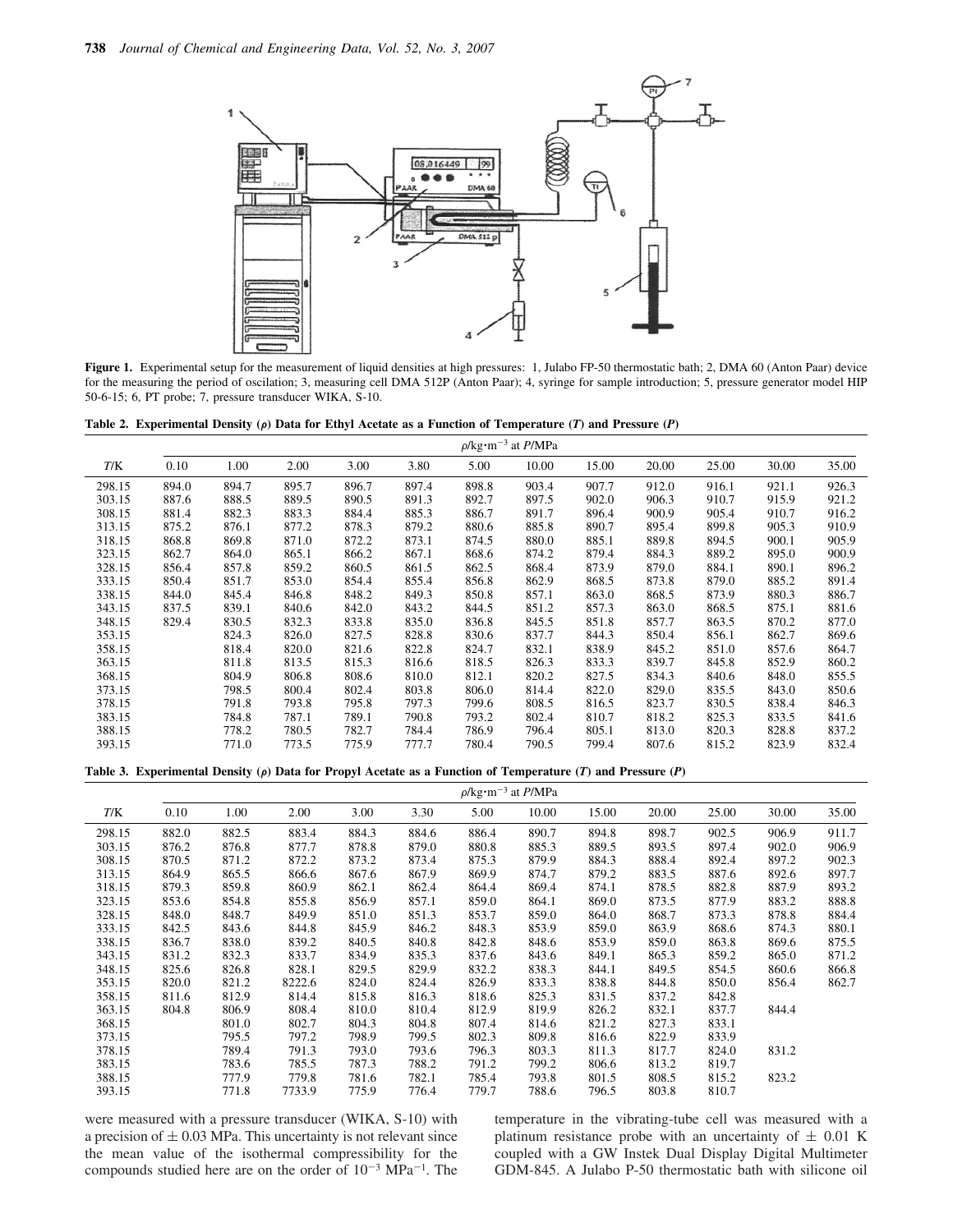

**Figure 1.** Experimental setup for the measurement of liquid densities at high pressures: 1, Julabo FP-50 thermostatic bath; 2, DMA 60 (Anton Paar) device for the measuring the period of oscilation; 3, measuring cell DMA 512P (Anton Paar); 4, syringe for sample introduction; 5, pressure generator model HIP 50-6-15; 6, PT probe; 7, pressure transducer WIKA, S-10.

**Table 2. Experimental Density (** $\rho$ **) Data for Ethyl Acetate as a Function of Temperature (***T***) and Pressure (***P***)** 

|        | $\rho$ /kg·m <sup>-3</sup> at <i>P</i> /MPa |       |       |       |       |       |       |       |       |       |       |       |
|--------|---------------------------------------------|-------|-------|-------|-------|-------|-------|-------|-------|-------|-------|-------|
| T/K    | 0.10                                        | 1.00  | 2.00  | 3.00  | 3.80  | 5.00  | 10.00 | 15.00 | 20.00 | 25.00 | 30.00 | 35.00 |
| 298.15 | 894.0                                       | 894.7 | 895.7 | 896.7 | 897.4 | 898.8 | 903.4 | 907.7 | 912.0 | 916.1 | 921.1 | 926.3 |
| 303.15 | 887.6                                       | 888.5 | 889.5 | 890.5 | 891.3 | 892.7 | 897.5 | 902.0 | 906.3 | 910.7 | 915.9 | 921.2 |
| 308.15 | 881.4                                       | 882.3 | 883.3 | 884.4 | 885.3 | 886.7 | 891.7 | 896.4 | 900.9 | 905.4 | 910.7 | 916.2 |
| 313.15 | 875.2                                       | 876.1 | 877.2 | 878.3 | 879.2 | 880.6 | 885.8 | 890.7 | 895.4 | 899.8 | 905.3 | 910.9 |
| 318.15 | 868.8                                       | 869.8 | 871.0 | 872.2 | 873.1 | 874.5 | 880.0 | 885.1 | 889.8 | 894.5 | 900.1 | 905.9 |
| 323.15 | 862.7                                       | 864.0 | 865.1 | 866.2 | 867.1 | 868.6 | 874.2 | 879.4 | 884.3 | 889.2 | 895.0 | 900.9 |
| 328.15 | 856.4                                       | 857.8 | 859.2 | 860.5 | 861.5 | 862.5 | 868.4 | 873.9 | 879.0 | 884.1 | 890.1 | 896.2 |
| 333.15 | 850.4                                       | 851.7 | 853.0 | 854.4 | 855.4 | 856.8 | 862.9 | 868.5 | 873.8 | 879.0 | 885.2 | 891.4 |
| 338.15 | 844.0                                       | 845.4 | 846.8 | 848.2 | 849.3 | 850.8 | 857.1 | 863.0 | 868.5 | 873.9 | 880.3 | 886.7 |
| 343.15 | 837.5                                       | 839.1 | 840.6 | 842.0 | 843.2 | 844.5 | 851.2 | 857.3 | 863.0 | 868.5 | 875.1 | 881.6 |
| 348.15 | 829.4                                       | 830.5 | 832.3 | 833.8 | 835.0 | 836.8 | 845.5 | 851.8 | 857.7 | 863.5 | 870.2 | 877.0 |
| 353.15 |                                             | 824.3 | 826.0 | 827.5 | 828.8 | 830.6 | 837.7 | 844.3 | 850.4 | 856.1 | 862.7 | 869.6 |
| 358.15 |                                             | 818.4 | 820.0 | 821.6 | 822.8 | 824.7 | 832.1 | 838.9 | 845.2 | 851.0 | 857.6 | 864.7 |
| 363.15 |                                             | 811.8 | 813.5 | 815.3 | 816.6 | 818.5 | 826.3 | 833.3 | 839.7 | 845.8 | 852.9 | 860.2 |
| 368.15 |                                             | 804.9 | 806.8 | 808.6 | 810.0 | 812.1 | 820.2 | 827.5 | 834.3 | 840.6 | 848.0 | 855.5 |
| 373.15 |                                             | 798.5 | 800.4 | 802.4 | 803.8 | 806.0 | 814.4 | 822.0 | 829.0 | 835.5 | 843.0 | 850.6 |
| 378.15 |                                             | 791.8 | 793.8 | 795.8 | 797.3 | 799.6 | 808.5 | 816.5 | 823.7 | 830.5 | 838.4 | 846.3 |
| 383.15 |                                             | 784.8 | 787.1 | 789.1 | 790.8 | 793.2 | 802.4 | 810.7 | 818.2 | 825.3 | 833.5 | 841.6 |
| 388.15 |                                             | 778.2 | 780.5 | 782.7 | 784.4 | 786.9 | 796.4 | 805.1 | 813.0 | 820.3 | 828.8 | 837.2 |
| 393.15 |                                             | 771.0 | 773.5 | 775.9 | 777.7 | 780.4 | 790.5 | 799.4 | 807.6 | 815.2 | 823.9 | 832.4 |

**Table 3. Experimental Density (** $\rho$ **) Data for Propyl Acetate as a Function of Temperature (***T***) and Pressure (***P***)** 

|        |       |       |        |       |       | $\rho$ /kg·m <sup>-3</sup> at <i>P</i> /MPa |       |       |       |       |       |       |
|--------|-------|-------|--------|-------|-------|---------------------------------------------|-------|-------|-------|-------|-------|-------|
| T/K    | 0.10  | 1.00  | 2.00   | 3.00  | 3.30  | 5.00                                        | 10.00 | 15.00 | 20.00 | 25.00 | 30.00 | 35.00 |
| 298.15 | 882.0 | 882.5 | 883.4  | 884.3 | 884.6 | 886.4                                       | 890.7 | 894.8 | 898.7 | 902.5 | 906.9 | 911.7 |
| 303.15 | 876.2 | 876.8 | 877.7  | 878.8 | 879.0 | 880.8                                       | 885.3 | 889.5 | 893.5 | 897.4 | 902.0 | 906.9 |
| 308.15 | 870.5 | 871.2 | 872.2  | 873.2 | 873.4 | 875.3                                       | 879.9 | 884.3 | 888.4 | 892.4 | 897.2 | 902.3 |
| 313.15 | 864.9 | 865.5 | 866.6  | 867.6 | 867.9 | 869.9                                       | 874.7 | 879.2 | 883.5 | 887.6 | 892.6 | 897.7 |
| 318.15 | 879.3 | 859.8 | 860.9  | 862.1 | 862.4 | 864.4                                       | 869.4 | 874.1 | 878.5 | 882.8 | 887.9 | 893.2 |
| 323.15 | 853.6 | 854.8 | 855.8  | 856.9 | 857.1 | 859.0                                       | 864.1 | 869.0 | 873.5 | 877.9 | 883.2 | 888.8 |
| 328.15 | 848.0 | 848.7 | 849.9  | 851.0 | 851.3 | 853.7                                       | 859.0 | 864.0 | 868.7 | 873.3 | 878.8 | 884.4 |
| 333.15 | 842.5 | 843.6 | 844.8  | 845.9 | 846.2 | 848.3                                       | 853.9 | 859.0 | 863.9 | 868.6 | 874.3 | 880.1 |
| 338.15 | 836.7 | 838.0 | 839.2  | 840.5 | 840.8 | 842.8                                       | 848.6 | 853.9 | 859.0 | 863.8 | 869.6 | 875.5 |
| 343.15 | 831.2 | 832.3 | 833.7  | 834.9 | 835.3 | 837.6                                       | 843.6 | 849.1 | 865.3 | 859.2 | 865.0 | 871.2 |
| 348.15 | 825.6 | 826.8 | 828.1  | 829.5 | 829.9 | 832.2                                       | 838.3 | 844.1 | 849.5 | 854.5 | 860.6 | 866.8 |
| 353.15 | 820.0 | 821.2 | 8222.6 | 824.0 | 824.4 | 826.9                                       | 833.3 | 838.8 | 844.8 | 850.0 | 856.4 | 862.7 |
| 358.15 | 811.6 | 812.9 | 814.4  | 815.8 | 816.3 | 818.6                                       | 825.3 | 831.5 | 837.2 | 842.8 |       |       |
| 363.15 | 804.8 | 806.9 | 808.4  | 810.0 | 810.4 | 812.9                                       | 819.9 | 826.2 | 832.1 | 837.7 | 844.4 |       |
| 368.15 |       | 801.0 | 802.7  | 804.3 | 804.8 | 807.4                                       | 814.6 | 821.2 | 827.3 | 833.1 |       |       |
| 373.15 |       | 795.5 | 797.2  | 798.9 | 799.5 | 802.3                                       | 809.8 | 816.6 | 822.9 | 833.9 |       |       |
| 378.15 |       | 789.4 | 791.3  | 793.0 | 793.6 | 796.3                                       | 803.3 | 811.3 | 817.7 | 824.0 | 831.2 |       |
| 383.15 |       | 783.6 | 785.5  | 787.3 | 788.2 | 791.2                                       | 799.2 | 806.6 | 813.2 | 819.7 |       |       |
| 388.15 |       | 777.9 | 779.8  | 781.6 | 782.1 | 785.4                                       | 793.8 | 801.5 | 808.5 | 815.2 | 823.2 |       |
| 393.15 |       | 771.8 | 7733.9 | 775.9 | 776.4 | 779.7                                       | 788.6 | 796.5 | 803.8 | 810.7 |       |       |

were measured with a pressure transducer (WIKA, S-10) with a precision of  $\pm$  0.03 MPa. This uncertainty is not relevant since the mean value of the isothermal compressibility for the compounds studied here are on the order of  $10^{-3}$  MPa<sup>-1</sup>. The

temperature in the vibrating-tube cell was measured with a platinum resistance probe with an uncertainty of  $\pm$  0.01 K coupled with a GW Instek Dual Display Digital Multimeter GDM-845. A Julabo P-50 thermostatic bath with silicone oil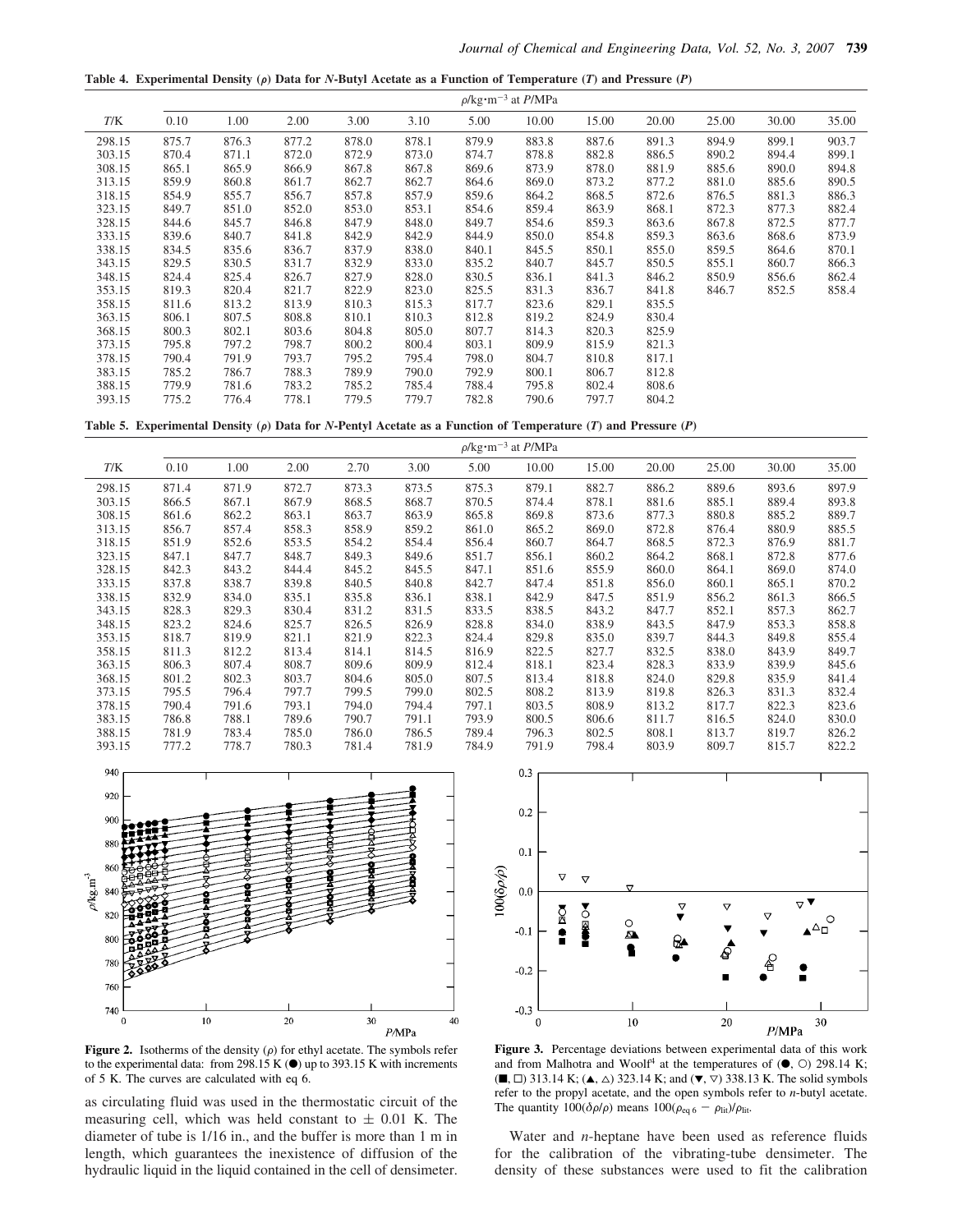Table 4. Experimental Density ( $\rho$ ) Data for *N*-Butyl Acetate as a Function of Temperature (*T*) and Pressure (*P*)

|        |       |       |       |       |       | $\rho$ /kg·m <sup>-3</sup> at <i>P</i> /MPa |       |       |       |       |       |       |
|--------|-------|-------|-------|-------|-------|---------------------------------------------|-------|-------|-------|-------|-------|-------|
| T/K    | 0.10  | 1.00  | 2.00  | 3.00  | 3.10  | 5.00                                        | 10.00 | 15.00 | 20.00 | 25.00 | 30.00 | 35.00 |
| 298.15 | 875.7 | 876.3 | 877.2 | 878.0 | 878.1 | 879.9                                       | 883.8 | 887.6 | 891.3 | 894.9 | 899.1 | 903.7 |
| 303.15 | 870.4 | 871.1 | 872.0 | 872.9 | 873.0 | 874.7                                       | 878.8 | 882.8 | 886.5 | 890.2 | 894.4 | 899.1 |
| 308.15 | 865.1 | 865.9 | 866.9 | 867.8 | 867.8 | 869.6                                       | 873.9 | 878.0 | 881.9 | 885.6 | 890.0 | 894.8 |
| 313.15 | 859.9 | 860.8 | 861.7 | 862.7 | 862.7 | 864.6                                       | 869.0 | 873.2 | 877.2 | 881.0 | 885.6 | 890.5 |
| 318.15 | 854.9 | 855.7 | 856.7 | 857.8 | 857.9 | 859.6                                       | 864.2 | 868.5 | 872.6 | 876.5 | 881.3 | 886.3 |
| 323.15 | 849.7 | 851.0 | 852.0 | 853.0 | 853.1 | 854.6                                       | 859.4 | 863.9 | 868.1 | 872.3 | 877.3 | 882.4 |
| 328.15 | 844.6 | 845.7 | 846.8 | 847.9 | 848.0 | 849.7                                       | 854.6 | 859.3 | 863.6 | 867.8 | 872.5 | 877.7 |
| 333.15 | 839.6 | 840.7 | 841.8 | 842.9 | 842.9 | 844.9                                       | 850.0 | 854.8 | 859.3 | 863.6 | 868.6 | 873.9 |
| 338.15 | 834.5 | 835.6 | 836.7 | 837.9 | 838.0 | 840.1                                       | 845.5 | 850.1 | 855.0 | 859.5 | 864.6 | 870.1 |
| 343.15 | 829.5 | 830.5 | 831.7 | 832.9 | 833.0 | 835.2                                       | 840.7 | 845.7 | 850.5 | 855.1 | 860.7 | 866.3 |
| 348.15 | 824.4 | 825.4 | 826.7 | 827.9 | 828.0 | 830.5                                       | 836.1 | 841.3 | 846.2 | 850.9 | 856.6 | 862.4 |
| 353.15 | 819.3 | 820.4 | 821.7 | 822.9 | 823.0 | 825.5                                       | 831.3 | 836.7 | 841.8 | 846.7 | 852.5 | 858.4 |
| 358.15 | 811.6 | 813.2 | 813.9 | 810.3 | 815.3 | 817.7                                       | 823.6 | 829.1 | 835.5 |       |       |       |
| 363.15 | 806.1 | 807.5 | 808.8 | 810.1 | 810.3 | 812.8                                       | 819.2 | 824.9 | 830.4 |       |       |       |
| 368.15 | 800.3 | 802.1 | 803.6 | 804.8 | 805.0 | 807.7                                       | 814.3 | 820.3 | 825.9 |       |       |       |
| 373.15 | 795.8 | 797.2 | 798.7 | 800.2 | 800.4 | 803.1                                       | 809.9 | 815.9 | 821.3 |       |       |       |
| 378.15 | 790.4 | 791.9 | 793.7 | 795.2 | 795.4 | 798.0                                       | 804.7 | 810.8 | 817.1 |       |       |       |
| 383.15 | 785.2 | 786.7 | 788.3 | 789.9 | 790.0 | 792.9                                       | 800.1 | 806.7 | 812.8 |       |       |       |
| 388.15 | 779.9 | 781.6 | 783.2 | 785.2 | 785.4 | 788.4                                       | 795.8 | 802.4 | 808.6 |       |       |       |
| 393.15 | 775.2 | 776.4 | 778.1 | 779.5 | 779.7 | 782.8                                       | 790.6 | 797.7 | 804.2 |       |       |       |

Table 5. Experimental Density ( $\rho$ ) Data for *N*-Pentyl Acetate as a Function of Temperature (*T*) and Pressure (*P*)





**Figure 2.** Isotherms of the density  $(\rho)$  for ethyl acetate. The symbols refer to the experimental data: from 298.15 K  $\odot$ ) up to 393.15 K with increments of 5 K. The curves are calculated with eq 6.

as circulating fluid was used in the thermostatic circuit of the measuring cell, which was held constant to  $\pm$  0.01 K. The diameter of tube is 1/16 in., and the buffer is more than 1 m in length, which guarantees the inexistence of diffusion of the hydraulic liquid in the liquid contained in the cell of densimeter.



**Figure 3.** Percentage deviations between experimental data of this work and from Malhotra and Woolf<sup>4</sup> at the temperatures of  $(\bullet, \circ)$  298.14 K;  $(\blacksquare, \square)$  313.14 K;  $(\blacktriangle, \triangle)$  323.14 K; and  $(\blacktriangledown, \triangledown)$  338.13 K. The solid symbols refer to the propyl acetate, and the open symbols refer to *n*-butyl acetate. The quantity  $100(\delta \rho/\rho)$  means  $100(\rho_{eq\,6} - \rho_{lit})/\rho_{lit}$ .

Water and *n*-heptane have been used as reference fluids for the calibration of the vibrating-tube densimeter. The density of these substances were used to fit the calibration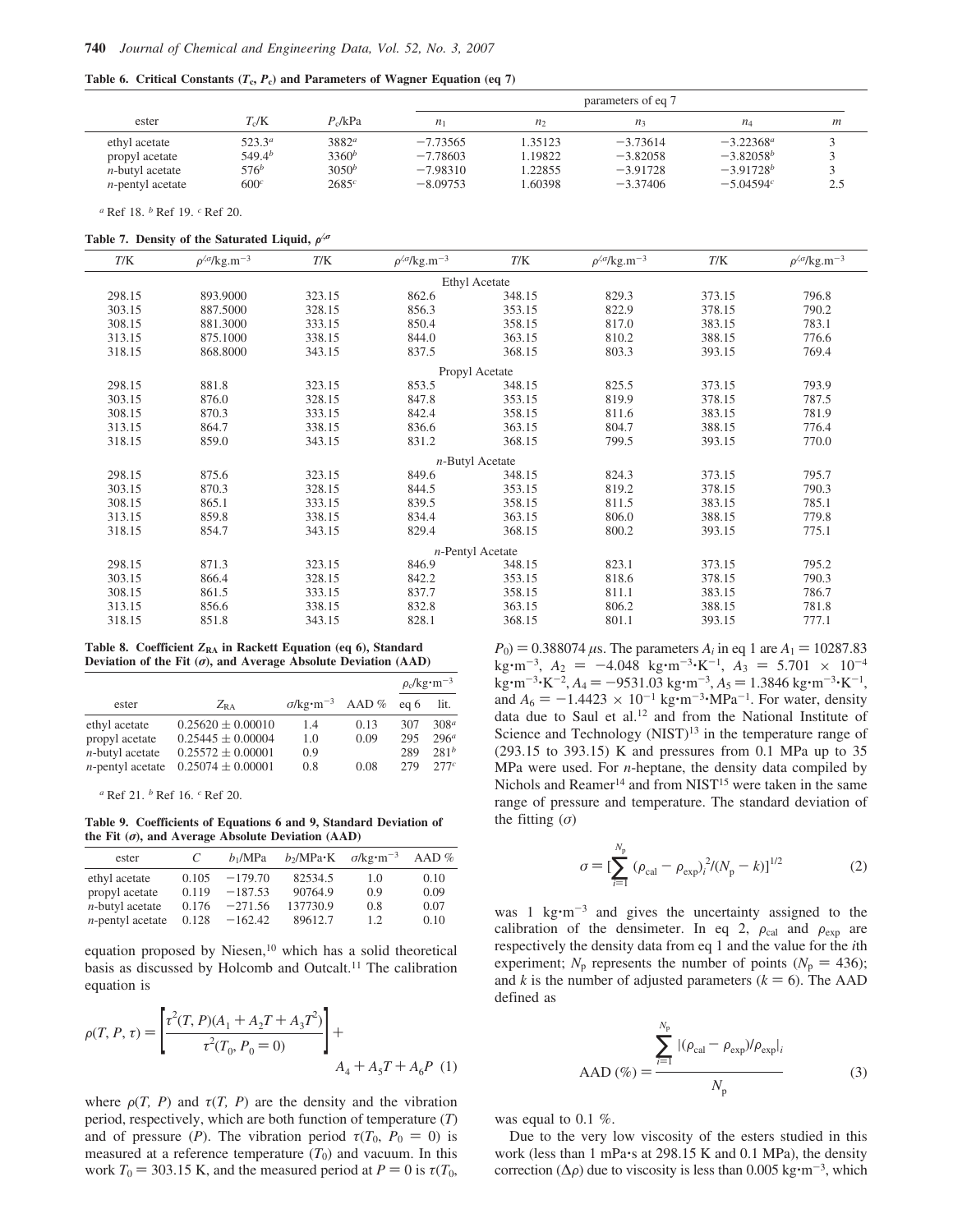|  |  |  |  |  |  | Table 6. Critical Constants $(T_c, P_c)$ and Parameters of Wagner Equation (eq 7) |  |  |  |  |  |
|--|--|--|--|--|--|-----------------------------------------------------------------------------------|--|--|--|--|--|
|--|--|--|--|--|--|-----------------------------------------------------------------------------------|--|--|--|--|--|

|                                                                                   |                                                                    |                                           |                                                      |                                         | parameters of eq 7                                   |                                                               |     |
|-----------------------------------------------------------------------------------|--------------------------------------------------------------------|-------------------------------------------|------------------------------------------------------|-----------------------------------------|------------------------------------------------------|---------------------------------------------------------------|-----|
| ester                                                                             | $T_c/K$                                                            | $P_{c}/kPa$                               | n <sub>1</sub>                                       | n <sub>2</sub>                          | $n_{3}$                                              | $n_A$                                                         | m   |
| ethyl acetate<br>propyl acetate<br><i>n</i> -butyl acetate<br>$n$ -pentyl acetate | $523.3^{a}$<br>$549.4^{b}$<br>576 <sup>b</sup><br>600 <sup>c</sup> | $3882^a$<br>$3360^b$<br>$3050^b$<br>2685c | $-7.73565$<br>$-7.78603$<br>$-7.98310$<br>$-8.09753$ | 1.35123<br>1.19822<br>1.22855<br>.60398 | $-3.73614$<br>$-3.82058$<br>$-3.91728$<br>$-3.37406$ | $-3.22368^a$<br>$-3.82058^{b}$<br>$-3.91728^b$<br>$-5.04594c$ | 2.5 |

*<sup>a</sup>* Ref 18. *<sup>b</sup>* Ref 19. *<sup>c</sup>* Ref 20.

**Table 7. Density of the Saturated Liquid,**  $ρ^{/σ}$ 

| T/K    | $\rho^{4/7}$ /kg.m <sup>-3</sup> | T/K    | $\rho^{4/3}/\text{kg} \cdot \text{m}^{-3}$ | T/K                 | $\rho^{4/7}$ /kg.m <sup>-3</sup> | T/K    | $\rho^{\text{40}}$ /kg.m <sup>-3</sup> |
|--------|----------------------------------|--------|--------------------------------------------|---------------------|----------------------------------|--------|----------------------------------------|
|        |                                  |        |                                            | Ethyl Acetate       |                                  |        |                                        |
| 298.15 | 893.9000                         | 323.15 | 862.6                                      | 348.15              | 829.3                            | 373.15 | 796.8                                  |
| 303.15 | 887.5000                         | 328.15 | 856.3                                      | 353.15              | 822.9                            | 378.15 | 790.2                                  |
| 308.15 | 881.3000                         | 333.15 | 850.4                                      | 358.15              | 817.0                            | 383.15 | 783.1                                  |
| 313.15 | 875.1000                         | 338.15 | 844.0                                      | 363.15              | 810.2                            | 388.15 | 776.6                                  |
| 318.15 | 868.8000                         | 343.15 | 837.5                                      | 368.15              | 803.3                            | 393.15 | 769.4                                  |
|        |                                  |        |                                            | Propyl Acetate      |                                  |        |                                        |
| 298.15 | 881.8                            | 323.15 | 853.5                                      | 348.15              | 825.5                            | 373.15 | 793.9                                  |
| 303.15 | 876.0                            | 328.15 | 847.8                                      | 353.15              | 819.9                            | 378.15 | 787.5                                  |
| 308.15 | 870.3                            | 333.15 | 842.4                                      | 358.15              | 811.6                            | 383.15 | 781.9                                  |
| 313.15 | 864.7                            | 338.15 | 836.6                                      | 363.15              | 804.7                            | 388.15 | 776.4                                  |
| 318.15 | 859.0                            | 343.15 | 831.2                                      | 368.15              | 799.5                            | 393.15 | 770.0                                  |
|        |                                  |        |                                            | $n$ -Butyl Acetate  |                                  |        |                                        |
| 298.15 | 875.6                            | 323.15 | 849.6                                      | 348.15              | 824.3                            | 373.15 | 795.7                                  |
| 303.15 | 870.3                            | 328.15 | 844.5                                      | 353.15              | 819.2                            | 378.15 | 790.3                                  |
| 308.15 | 865.1                            | 333.15 | 839.5                                      | 358.15              | 811.5                            | 383.15 | 785.1                                  |
| 313.15 | 859.8                            | 338.15 | 834.4                                      | 363.15              | 806.0                            | 388.15 | 779.8                                  |
| 318.15 | 854.7                            | 343.15 | 829.4                                      | 368.15              | 800.2                            | 393.15 | 775.1                                  |
|        |                                  |        |                                            | $n$ -Pentyl Acetate |                                  |        |                                        |
| 298.15 | 871.3                            | 323.15 | 846.9                                      | 348.15              | 823.1                            | 373.15 | 795.2                                  |
| 303.15 | 866.4                            | 328.15 | 842.2                                      | 353.15              | 818.6                            | 378.15 | 790.3                                  |
| 308.15 | 861.5                            | 333.15 | 837.7                                      | 358.15              | 811.1                            | 383.15 | 786.7                                  |
| 313.15 | 856.6                            | 338.15 | 832.8                                      | 363.15              | 806.2                            | 388.15 | 781.8                                  |
| 318.15 | 851.8                            | 343.15 | 828.1                                      | 368.15              | 801.1                            | 393.15 | 777.1                                  |

**Table 8. Coefficient** *Z***RA in Rackett Equation (eq 6), Standard Deviation of the Fit (**σ**), and Average Absolute Deviation (AAD)**

|                     |                       |                                            |      |      | $\rho_c$ /kg·m <sup>-3</sup> |
|---------------------|-----------------------|--------------------------------------------|------|------|------------------------------|
| ester               | $Z_{RA}$              | $\sigma/\text{kg}\cdot\text{m}^{-3}$ AAD % |      | eg 6 | lit.                         |
| ethyl acetate       | $0.25620 \pm 0.00010$ | 1.4                                        | 0.13 | 307  | 308 <sup>a</sup>             |
| propyl acetate      | $0.25445 \pm 0.00004$ | 1.0                                        | 0.09 | 295  | 296 <sup>a</sup>             |
| $n$ -butyl acetate  | $0.25572 \pm 0.00001$ | 0.9                                        |      | 289  | 281 <sup>b</sup>             |
| $n$ -pentyl acetate | $0.25074 \pm 0.00001$ | 0.8                                        | 0.08 | 279  | 277c                         |

*<sup>a</sup>* Ref 21. *<sup>b</sup>* Ref 16. *<sup>c</sup>* Ref 20.

**Table 9. Coefficients of Equations 6 and 9, Standard Deviation of the Fit (**σ**), and Average Absolute Deviation (AAD)**

| ester               | C.    | $b_1/MPa$ | $b_2/MPa \cdot K$ $\sigma/kg \cdot m^{-3}$ |     | AAD $%$ |
|---------------------|-------|-----------|--------------------------------------------|-----|---------|
| ethyl acetate       | 0.105 | $-179.70$ | 82534.5                                    | 1.0 | 0.10    |
| propyl acetate      | 0.119 | $-187.53$ | 90764.9                                    | 0.9 | 0.09    |
| $n$ -butyl acetate  | 0.176 | $-271.56$ | 137730.9                                   | 0.8 | 0.07    |
| $n$ -pentyl acetate | 0.128 | $-162.42$ | 89612.7                                    | 1.2 | 0.10    |

equation proposed by Niesen, $10$  which has a solid theoretical basis as discussed by Holcomb and Outcalt.<sup>11</sup> The calibration equation is

$$
\rho(T, P, \tau) = \left[ \frac{\tau^2(T, P)(A_1 + A_2T + A_3T^2)}{\tau^2(T_0, P_0 = 0)} \right] + A_4 + A_5T + A_6P \tag{1}
$$

where  $\rho(T, P)$  and  $\tau(T, P)$  are the density and the vibration period, respectively, which are both function of temperature (*T*) and of pressure (*P*). The vibration period  $\tau(T_0, P_0 = 0)$  is measured at a reference temperature  $(T_0)$  and vacuum. In this work  $T_0 = 303.15$  K, and the measured period at  $P = 0$  is  $\tau(T_0)$ ,  $P_0$  = 0.388074  $\mu$ s. The parameters  $A_i$  in eq 1 are  $A_1$  = 10287.83  $\text{kg}\cdot\text{m}^{-3}$ ,  $A_2 = -4.048 \text{ kg}\cdot\text{m}^{-3}\cdot\text{K}^{-1}$ ,  $A_3 = 5.701 \times 10^{-4}$  $\text{kg}\cdot \text{m}^{-3}\cdot \text{K}^{-2}$ ,  $A_4 = -9531.03 \text{ kg}\cdot \text{m}^{-3}$ ,  $A_5 = 1.3846 \text{ kg}\cdot \text{m}^{-3}\cdot \text{K}^{-1}$ , and  $A_6 = -1.4423 \times 10^{-1}$  kg·m<sup>-3</sup>·MPa<sup>-1</sup>. For water, density data due to Saul et al.<sup>12</sup> and from the National Institute of Science and Technology  $(NIST)^{13}$  in the temperature range of (293.15 to 393.15) K and pressures from 0.1 MPa up to 35 MPa were used. For *n*-heptane, the density data compiled by Nichols and Reamer<sup>14</sup> and from NIST<sup>15</sup> were taken in the same range of pressure and temperature. The standard deviation of the fitting  $(\sigma)$ 

$$
\sigma = \left[\sum_{i=1}^{N_{\rm p}} \left(\rho_{\rm cal} - \rho_{\rm exp}\right)_i^2 / (N_{\rm p} - k)\right]^{1/2} \tag{2}
$$

was 1  $kg·m<sup>-3</sup>$  and gives the uncertainty assigned to the calibration of the densimeter. In eq 2,  $\rho_{cal}$  and  $\rho_{exp}$  are respectively the density data from eq 1 and the value for the *i*th experiment;  $N_p$  represents the number of points ( $N_p = 436$ ); and *k* is the number of adjusted parameters  $(k = 6)$ . The AAD defined as

$$
AAD (\%) = \frac{\sum_{i=1}^{N_p} |(\rho_{cal} - \rho_{exp})/\rho_{exp}|_i}{N_p}
$$
 (3)

was equal to 0.1 %.

Due to the very low viscosity of the esters studied in this work (less than 1 mPa's at 298.15 K and 0.1 MPa), the density correction ( $\Delta \rho$ ) due to viscosity is less than 0.005 kg·m<sup>-3</sup>, which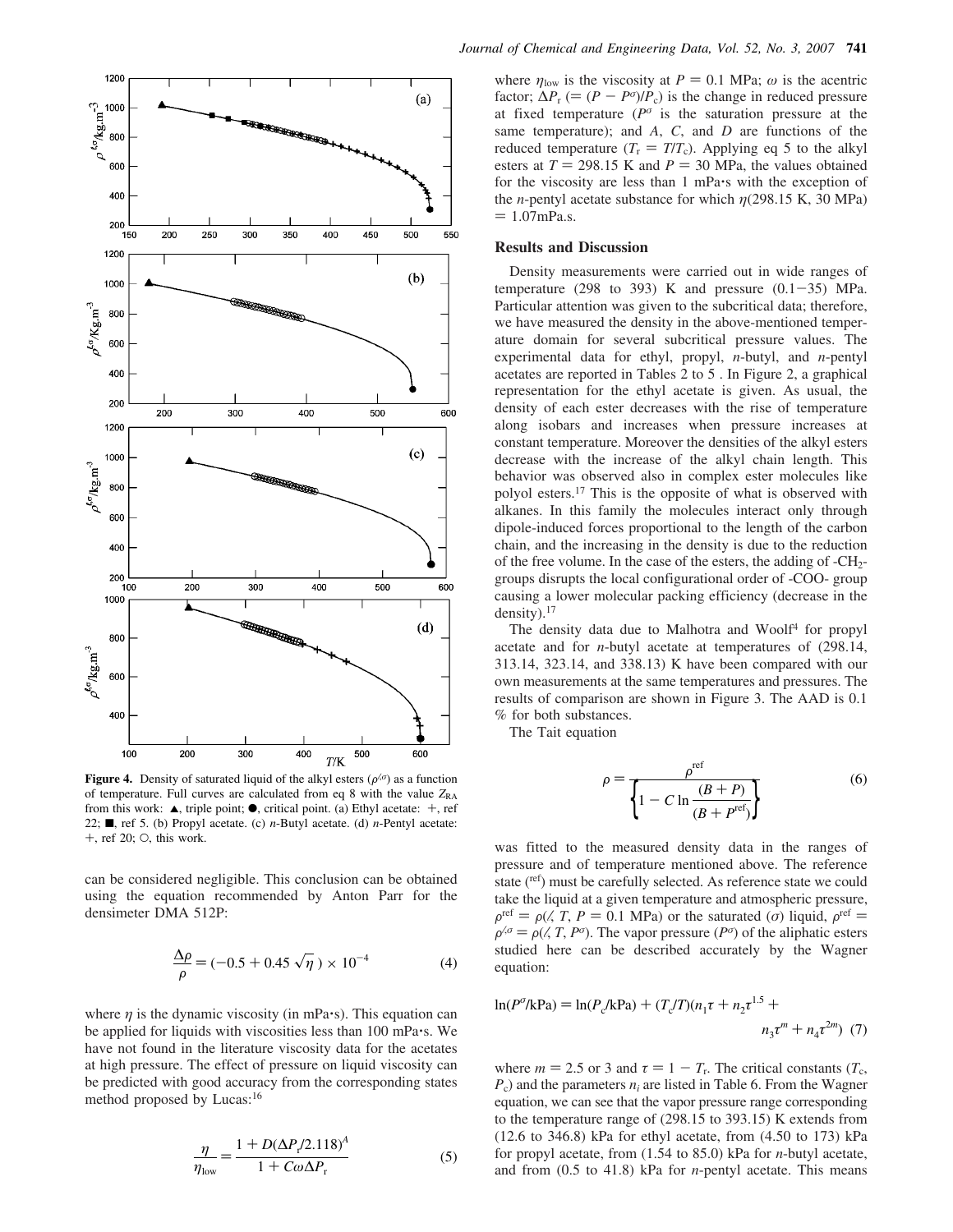

**Figure 4.** Density of saturated liquid of the alkyl esters  $(\rho^{\alpha})$  as a function of temperature. Full curves are calculated from eq 8 with the value  $Z_{RA}$ from this work:  $\blacktriangle$ , triple point;  $\blacklozenge$ , critical point. (a) Ethyl acetate:  $+$ , ref 22;  $\blacksquare$ , ref 5. (b) Propyl acetate. (c) *n*-Butyl acetate. (d) *n*-Pentyl acetate:  $+$ , ref 20;  $\circ$ , this work.

can be considered negligible. This conclusion can be obtained using the equation recommended by Anton Parr for the densimeter DMA 512P:

$$
\frac{\Delta \rho}{\rho} = (-0.5 + 0.45 \sqrt{\eta}) \times 10^{-4}
$$
 (4)

where  $\eta$  is the dynamic viscosity (in mPa $\cdot$ s). This equation can be applied for liquids with viscosities less than 100 mPa's. We have not found in the literature viscosity data for the acetates at high pressure. The effect of pressure on liquid viscosity can be predicted with good accuracy from the corresponding states method proposed by Lucas:<sup>16</sup>

$$
\frac{\eta}{\eta_{\text{low}}} = \frac{1 + D(\Delta P_r / 2.118)^A}{1 + C\omega \Delta P_r}
$$
(5)

where  $\eta_{\text{low}}$  is the viscosity at  $P = 0.1$  MPa;  $\omega$  is the acentric factor;  $\Delta P_r$  (=  $(P - P^{\sigma})/P_c$ ) is the change in reduced pressure at fixed temperature ( $P^{\sigma}$  is the saturation pressure at the same temperature); and *A*, *C*, and *D* are functions of the reduced temperature  $(T_r = T/T_c)$ . Applying eq 5 to the alkyl esters at  $T = 298.15$  K and  $P = 30$  MPa, the values obtained for the viscosity are less than 1 mPa's with the exception of the *n*-pentyl acetate substance for which  $\eta$ (298.15 K, 30 MPa)  $= 1.07$ mPa.s.

## **Results and Discussion**

Density measurements were carried out in wide ranges of temperature (298 to 393) K and pressure  $(0.1-35)$  MPa. Particular attention was given to the subcritical data; therefore, we have measured the density in the above-mentioned temperature domain for several subcritical pressure values. The experimental data for ethyl, propyl, *n*-butyl, and *n*-pentyl acetates are reported in Tables 2 to 5 . In Figure 2, a graphical representation for the ethyl acetate is given. As usual, the density of each ester decreases with the rise of temperature along isobars and increases when pressure increases at constant temperature. Moreover the densities of the alkyl esters decrease with the increase of the alkyl chain length. This behavior was observed also in complex ester molecules like polyol esters.<sup>17</sup> This is the opposite of what is observed with alkanes. In this family the molecules interact only through dipole-induced forces proportional to the length of the carbon chain, and the increasing in the density is due to the reduction of the free volume. In the case of the esters, the adding of  $-CH<sub>2</sub>$ groups disrupts the local configurational order of -COO- group causing a lower molecular packing efficiency (decrease in the density).<sup>17</sup>

The density data due to Malhotra and Woolf<sup>4</sup> for propyl acetate and for *n*-butyl acetate at temperatures of (298.14, 313.14, 323.14, and 338.13) K have been compared with our own measurements at the same temperatures and pressures. The results of comparison are shown in Figure 3. The AAD is 0.1 % for both substances.

The Tait equation

$$
\rho = \frac{\rho^{\text{ref}}}{\left\{1 - C \ln \frac{(B+P)}{(B+P^{\text{ref}})}\right\}}
$$
(6)

was fitted to the measured density data in the ranges of pressure and of temperature mentioned above. The reference state (ref) must be carefully selected. As reference state we could take the liquid at a given temperature and atmospheric pressure,  $\rho^{\text{ref}} = \rho(\sqrt{T}, P = 0.1 \text{ MPa})$  or the saturated (*σ*) liquid,  $\rho^{\text{ref}} =$  $\rho^{0, \sigma} = \rho(0, T, P^{\sigma})$ . The vapor pressure ( $P^{\sigma}$ ) of the aliphatic esters studied here can be described accurately by the Wagner equation:

$$
\ln(P^0/kPa) = \ln(P_c/kPa) + (T_c/T)(n_1\tau + n_2\tau^{1.5} + n_3\tau^m + n_4\tau^{2m})
$$
 (7)

where  $m = 2.5$  or 3 and  $\tau = 1 - T_r$ . The critical constants ( $T_c$ ,  $P_c$ ) and the parameters  $n_i$  are listed in Table 6. From the Wagner equation, we can see that the vapor pressure range corresponding to the temperature range of (298.15 to 393.15) K extends from (12.6 to 346.8) kPa for ethyl acetate, from (4.50 to 173) kPa for propyl acetate, from (1.54 to 85.0) kPa for *n*-butyl acetate, and from (0.5 to 41.8) kPa for *n*-pentyl acetate. This means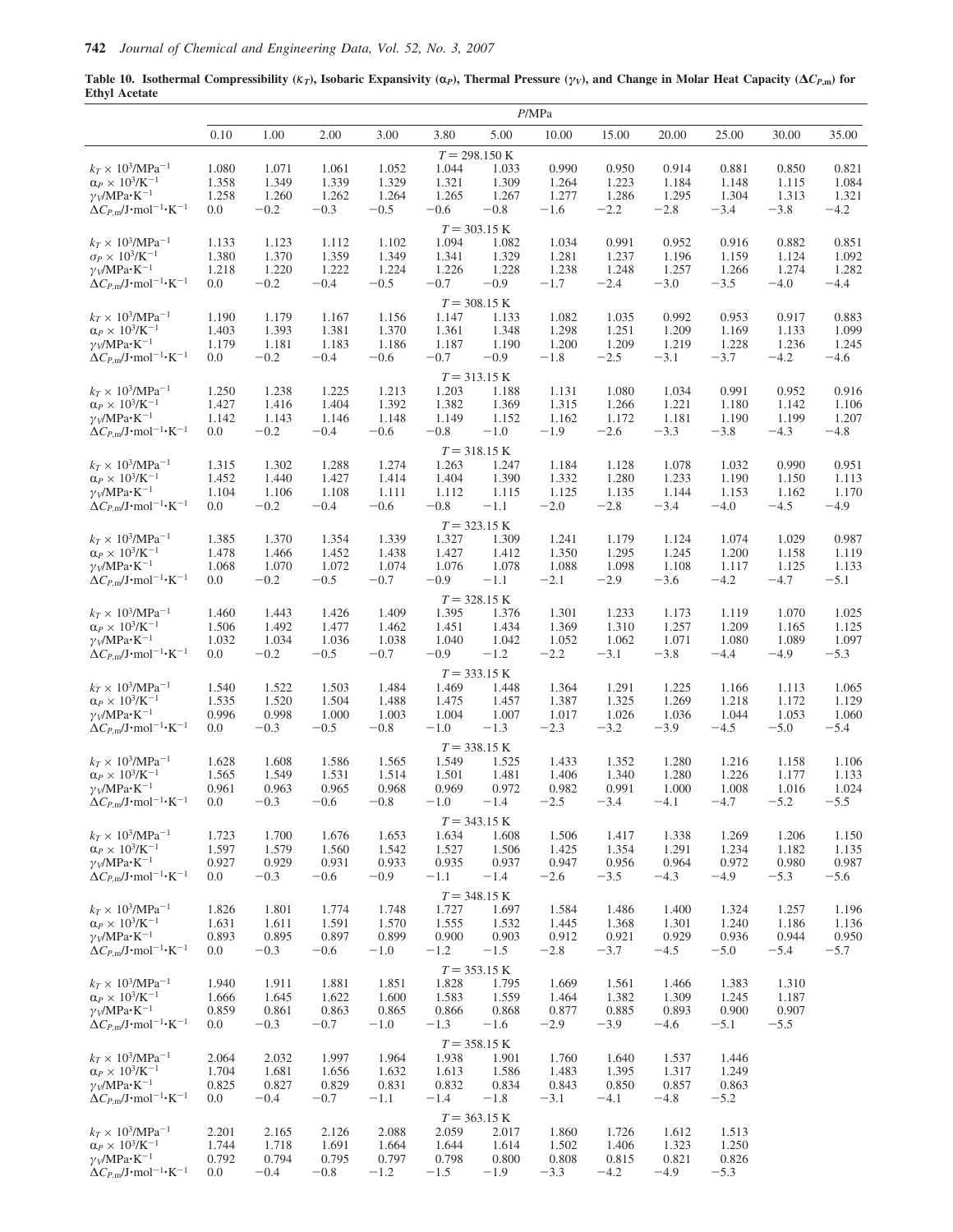**Table 10. Isothermal Compressibility (** $K_T$ **), Isobaric Expansivity (** $\alpha$ **<sub>***P***</sub>), Thermal Pressure (** $\gamma$ *v***), and Change in Molar Heat Capacity (** $\Delta C_{P,\text{m}}$ **) for Ethyl Acetate**

|                                                                                                    |                |                 |                 |                 |                 |                                 | P/MPa           |                 |                 |                 |                 |                 |
|----------------------------------------------------------------------------------------------------|----------------|-----------------|-----------------|-----------------|-----------------|---------------------------------|-----------------|-----------------|-----------------|-----------------|-----------------|-----------------|
|                                                                                                    | 0.10           | 1.00            | 2.00            | 3.00            | 3.80            | 5.00                            | 10.00           | 15.00           | 20.00           | 25.00           | 30.00           | 35.00           |
|                                                                                                    |                |                 |                 |                 |                 | $T = 298.150 \text{ K}$         |                 |                 |                 |                 |                 |                 |
| $k_T \times 10^3/\text{MPa}^{-1}$                                                                  | 1.080          | 1.071           | 1.061           | 1.052           | 1.044           | 1.033                           | 0.990           | 0.950           | 0.914           | 0.881           | 0.850           | 0.821           |
| $\alpha_P \times 10^3$ /K <sup>-1</sup><br>$\gamma_V/MPa \cdot K^{-1}$                             | 1.358<br>1.258 | 1.349<br>1.260  | 1.339<br>1.262  | 1.329<br>1.264  | 1.321<br>1.265  | 1.309<br>1.267                  | 1.264<br>1.277  | 1.223<br>1.286  | 1.184<br>1.295  | 1.148<br>1.304  | 1.115<br>1.313  | 1.084<br>1.321  |
| $\Delta C_{P,\text{m}}/\text{J}\cdot\text{mol}^{-1}\cdot\text{K}^{-1}$                             | 0.0            | $-0.2$          | $-0.3$          | $-0.5$          | $-0.6$          | $-0.8$                          | $-1.6$          | $-2.2$          | $-2.8$          | $-3.4$          | $-3.8$          | $-4.2$          |
|                                                                                                    |                |                 |                 |                 |                 | $T = 303.15 K$                  |                 |                 |                 |                 |                 |                 |
| $k_T \times 10^3/\text{MPa}^{-1}$                                                                  | 1.133          | 1.123           | 1.112           | 1.102           | 1.094           | 1.082                           | 1.034           | 0.991           | 0.952           | 0.916           | 0.882           | 0.851           |
| $\sigma_P \times 10^3/\text{K}^{-1}$                                                               | 1.380          | 1.370           | 1.359           | 1.349           | 1.341           | 1.329                           | 1.281           | 1.237           | 1.196           | 1.159           | 1.124           | 1.092           |
| $\gamma_V/MPa \cdot K^{-1}$<br>$\Delta C_{P,\text{m}}/J \cdot \text{mol}^{-1} \cdot \text{K}^{-1}$ | 1.218<br>0.0   | 1.220<br>$-0.2$ | 1.222<br>$-0.4$ | 1.224<br>$-0.5$ | 1.226<br>$-0.7$ | 1.228<br>$-0.9$                 | 1.238<br>$-1.7$ | 1.248<br>$-2.4$ | 1.257<br>$-3.0$ | 1.266<br>$-3.5$ | 1.274<br>$-4.0$ | 1.282<br>$-4.4$ |
|                                                                                                    |                |                 |                 |                 |                 |                                 |                 |                 |                 |                 |                 |                 |
| $k_T \times 10^3/\text{MPa}^{-1}$                                                                  | 1.190          | 1.179           | 1.167           | 1.156           | 1.147           | $T = 308.15 \text{ K}$<br>1.133 | 1.082           | 1.035           | 0.992           | 0.953           | 0.917           | 0.883           |
| $\alpha_P \times 10^3/\text{K}^{-1}$                                                               | 1.403          | 1.393           | 1.381           | 1.370           | 1.361           | 1.348                           | 1.298           | 1.251           | 1.209           | 1.169           | 1.133           | 1.099           |
| $\gamma_V/MPa \cdot K^{-1}$                                                                        | 1.179          | 1.181           | 1.183           | 1.186           | 1.187           | 1.190                           | 1.200           | 1.209           | 1.219           | 1.228           | 1.236           | 1.245           |
| $\Delta C_{P,\text{m}}/J \cdot \text{mol}^{-1} \cdot \text{K}^{-1}$                                | 0.0            | $-0.2$          | $-0.4$          | $-0.6$          | $-0.7$          | $-0.9$                          | $-1.8$          | $-2.5$          | $-3.1$          | $-3.7$          | $-4.2$          | $-4.6$          |
|                                                                                                    |                |                 |                 |                 |                 | $T = 313.15 K$                  |                 |                 |                 |                 |                 |                 |
| $k_T \times 10^3/\text{MPa}^{-1}$<br>$\alpha_P \times 10^3$ /K <sup>-1</sup>                       | 1.250          | 1.238           | 1.225           | 1.213           | 1.203<br>1.382  | 1.188                           | 1.131           | 1.080           | 1.034           | 0.991           | 0.952           | 0.916           |
| $\gamma_V/MPa \cdot K^{-1}$                                                                        | 1.427<br>1.142 | 1.416<br>1.143  | 1.404<br>1.146  | 1.392<br>1.148  | 1.149           | 1.369<br>1.152                  | 1.315<br>1.162  | 1.266<br>1.172  | 1.221<br>1.181  | 1.180<br>1.190  | 1.142<br>1.199  | 1.106<br>1.207  |
| $\Delta C_{P,\text{m}}/J \cdot \text{mol}^{-1} \cdot \text{K}^{-1}$                                | 0.0            | $-0.2$          | $-0.4$          | $-0.6$          | $-0.8$          | $-1.0$                          | $-1.9$          | $-2.6$          | $-3.3$          | $-3.8$          | $-4.3$          | $-4.8$          |
|                                                                                                    |                |                 |                 |                 |                 | $T = 318.15 K$                  |                 |                 |                 |                 |                 |                 |
| $k_T \times 10^3/\text{MPa}^{-1}$                                                                  | 1.315          | 1.302           | 1.288           | 1.274           | 1.263           | 1.247                           | 1.184           | 1.128           | 1.078           | 1.032           | 0.990           | 0.951           |
| $\alpha_P \times 10^3/\text{K}^{-1}$                                                               | 1.452          | 1.440           | 1.427           | 1.414           | 1.404           | 1.390                           | 1.332           | 1.280           | 1.233           | 1.190           | 1.150           | 1.113           |
| $\gamma_V/MPa \cdot K^{-1}$                                                                        | 1.104          | 1.106           | 1.108           | 1.111           | 1.112           | 1.115                           | 1.125           | 1.135           | 1.144           | 1.153           | 1.162           | 1.170           |
| $\Delta C_{P,\text{m}}/J \cdot \text{mol}^{-1} \cdot \text{K}^{-1}$                                | 0.0            | $-0.2$          | $-0.4$          | $-0.6$          | $-0.8$          | $-1.1$                          | $-2.0$          | $-2.8$          | $-3.4$          | $-4.0$          | $-4.5$          | $-4.9$          |
|                                                                                                    |                |                 |                 |                 |                 | $T = 323.15 K$                  |                 |                 |                 |                 |                 |                 |
| $k_T \times 10^3/\text{MPa}^{-1}$<br>$\alpha_P \times 10^3/\text{K}^{-1}$                          | 1.385<br>1.478 | 1.370<br>1.466  | 1.354<br>1.452  | 1.339<br>1.438  | 1.327<br>1.427  | 1.309<br>1.412                  | 1.241<br>1.350  | 1.179<br>1.295  | 1.124<br>1.245  | 1.074<br>1.200  | 1.029<br>1.158  | 0.987<br>1.119  |
| $\gamma_V/MPa \cdot K^{-1}$                                                                        | 1.068          | 1.070           | 1.072           | 1.074           | 1.076           | 1.078                           | 1.088           | 1.098           | 1.108           | 1.117           | 1.125           | 1.133           |
| $\Delta C_{P,\text{m}}/J \cdot \text{mol}^{-1} \cdot \text{K}^{-1}$                                | 0.0            | $-0.2$          | $-0.5$          | $-0.7$          | $-0.9$          | $-1.1$                          | $-2.1$          | $-2.9$          | $-3.6$          | $-4.2$          | $-4.7$          | $-5.1$          |
|                                                                                                    |                |                 |                 |                 |                 | $T = 328.15 \text{ K}$          |                 |                 |                 |                 |                 |                 |
| $k_T \times 10^3/\text{MPa}^{-1}$                                                                  | 1.460          | 1.443           | 1.426           | 1.409           | 1.395           | 1.376                           | 1.301           | 1.233           | 1.173           | 1.119           | 1.070           | 1.025           |
| $\alpha_P \times 10^3/\text{K}^{-1}$                                                               | 1.506          | 1.492           | 1.477           | 1.462           | 1.451           | 1.434                           | 1.369           | 1.310           | 1.257           | 1.209           | 1.165           | 1.125           |
| $\gamma_V/MPa \cdot K^{-1}$<br>$\Delta C_{P,\text{m}}/J \cdot \text{mol}^{-1} \cdot \text{K}^{-1}$ | 1.032<br>0.0   | 1.034<br>$-0.2$ | 1.036<br>$-0.5$ | 1.038<br>$-0.7$ | 1.040<br>$-0.9$ | 1.042<br>$-1.2$                 | 1.052<br>$-2.2$ | 1.062<br>$-3.1$ | 1.071<br>$-3.8$ | 1.080<br>$-4.4$ | 1.089<br>$-4.9$ | 1.097<br>$-5.3$ |
|                                                                                                    |                |                 |                 |                 |                 |                                 |                 |                 |                 |                 |                 |                 |
| $k_T \times$ $10^3\mathrm{/MPa^{-1}}$                                                              | 1.540          | 1.522           | 1.503           | 1.484           | 1.469           | $T = 333.15 K$<br>1.448         | 1.364           | 1.291           | 1.225           | 1.166           | 1.113           | 1.065           |
| $\alpha_P \times 10^3$ /K <sup>-1</sup>                                                            | 1.535          | 1.520           | 1.504           | 1.488           | 1.475           | 1.457                           | 1.387           | 1.325           | 1.269           | 1.218           | 1.172           | 1.129           |
| $\gamma_V/MPa \cdot K^{-1}$                                                                        | 0.996          | 0.998           | 1.000           | 1.003           | 1.004           | 1.007                           | 1.017           | 1.026           | 1.036           | 1.044           | 1.053           | 1.060           |
| $\Delta C_{P,\text{m}}/\text{J}\cdot\text{mol}^{-1}\cdot\text{K}^{-1}$                             | 0.0            | $-0.3$          | $-0.5$          | $-0.8$          | $-1.0$          | $-1.3$                          | $-2.3$          | $-3.2$          | $-3.9$          | $-4.5$          | $-5.0$          | $-5.4$          |
|                                                                                                    |                |                 |                 |                 |                 | $T = 338.15$ K                  |                 |                 |                 |                 |                 |                 |
| $k_T \times 10^3/\text{MPa}^{-1}$                                                                  | 1.628          | 1.608<br>1.549  | 1.586           | 1.565           | 1.549           | 1.525                           | 1.433           | 1.352           | 1.280           | 1.216           | 1.158<br>1.177  | 1.106           |
| $\alpha_P \times 10^3/\text{K}^{-1}$<br>$\gamma_V/MPa \cdot K^{-1}$                                | 1.565<br>0.961 | 0.963           | 1.531<br>0.965  | 1.514<br>0.968  | 1.501<br>0.969  | 1.481<br>0.972                  | 1.406<br>0.982  | 1.340<br>0.991  | 1.280<br>1.000  | 1.226<br>1.008  | 1.016           | 1.133<br>1.024  |
| $\Delta C_{P,\text{m}}/\text{J}\cdot \text{mol}^{-1} \cdot \text{K}^{-1}$                          | 0.0            | $-0.3$          | $-0.6$          | $-0.8$          | $-1.0$          | $-1.4$                          | $-2.5$          | $-3.4$          | $-4.1$          | $-4.7$          | $-5.2$          | $-5.5$          |
|                                                                                                    |                |                 |                 |                 |                 | $T = 343.15 K$                  |                 |                 |                 |                 |                 |                 |
| $k_T \times 10^3/\text{MPa}^{-1}$                                                                  | 1.723          | 1.700           | 1.676           | 1.653           | 1.634           | 1.608                           | 1.506           | 1.417           | 1.338           | 1.269           | 1.206           | 1.150           |
| $\alpha_P \times 10^3$ /K <sup>-1</sup>                                                            | 1.597          | 1.579           | 1.560           | 1.542           | 1.527           | 1.506                           | 1.425           | 1.354           | 1.291           | 1.234           | 1.182           | 1.135           |
| $\gamma_V/MPa \cdot K^{-1}$<br>$\Delta C_{P,\text{m}}/J \cdot \text{mol}^{-1} \cdot \text{K}^{-1}$ | 0.927<br>0.0   | 0.929<br>$-0.3$ | 0.931<br>$-0.6$ | 0.933<br>$-0.9$ | 0.935<br>$-1.1$ | 0.937                           | 0.947<br>$-2.6$ | 0.956<br>$-3.5$ | 0.964<br>$-4.3$ | 0.972<br>$-4.9$ | 0.980<br>$-5.3$ | 0.987<br>$-5.6$ |
|                                                                                                    |                |                 |                 |                 |                 | $-1.4$                          |                 |                 |                 |                 |                 |                 |
| $k_T \times 10^3/\text{MPa}^{-1}$                                                                  | 1.826          | 1.801           | 1.774           | 1.748           | 1.727           | $T = 348.15 K$<br>1.697         | 1.584           | 1.486           | 1.400           | 1.324           | 1.257           | 1.196           |
| $\alpha_P \times 10^3$ /K <sup>-1</sup>                                                            | 1.631          | 1.611           | 1.591           | 1.570           | 1.555           | 1.532                           | 1.445           | 1.368           | 1.301           | 1.240           | 1.186           | 1.136           |
| $\gamma_V/MPa \cdot K^{-1}$                                                                        | 0.893          | 0.895           | 0.897           | 0.899           | 0.900           | 0.903                           | 0.912           | 0.921           | 0.929           | 0.936           | 0.944           | 0.950           |
| $\Delta C_{P,\text{m}}/J \cdot \text{mol}^{-1} \cdot K^{-1}$                                       | 0.0            | $-0.3$          | $-0.6$          | $-1.0$          | $-1.2$          | $-1.5$                          | $-2.8$          | $-3.7$          | $-4.5$          | $-5.0$          | $-5.4$          | $-5.7$          |
|                                                                                                    |                |                 |                 |                 |                 | $T = 353.15 K$                  |                 |                 |                 |                 |                 |                 |
| $k_T \times$ $10^3\text{/MPa}^{-1}$                                                                | 1.940          | 1.911           | 1.881           | 1.851           | 1.828           | 1.795                           | 1.669           | 1.561           | 1.466           | 1.383           | 1.310           |                 |
| $\alpha_P \times 10^3$ /K <sup>-1</sup><br>$\gamma_V/MPa \cdot K^{-1}$                             | 1.666<br>0.859 | 1.645<br>0.861  | 1.622<br>0.863  | 1.600           | 1.583<br>0.866  | 1.559                           | 1.464           | 1.382<br>0.885  | 1.309<br>0.893  | 1.245<br>0.900  | 1.187           |                 |
| $\Delta C_{P,\text{m}}/J \cdot \text{mol}^{-1} \cdot K^{-1}$                                       | 0.0            | $-0.3$          | $-0.7$          | 0.865<br>$-1.0$ | $-1.3$          | 0.868<br>$-1.6$                 | 0.877<br>$-2.9$ | $-3.9$          | $-4.6$          | $-5.1$          | 0.907<br>$-5.5$ |                 |
|                                                                                                    |                |                 |                 |                 |                 | $T = 358.15 K$                  |                 |                 |                 |                 |                 |                 |
| $k_T \times 10^3/\text{MPa}^{-1}$                                                                  | 2.064          | 2.032           | 1.997           | 1.964           | 1.938           | 1.901                           | 1.760           | 1.640           | 1.537           | 1.446           |                 |                 |
| $\alpha_P \times 10^3$ /K <sup>-1</sup>                                                            | 1.704          | 1.681           | 1.656           | 1.632           | 1.613           | 1.586                           | 1.483           | 1.395           | 1.317           | 1.249           |                 |                 |
| $\gamma_V/MPa \cdot K^{-1}$                                                                        | 0.825          | 0.827           | 0.829           | 0.831           | 0.832           | 0.834                           | 0.843           | 0.850           | 0.857           | 0.863           |                 |                 |
| $\Delta C_{P,\text{m}}/J \cdot \text{mol}^{-1} \cdot \text{K}^{-1}$                                | 0.0            | $-0.4$          | $-0.7$          | $-1.1$          | $-1.4$          | $-1.8$                          | $-3.1$          | $-4.1$          | $-4.8$          | $-5.2$          |                 |                 |
|                                                                                                    |                |                 |                 |                 |                 | $T = 363.15 K$                  |                 |                 |                 |                 |                 |                 |
| $k_T \times 10^3/\text{MPa}^{-1}$                                                                  | 2.201          | 2.165           | 2.126           | 2.088           | 2.059           | 2.017                           | 1.860           | 1.726           | 1.612           | 1.513           |                 |                 |
| $\alpha_P \times 10^3$ /K <sup>-1</sup><br>$\gamma_V/MPa \cdot K^{-1}$                             | 1.744<br>0.792 | 1.718<br>0.794  | 1.691<br>0.795  | 1.664<br>0.797  | 1.644<br>0.798  | 1.614<br>0.800                  | 1.502<br>0.808  | 1.406<br>0.815  | 1.323<br>0.821  | 1.250<br>0.826  |                 |                 |
| $\Delta C_{P,\text{m}}/J \cdot \text{mol}^{-1} \cdot K^{-1}$                                       | 0.0            | $-0.4$          | $-0.8$          | $-1.2$          | $-1.5$          | $-1.9$                          | $-3.3$          | $-4.2$          | $-4.9$          | $-5.3$          |                 |                 |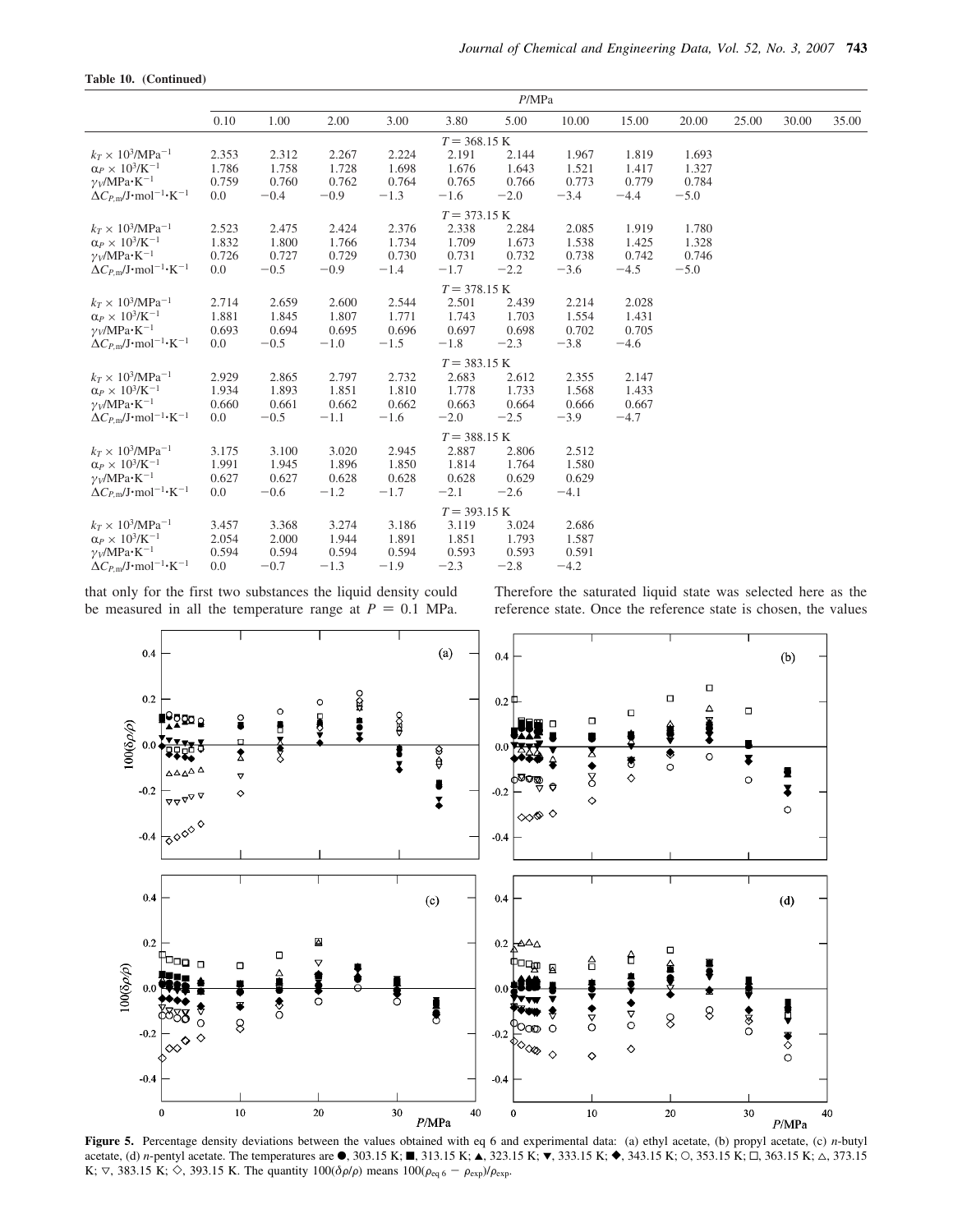|  | Table 10. (Continued) |  |
|--|-----------------------|--|
|--|-----------------------|--|

|                                                                                                                                                                             | P/MPa                          |                                   |                                   |                                   |                                   |                                   |                                   |                                   |                                   |       |       |       |
|-----------------------------------------------------------------------------------------------------------------------------------------------------------------------------|--------------------------------|-----------------------------------|-----------------------------------|-----------------------------------|-----------------------------------|-----------------------------------|-----------------------------------|-----------------------------------|-----------------------------------|-------|-------|-------|
|                                                                                                                                                                             | 0.10                           | 1.00                              | 2.00                              | 3.00                              | 3.80                              | 5.00                              | 10.00                             | 15.00                             | 20.00                             | 25.00 | 30.00 | 35.00 |
|                                                                                                                                                                             |                                |                                   |                                   |                                   | $T = 368.15 \text{ K}$            |                                   |                                   |                                   |                                   |       |       |       |
| $k_T \times 10^3/\text{MPa}^{-1}$<br>$\alpha_P \times 10^3$ /K <sup>-1</sup><br>$\gamma_V/MPa \cdot K^{-1}$<br>$\Delta C_{P,\text{m}}/J \cdot \text{mol}^{-1} \cdot K^{-1}$ | 2.353<br>1.786<br>0.759<br>0.0 | 2.312<br>1.758<br>0.760<br>$-0.4$ | 2.267<br>1.728<br>0.762<br>$-0.9$ | 2.224<br>1.698<br>0.764<br>$-1.3$ | 2.191<br>1.676<br>0.765<br>$-1.6$ | 2.144<br>1.643<br>0.766<br>$-2.0$ | 1.967<br>1.521<br>0.773<br>$-3.4$ | 1.819<br>1.417<br>0.779<br>$-4.4$ | 1.693<br>1.327<br>0.784<br>$-5.0$ |       |       |       |
|                                                                                                                                                                             |                                |                                   |                                   |                                   | $T = 373.15 \text{ K}$            |                                   |                                   |                                   |                                   |       |       |       |
| $k_T \times 10^3/\text{MPa}^{-1}$<br>$\alpha_P \times 10^3/K^{-1}$<br>$\gamma_V/MPa \cdot K^{-1}$<br>$\Delta C_{P,\text{m}}/J \cdot \text{mol}^{-1} \cdot K^{-1}$           | 2.523<br>1.832<br>0.726<br>0.0 | 2.475<br>1.800<br>0.727<br>$-0.5$ | 2.424<br>1.766<br>0.729<br>$-0.9$ | 2.376<br>1.734<br>0.730<br>$-1.4$ | 2.338<br>1.709<br>0.731<br>$-1.7$ | 2.284<br>1.673<br>0.732<br>$-2.2$ | 2.085<br>1.538<br>0.738<br>$-3.6$ | 1.919<br>1.425<br>0.742<br>$-4.5$ | 1.780<br>1.328<br>0.746<br>$-5.0$ |       |       |       |
|                                                                                                                                                                             |                                |                                   |                                   |                                   | $T = 378.15 \text{ K}$            |                                   |                                   |                                   |                                   |       |       |       |
| $k_T \times 10^3/\text{MPa}^{-1}$<br>$\alpha_P \times 10^3$ /K <sup>-1</sup><br>$\gamma_V/MPa \cdot K^{-1}$<br>$\Delta C_{P,\text{m}}/J \cdot \text{mol}^{-1} \cdot K^{-1}$ | 2.714<br>1.881<br>0.693<br>0.0 | 2.659<br>1.845<br>0.694<br>$-0.5$ | 2.600<br>1.807<br>0.695<br>$-1.0$ | 2.544<br>1.771<br>0.696<br>$-1.5$ | 2.501<br>1.743<br>0.697<br>$-1.8$ | 2.439<br>1.703<br>0.698<br>$-2.3$ | 2.214<br>1.554<br>0.702<br>$-3.8$ | 2.028<br>1.431<br>0.705<br>$-4.6$ |                                   |       |       |       |
|                                                                                                                                                                             |                                |                                   |                                   |                                   | $T = 383.15 K$                    |                                   |                                   |                                   |                                   |       |       |       |
| $k_T \times 10^3/\text{MPa}^{-1}$<br>$\alpha_P \times 10^3$ /K <sup>-1</sup><br>$\gamma_V/MPa \cdot K^{-1}$<br>$\Delta C_{P,\text{m}}/J \cdot \text{mol}^{-1} \cdot K^{-1}$ | 2.929<br>1.934<br>0.660<br>0.0 | 2.865<br>1.893<br>0.661<br>$-0.5$ | 2.797<br>1.851<br>0.662<br>$-1.1$ | 2.732<br>1.810<br>0.662<br>$-1.6$ | 2.683<br>1.778<br>0.663<br>$-2.0$ | 2.612<br>1.733<br>0.664<br>$-2.5$ | 2.355<br>1.568<br>0.666<br>$-3.9$ | 2.147<br>1.433<br>0.667<br>$-4.7$ |                                   |       |       |       |
|                                                                                                                                                                             |                                |                                   |                                   |                                   | $T = 388.15 K$                    |                                   |                                   |                                   |                                   |       |       |       |
| $k_T \times 10^3/\text{MPa}^{-1}$<br>$\alpha_P \times 10^3$ /K <sup>-1</sup><br>$\gamma_V/MPa \cdot K^{-1}$<br>$\Delta C_{P,\text{m}}/J \cdot \text{mol}^{-1} \cdot K^{-1}$ | 3.175<br>1.991<br>0.627<br>0.0 | 3.100<br>1.945<br>0.627<br>$-0.6$ | 3.020<br>1.896<br>0.628<br>$-1.2$ | 2.945<br>1.850<br>0.628<br>$-1.7$ | 2.887<br>1.814<br>0.628<br>$-2.1$ | 2.806<br>1.764<br>0.629<br>$-2.6$ | 2.512<br>1.580<br>0.629<br>$-4.1$ |                                   |                                   |       |       |       |
|                                                                                                                                                                             |                                |                                   |                                   |                                   | $T = 393.15 K$                    |                                   |                                   |                                   |                                   |       |       |       |
| $k_T \times 10^3/\text{MPa}^{-1}$<br>$\alpha_P \times 10^3$ /K <sup>-1</sup><br>$\gamma_V/MPa \cdot K^{-1}$<br>$\Delta C_{P,\text{m}}/J \cdot \text{mol}^{-1} \cdot K^{-1}$ | 3.457<br>2.054<br>0.594<br>0.0 | 3.368<br>2.000<br>0.594<br>$-0.7$ | 3.274<br>1.944<br>0.594<br>$-1.3$ | 3.186<br>1.891<br>0.594<br>$-1.9$ | 3.119<br>1.851<br>0.593<br>$-2.3$ | 3.024<br>1.793<br>0.593<br>$-2.8$ | 2.686<br>1.587<br>0.591<br>$-4.2$ |                                   |                                   |       |       |       |
|                                                                                                                                                                             |                                |                                   |                                   |                                   |                                   |                                   |                                   |                                   |                                   |       |       |       |

that only for the first two substances the liquid density could be measured in all the temperature range at  $P = 0.1$  MPa.

Therefore the saturated liquid state was selected here as the reference state. Once the reference state is chosen, the values



**Figure 5.** Percentage density deviations between the values obtained with eq 6 and experimental data: (a) ethyl acetate, (b) propyl acetate, (c) *n*-butyl acetate, (d) *n*-pentyl acetate. The temperatures are  $\bullet$ , 303.15 K; 1, 313.15 K;  $\bullet$ , 323.15 K;  $\bullet$ , 333.15 K;  $\bullet$ , 343.15 K; O, 353.15 K;  $\Box$ , 363.15 K;  $\triangle$ , 373.15 K;  $\nabla$ , 383.15 K;  $\diamond$ , 393.15 K. The quantity 100( $\delta \rho/\rho$ ) means 100( $\rho_{eq\,6} - \rho_{exp}$ )/ $\rho_{exp}$ .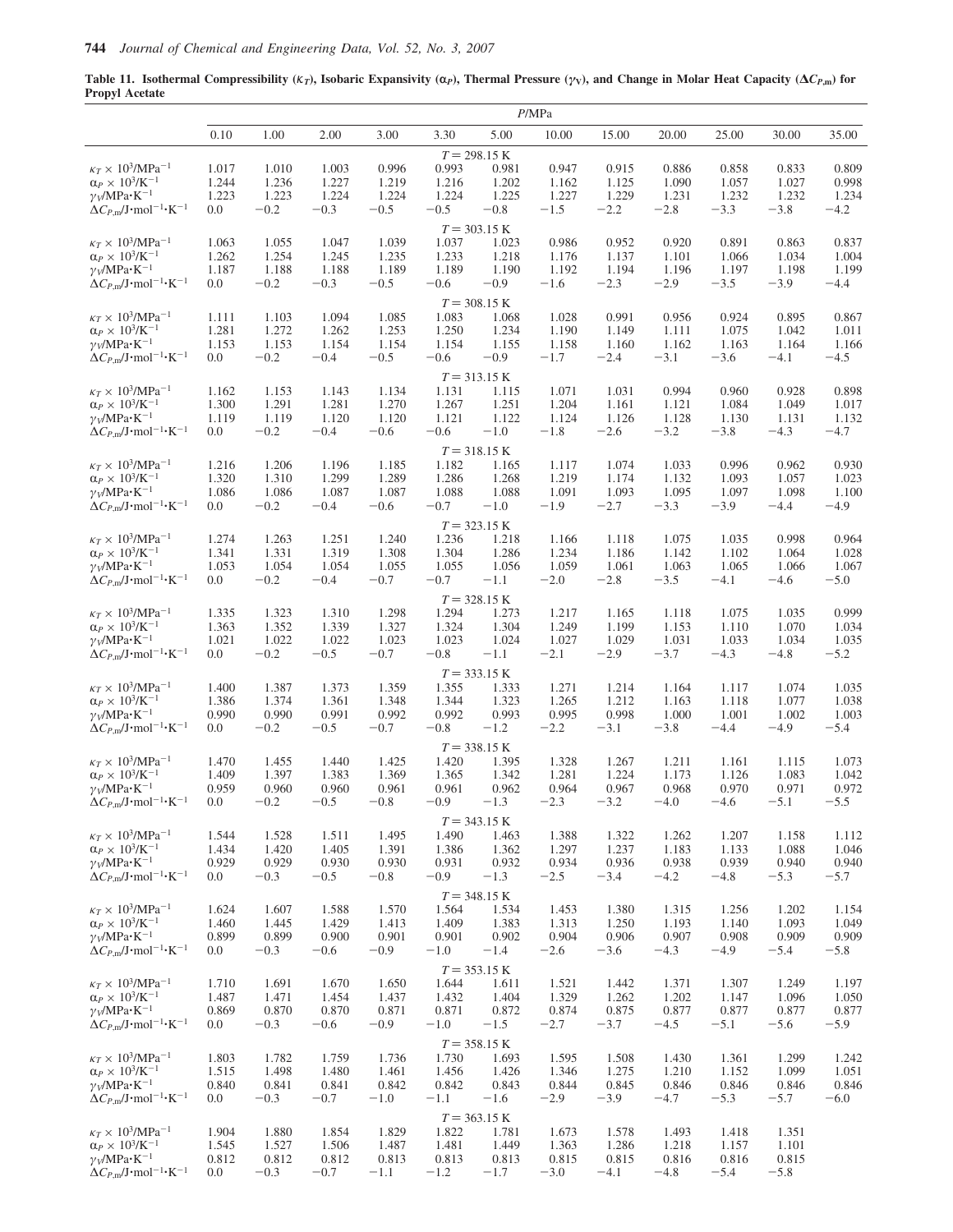**Table 11.** Isothermal Compressibility ( $K_T$ ), Isobaric Expansivity ( $\alpha$ <sub>*P*</sub>), Thermal Pressure ( $\gamma$ <sub>V</sub>), and Change in Molar Heat Capacity ( $\Delta C_{P,\text{m}}$ ) for **Propyl Acetate**

|                                                                                                          |                |                 |                 |                 |                 |                         | P/MPa           |                 |                 |                 |                 |                 |
|----------------------------------------------------------------------------------------------------------|----------------|-----------------|-----------------|-----------------|-----------------|-------------------------|-----------------|-----------------|-----------------|-----------------|-----------------|-----------------|
|                                                                                                          | 0.10           | 1.00            | 2.00            | 3.00            | 3.30            | 5.00                    | 10.00           | 15.00           | 20.00           | 25.00           | 30.00           | 35.00           |
|                                                                                                          |                |                 |                 |                 |                 | $T = 298.15 K$          |                 |                 |                 |                 |                 |                 |
| $\kappa_T \times 10^3/MPa^{-1}$                                                                          | 1.017          | 1.010           | 1.003           | 0.996           | 0.993           | 0.981                   | 0.947           | 0.915           | 0.886           | 0.858           | 0.833           | 0.809           |
| $\alpha_P \times 10^3$ /K <sup>-1</sup>                                                                  | 1.244          | 1.236           | 1.227           | 1.219           | 1.216           | 1.202                   | 1.162           | 1.125           | 1.090           | 1.057           | 1.027           | 0.998           |
| $\gamma_V/MPa \cdot K^{-1}$<br>$\Delta C_{P,\text{m}}/\text{J}\cdot \text{mol}^{-1} \cdot \text{K}^{-1}$ | 1.223<br>0.0   | 1.223<br>$-0.2$ | 1.224<br>$-0.3$ | 1.224<br>$-0.5$ | 1.224<br>$-0.5$ | 1.225<br>$-0.8$         | 1.227<br>$-1.5$ | 1.229<br>$-2.2$ | 1.231<br>$-2.8$ | 1.232<br>$-3.3$ | 1.232<br>$-3.8$ | 1.234<br>$-4.2$ |
|                                                                                                          |                |                 |                 |                 |                 |                         |                 |                 |                 |                 |                 |                 |
|                                                                                                          |                |                 |                 |                 |                 | $T = 303.15 K$          |                 |                 |                 |                 |                 |                 |
| $\kappa_T \times$ $10^3\!/\mathrm{MPa^{-1}}$                                                             | 1.063          | 1.055           | 1.047           | 1.039           | 1.037           | 1.023                   | 0.986           | 0.952           | 0.920           | 0.891           | 0.863           | 0.837           |
| $\alpha_P \times 10^3$ /K <sup>-1</sup><br>$\gamma_V/MPa \cdot K^{-1}$                                   | 1.262<br>1.187 | 1.254<br>1.188  | 1.245<br>1.188  | 1.235<br>1.189  | 1.233<br>1.189  | 1.218<br>1.190          | 1.176<br>1.192  | 1.137<br>1.194  | 1.101<br>1.196  | 1.066<br>1.197  | 1.034<br>1.198  | 1.004<br>1.199  |
| $\Delta C_{P,\text{m}}/\text{J}\cdot \text{mol}^{-1} \cdot \text{K}^{-1}$                                | 0.0            | $-0.2$          | $-0.3$          | $-0.5$          | $-0.6$          | $-0.9$                  | $-1.6$          | $-2.3$          | $-2.9$          | $-3.5$          | $-3.9$          | $-4.4$          |
|                                                                                                          |                |                 |                 |                 |                 | $T = 308.15 \text{ K}$  |                 |                 |                 |                 |                 |                 |
| $\kappa_T \times 10^3/MPa^{-1}$                                                                          | 1.111          | 1.103           | 1.094           | 1.085           | 1.083           | 1.068                   | 1.028           | 0.991           | 0.956           | 0.924           | 0.895           | 0.867           |
| $\alpha_P \times 10^3$ /K <sup>-1</sup>                                                                  | 1.281          | 1.272           | 1.262           | 1.253           | 1.250           | 1.234                   | 1.190           | 1.149           | 1.111           | 1.075           | 1.042           | 1.011           |
| $\gamma_V/MPa \cdot K^{-1}$                                                                              | 1.153          | 1.153           | 1.154           | 1.154           | 1.154           | 1.155                   | 1.158           | 1.160           | 1.162           | 1.163           | 1.164           | 1.166           |
| $\Delta C_{P,\text{m}}/J \cdot \text{mol}^{-1} \cdot \text{K}^{-1}$                                      | 0.0            | $-0.2$          | $-0.4$          | $-0.5$          | $-0.6$          | $-0.9$                  | $-1.7$          | $-2.4$          | $-3.1$          | $-3.6$          | $-4.1$          | $-4.5$          |
|                                                                                                          |                |                 |                 |                 |                 | $T = 313.15 \text{ K}$  |                 |                 |                 |                 |                 |                 |
| $\kappa_T \times 10^3/\text{MPa}^{-1}$                                                                   | 1.162          | 1.153           | 1.143           | 1.134           | 1.131           | 1.115                   | 1.071           | 1.031           | 0.994           | 0.960           | 0.928           | 0.898           |
| $\alpha_P \times 10^3$ /K <sup>-1</sup>                                                                  | 1.300          | 1.291           | 1.281           | 1.270           | 1.267           | 1.251                   | 1.204           | 1.161           | 1.121           | 1.084           | 1.049           | 1.017           |
| $\gamma_V/MPa \cdot K^{-1}$                                                                              | 1.119          | 1.119           | 1.120           | 1.120           | 1.121           | 1.122                   | 1.124           | 1.126           | 1.128           | 1.130           | 1.131           | 1.132           |
| $\Delta C_{P,\text{m}}/J \cdot \text{mol}^{-1} \cdot \text{K}^{-1}$                                      | 0.0            | $-0.2$          | $-0.4$          | $-0.6$          | $-0.6$          | $-1.0$                  | $-1.8$          | $-2.6$          | $-3.2$          | $-3.8$          | $-4.3$          | $-4.7$          |
|                                                                                                          |                |                 |                 |                 |                 | $T = 318.15 \text{ K}$  |                 |                 |                 |                 |                 |                 |
| $\kappa_T \times 10^3/\text{MPa}^{-1}$                                                                   | 1.216          | 1.206           | 1.196           | 1.185           | 1.182           | 1.165                   | 1.117           | 1.074           | 1.033           | 0.996           | 0.962           | 0.930           |
| $\alpha_P \times 10^3/K^{-1}$                                                                            | 1.320          | 1.310           | 1.299           | 1.289           | 1.286           | 1.268                   | 1.219           | 1.174           | 1.132           | 1.093           | 1.057           | 1.023           |
| $\gamma_V/MPa \cdot K^{-1}$                                                                              | 1.086          | 1.086           | 1.087           | 1.087           | 1.088           | 1.088                   | 1.091           | 1.093           | 1.095           | 1.097           | 1.098           | 1.100           |
| $\Delta C_{P,\text{m}}/J \cdot \text{mol}^{-1} \cdot \text{K}^{-1}$                                      | 0.0            | $-0.2$          | $-0.4$          | $-0.6$          | $-0.7$          | $-1.0$                  | $-1.9$          | $-2.7$          | $-3.3$          | $-3.9$          | $-4.4$          | $-4.9$          |
|                                                                                                          |                |                 |                 |                 |                 | $T = 323.15 K$          |                 |                 |                 |                 |                 |                 |
| $\kappa_T \times 10^3/\text{MPa}^{-1}$                                                                   | 1.274          | 1.263           | 1.251           | 1.240           | 1.236           | 1.218                   | 1.166           | 1.118           | 1.075           | 1.035           | 0.998           | 0.964           |
| $\alpha_P \times 10^3/\text{K}^{-1}$                                                                     | 1.341          | 1.331           | 1.319           | 1.308           | 1.304           | 1.286                   | 1.234           | 1.186           | 1.142           | 1.102           | 1.064           | 1.028           |
| $\gamma_V/MPa \cdot K^{-1}$                                                                              | 1.053          | 1.054           | 1.054           | 1.055           | 1.055           | 1.056                   | 1.059           | 1.061           | 1.063           | 1.065           | 1.066           | 1.067           |
| $\Delta C_{P,\text{m}}/J \cdot \text{mol}^{-1} \cdot \text{K}^{-1}$                                      | 0.0            | $-0.2$          | $-0.4$          | $-0.7$          | $-0.7$          | $-1.1\,$                | $-2.0$          | $-2.8$          | $-3.5$          | $-4.1$          | $-4.6$          | $-5.0$          |
|                                                                                                          |                |                 |                 |                 |                 | $T = 328.15 \text{ K}$  |                 |                 |                 |                 |                 |                 |
| $\kappa_T \times$ $10^3\!/\mathrm{MPa^{-1}}$                                                             | 1.335          | 1.323           | 1.310           | 1.298           | 1.294           | 1.273                   | 1.217           | 1.165           | 1.118           | 1.075           | 1.035           | 0.999           |
| $\alpha_P \times\,10^3\text{/K}^{-1}$                                                                    | 1.363<br>1.021 | 1.352<br>1.022  | 1.339<br>1.022  | 1.327<br>1.023  | 1.324<br>1.023  | 1.304<br>1.024          | 1.249<br>1.027  | 1.199<br>1.029  | 1.153<br>1.031  | 1.110<br>1.033  | 1.070<br>1.034  | 1.034<br>1.035  |
| $\gamma_V/MPa \cdot K^{-1}$<br>$\Delta C_{P,m}/J \cdot$ mol <sup>-1</sup> ·K <sup>-1</sup>               | 0.0            | $-0.2$          | $-0.5$          | $-0.7$          | $-0.8$          | $-1.1$                  | $-2.1$          | $-2.9$          | $-3.7$          | $-4.3$          | $-4.8$          | $-5.2$          |
|                                                                                                          |                |                 |                 |                 |                 |                         |                 |                 |                 |                 |                 |                 |
| $\kappa_T \times$ $10^3\!/\mathrm{MPa^{-1}}$                                                             |                |                 |                 |                 |                 | $T = 333.15 K$          |                 |                 |                 |                 |                 |                 |
| $\alpha_P \times 10^3$ /K <sup>-1</sup>                                                                  | 1.400<br>1.386 | 1.387<br>1.374  | 1.373<br>1.361  | 1.359<br>1.348  | 1.355<br>1.344  | 1.333<br>1.323          | 1.271<br>1.265  | 1.214<br>1.212  | 1.164<br>1.163  | 1.117<br>1.118  | 1.074<br>1.077  | 1.035<br>1.038  |
| $\gamma_V/MPa \cdot K^{-1}$                                                                              | 0.990          | 0.990           | 0.991           | 0.992           | 0.992           | 0.993                   | 0.995           | 0.998           | 1.000           | 1.001           | 1.002           | 1.003           |
| $\Delta C_{P,\text{m}}/\text{J}\cdot\text{mol}^{-1}\cdot\text{K}^{-1}$                                   | 0.0            | $-0.2$          | $-0.5$          | $-0.7$          | $-0.8$          | $-1.2$                  | $-2.2$          | $-3.1$          | $-3.8$          | $-4.4$          | $-4.9$          | $-5.4$          |
|                                                                                                          |                |                 |                 |                 |                 | $T = 338.15 K$          |                 |                 |                 |                 |                 |                 |
| $\kappa_T \times$ $10^3\!/\mathrm{MPa^{-1}}$                                                             | 1.470          | 1.455           | 1.440           | 1.425           | 1.420           | 1.395                   | 1.328           | 1.267           | 1.211           | 1.161           | 1.115           | 1.073           |
| $\alpha_P \times 10^3/K^{-1}$                                                                            | 1.409          | 1.397           | 1.383           | 1.369           | 1.365           | 1.342                   | 1.281           | 1.224           | 1.173           | 1.126           | 1.083           | 1.042           |
| $\gamma_V/MPa \cdot K^{-1}$                                                                              | 0.959          | 0.960           | 0.960           | 0.961           | 0.961           | 0.962                   | 0.964           | 0.967           | 0.968           | 0.970           | 0.971           | 0.972           |
| $\Delta C_{P,\text{m}}/\text{J}\cdot \text{mol}^{-1} \cdot \text{K}^{-1}$                                | 0.0            | $-0.2$          | $-0.5$          | $-0.8$          | $-0.9$          | $-1.3$                  | $-2.3$          | $-3.2$          | $-4.0$          | $-4.6$          | $-5.1$          | $-5.5$          |
|                                                                                                          |                |                 |                 |                 |                 | $T = 343.15 K$          |                 |                 |                 |                 |                 |                 |
| $\kappa_T \times 10^3/\text{MPa}^{-1}$                                                                   | 1.544          | 1.528           | 1.511           | 1.495           | 1.490           | 1.463                   | 1.388           | 1.322           | 1.262           | 1.207           | 1.158           | 1.112           |
| $\alpha_P \times 10^3$ /K <sup>-1</sup>                                                                  | 1.434          | 1.420           | 1.405           | 1.391           | 1.386           | 1.362                   | 1.297           | 1.237           | 1.183           | 1.133           | 1.088           | 1.046           |
| $\gamma_V/MPa \cdot K^{-1}$                                                                              | 0.929          | 0.929           | 0.930           | 0.930           | 0.931           | 0.932                   | 0.934           | 0.936           | 0.938           | 0.939           | 0.940           | 0.940           |
| $\Delta C_{P,\text{m}}/\text{J}\cdot \text{mol}^{-1} \cdot \text{K}^{-1}$                                | 0.0            | $-0.3$          | $-0.5$          | $-0.8$          | $-0.9$          | $-1.3$                  | $-2.5$          | $-3.4$          | $-4.2$          | $-4.8$          | $-5.3$          | $-5.7$          |
|                                                                                                          |                |                 |                 |                 |                 | $T = 348.15$ K          |                 |                 |                 |                 |                 |                 |
| $\kappa_T \times 10^3/MPa^{-1}$                                                                          | 1.624          | 1.607           | 1.588           | 1.570           | 1.564           | 1.534                   | 1.453           | 1.380           | 1.315           | 1.256           | 1.202           | 1.154           |
| $\alpha_P \times 10^3$ /K <sup>-1</sup>                                                                  | 1.460          | 1.445           | 1.429           | 1.413           | 1.409           | 1.383                   | 1.313           | 1.250           | 1.193           | 1.140           | 1.093           | 1.049           |
| $\gamma_V/MPa \cdot K^{-1}$                                                                              | 0.899          | 0.899           | 0.900           | 0.901           | 0.901           | 0.902                   | 0.904           | 0.906           | 0.907           | 0.908           | 0.909           | 0.909           |
| $\Delta C_{P,\text{m}}/\text{J}\cdot\text{mol}^{-1}\cdot\text{K}^{-1}$                                   | 0.0            | $-0.3$          | $-0.6$          | $-0.9$          | $-1.0$          | $-1.4$                  | $-2.6$          | $-3.6$          | $-4.3$          | $-4.9$          | $-5.4$          | $-5.8$          |
|                                                                                                          |                |                 |                 |                 |                 | $T = 353.15 K$          |                 |                 |                 |                 |                 |                 |
| $\kappa_T \times 10^3/MPa^{-1}$                                                                          | 1.710          | 1.691           | 1.670           | 1.650           | 1.644           | 1.611                   | 1.521           | 1.442           | 1.371           | 1.307           | 1.249           | 1.197           |
| $\alpha_P \times 10^3$ /K <sup>-1</sup>                                                                  | 1.487          | 1.471           | 1.454           | 1.437           | 1.432           | 1.404                   | 1.329           | 1.262           | 1.202           | 1.147           | 1.096           | 1.050           |
| $\gamma_V/MPa \cdot K^{-1}$                                                                              | 0.869<br>0.0   | 0.870           | 0.870           | 0.871           | 0.871           | 0.872                   | 0.874           | 0.875           | 0.877           | 0.877           | 0.877           | 0.877           |
| $\Delta C_{P,\text{m}}/J \cdot \text{mol}^{-1} \cdot \text{K}^{-1}$                                      |                | $-0.3$          | $-0.6$          | $-0.9$          | $-1.0$          | $-1.5$                  | $-2.7$          | $-3.7$          | $-4.5$          | $-5.1$          | $-5.6$          | $-5.9$          |
|                                                                                                          |                |                 |                 |                 |                 | $T = 358.15 K$          |                 |                 |                 |                 |                 |                 |
| $\kappa_T \times 10^3/MPa^{-1}$                                                                          | 1.803          | 1.782           | 1.759           | 1.736           | 1.730           | 1.693                   | 1.595           | 1.508           | 1.430           | 1.361           | 1.299           | 1.242           |
| $\alpha_P \times 10^3$ /K <sup>-1</sup><br>$\gamma_V/MPa \cdot K^{-1}$                                   | 1.515<br>0.840 | 1.498<br>0.841  | 1.480<br>0.841  | 1.461<br>0.842  | 1.456<br>0.842  | 1.426<br>0.843          | 1.346<br>0.844  | 1.275<br>0.845  | 1.210<br>0.846  | 1.152<br>0.846  | 1.099<br>0.846  | 1.051<br>0.846  |
| $\Delta C_{P,\text{m}}/J \cdot \text{mol}^{-1} \cdot \text{K}^{-1}$                                      | 0.0            | $-0.3$          | $-0.7$          | $-1.0$          | $-1.1$          | $-1.6$                  | $-2.9$          | $-3.9$          | $-4.7$          | $-5.3$          | $-5.7$          | $-6.0$          |
|                                                                                                          |                |                 |                 |                 |                 |                         |                 |                 |                 |                 |                 |                 |
| $\kappa_T \times 10^3/MPa^{-1}$                                                                          | 1.904          | 1.880           | 1.854           | 1.829           | 1.822           | $T = 363.15 K$<br>1.781 | 1.673           | 1.578           | 1.493           | 1.418           | 1.351           |                 |
| $\alpha_P \times 10^3$ /K <sup>-1</sup>                                                                  | 1.545          | 1.527           | 1.506           | 1.487           | 1.481           | 1.449                   | 1.363           | 1.286           | 1.218           | 1.157           | 1.101           |                 |
| $\gamma_V/MPa \cdot K^{-1}$                                                                              | 0.812          | 0.812           | 0.812           | 0.813           | 0.813           | 0.813                   | 0.815           | 0.815           | 0.816           | 0.816           | 0.815           |                 |
| $\Delta C_{P,m}/J \cdot$ mol <sup>-1</sup> ·K <sup>-1</sup>                                              | 0.0            | $-0.3$          | $-0.7$          | $-1.1$          | $-1.2$          | $-1.7$                  | $-3.0$          | $-4.1$          | $-4.8$          | $-5.4$          | $-5.8$          |                 |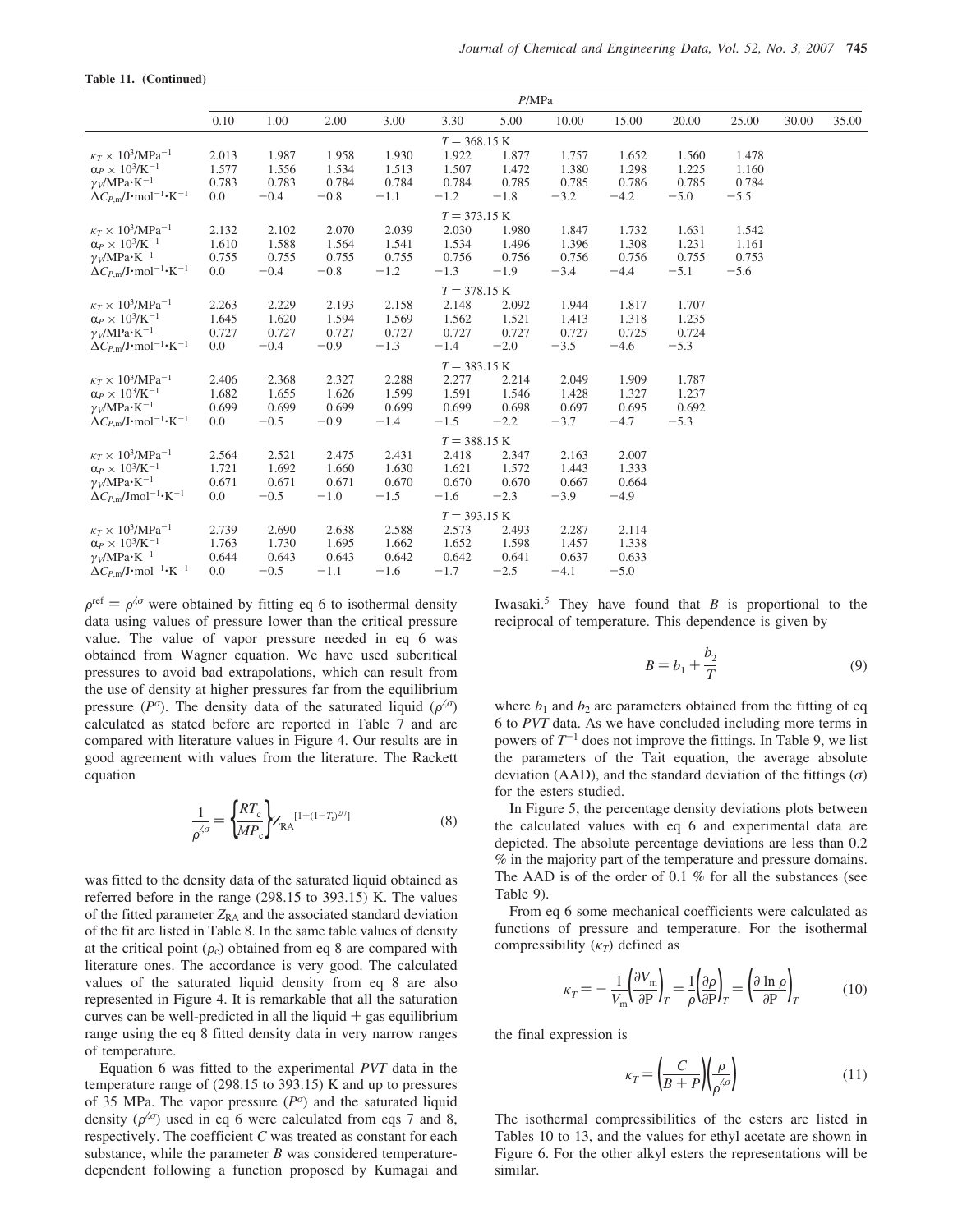|  | Table 11. (Continued) |
|--|-----------------------|
|--|-----------------------|

|                                                                     | P/MPa |        |        |        |                        |        |        |        |        |        |       |       |
|---------------------------------------------------------------------|-------|--------|--------|--------|------------------------|--------|--------|--------|--------|--------|-------|-------|
|                                                                     | 0.10  | 1.00   | 2.00   | 3.00   | 3.30                   | 5.00   | 10.00  | 15.00  | 20.00  | 25.00  | 30.00 | 35.00 |
|                                                                     |       |        |        |        | $T = 368.15$ K         |        |        |        |        |        |       |       |
| $\kappa_T \times 10^3/\text{MPa}^{-1}$                              | 2.013 | 1.987  | 1.958  | 1.930  | 1.922                  | 1.877  | 1.757  | 1.652  | 1.560  | 1.478  |       |       |
| $\alpha_P \times 10^3$ /K <sup>-1</sup>                             | 1.577 | 1.556  | 1.534  | 1.513  | 1.507                  | 1.472  | 1.380  | 1.298  | 1.225  | 1.160  |       |       |
| $\gamma$ <sub>V</sub> /MPa·K <sup>-1</sup>                          | 0.783 | 0.783  | 0.784  | 0.784  | 0.784                  | 0.785  | 0.785  | 0.786  | 0.785  | 0.784  |       |       |
| $\Delta C_{P,m}/J$ ·mol <sup>-1</sup> ·K <sup>-1</sup>              | 0.0   | $-0.4$ | $-0.8$ | $-1.1$ | $-1.2$                 | $-1.8$ | $-3.2$ | $-4.2$ | $-5.0$ | $-5.5$ |       |       |
|                                                                     |       |        |        |        | $T = 373.15 K$         |        |        |        |        |        |       |       |
| $\kappa_T \times 10^3/\text{MPa}^{-1}$                              | 2.132 | 2.102  | 2.070  | 2.039  | 2.030                  | 1.980  | 1.847  | 1.732  | 1.631  | 1.542  |       |       |
| $\alpha_P \times 10^3$ /K <sup>-1</sup>                             | 1.610 | 1.588  | 1.564  | 1.541  | 1.534                  | 1.496  | 1.396  | 1.308  | 1.231  | 1.161  |       |       |
| $\gamma_V/MPa \cdot K^{-1}$                                         | 0.755 | 0.755  | 0.755  | 0.755  | 0.756                  | 0.756  | 0.756  | 0.756  | 0.755  | 0.753  |       |       |
| $\Delta C_{P,\text{m}}/J \cdot \text{mol}^{-1} \cdot \text{K}^{-1}$ | 0.0   | $-0.4$ | $-0.8$ | $-1.2$ | $-1.3$                 | $-1.9$ | $-3.4$ | $-4.4$ | $-5.1$ | $-5.6$ |       |       |
|                                                                     |       |        |        |        | $T = 378.15 \text{ K}$ |        |        |        |        |        |       |       |
| $\kappa_T \times 10^3/\text{MPa}^{-1}$                              | 2.263 | 2.229  | 2.193  | 2.158  | 2.148                  | 2.092  | 1.944  | 1.817  | 1.707  |        |       |       |
| $\alpha_P \times 10^3$ /K <sup>-1</sup>                             | 1.645 | 1.620  | 1.594  | 1.569  | 1.562                  | 1.521  | 1.413  | 1.318  | 1.235  |        |       |       |
| $\gamma_V/MPa \cdot K^{-1}$                                         | 0.727 | 0.727  | 0.727  | 0.727  | 0.727                  | 0.727  | 0.727  | 0.725  | 0.724  |        |       |       |
| $\Delta C_{P,m}/J$ ·mol <sup>-1</sup> ·K <sup>-1</sup>              | 0.0   | $-0.4$ | $-0.9$ | $-1.3$ | $-1.4$                 | $-2.0$ | $-3.5$ | $-4.6$ | $-5.3$ |        |       |       |
|                                                                     |       |        |        |        | $T = 383.15 \text{ K}$ |        |        |        |        |        |       |       |
| $\kappa_T \times 10^3/\mathrm{MPa^{-1}}$                            | 2.406 | 2.368  | 2.327  | 2.288  | 2.277                  | 2.214  | 2.049  | 1.909  | 1.787  |        |       |       |
| $\alpha_P \times 10^3$ /K <sup>-1</sup>                             | 1.682 | 1.655  | 1.626  | 1.599  | 1.591                  | 1.546  | 1.428  | 1.327  | 1.237  |        |       |       |
| $\gamma_V/MPa \cdot K^{-1}$                                         | 0.699 | 0.699  | 0.699  | 0.699  | 0.699                  | 0.698  | 0.697  | 0.695  | 0.692  |        |       |       |
| $\Delta C_{P,m}/J$ ·mol <sup>-1</sup> ·K <sup>-1</sup>              | 0.0   | $-0.5$ | $-0.9$ | $-1.4$ | $-1.5$                 | $-2.2$ | $-3.7$ | $-4.7$ | $-5.3$ |        |       |       |
|                                                                     |       |        |        |        | $T = 388.15 K$         |        |        |        |        |        |       |       |
| $\kappa_T \times 10^3/\text{MPa}^{-1}$                              | 2.564 | 2.521  | 2.475  | 2.431  | 2.418                  | 2.347  | 2.163  | 2.007  |        |        |       |       |
| $\alpha_P \times 10^3/K^{-1}$                                       | 1.721 | 1.692  | 1.660  | 1.630  | 1.621                  | 1.572  | 1.443  | 1.333  |        |        |       |       |
| $\gamma_V/MPa \cdot K^{-1}$                                         | 0.671 | 0.671  | 0.671  | 0.670  | 0.670                  | 0.670  | 0.667  | 0.664  |        |        |       |       |
| $\Delta C_{P,m}$ /Jmol <sup>-1</sup> ·K <sup>-1</sup>               | 0.0   | $-0.5$ | $-1.0$ | $-1.5$ | $-1.6$                 | $-2.3$ | $-3.9$ | $-4.9$ |        |        |       |       |
|                                                                     |       |        |        |        | $T = 393.15 K$         |        |        |        |        |        |       |       |
| $\kappa_T \times 10^3/\text{MPa}^{-1}$                              | 2.739 | 2.690  | 2.638  | 2.588  | 2.573                  | 2.493  | 2.287  | 2.114  |        |        |       |       |
| $\alpha_P \times 10^3 / K^{-1}$                                     | 1.763 | 1.730  | 1.695  | 1.662  | 1.652                  | 1.598  | 1.457  | 1.338  |        |        |       |       |
| $\gamma$ <sub>V</sub> /MPa·K <sup>-1</sup>                          | 0.644 | 0.643  | 0.643  | 0.642  | 0.642                  | 0.641  | 0.637  | 0.633  |        |        |       |       |
| $\Delta C_{P,m}$ /J·mol <sup>-1</sup> ·K <sup>-1</sup>              | 0.0   | $-0.5$ | $-1.1$ | $-1.6$ | $-1.7$                 | $-2.5$ | $-4.1$ | $-5.0$ |        |        |       |       |
|                                                                     |       |        |        |        |                        |        |        |        |        |        |       |       |

 $\rho^{\text{ref}} = \rho^{\zeta \sigma}$  were obtained by fitting eq 6 to isothermal density data using values of pressure lower than the critical pressure value. The value of vapor pressure needed in eq 6 was obtained from Wagner equation. We have used subcritical pressures to avoid bad extrapolations, which can result from the use of density at higher pressures far from the equilibrium pressure ( $P^{\sigma}$ ). The density data of the saturated liquid ( $\rho^{\langle \sigma \rangle}$ ) calculated as stated before are reported in Table 7 and are compared with literature values in Figure 4. Our results are in good agreement with values from the literature. The Rackett equation

$$
\frac{1}{\rho^{\langle \sigma \rangle}} = \left\{ \frac{RT_c}{MP_c} \right\} Z_{\text{RA}}^{[1 + (1 - T_t)^{2/7}]} \tag{8}
$$

was fitted to the density data of the saturated liquid obtained as referred before in the range  $(298.15 \text{ to } 393.15)$  K. The values of the fitted parameter  $Z_{RA}$  and the associated standard deviation of the fit are listed in Table 8. In the same table values of density at the critical point  $(\rho_c)$  obtained from eq 8 are compared with literature ones. The accordance is very good. The calculated values of the saturated liquid density from eq 8 are also represented in Figure 4. It is remarkable that all the saturation curves can be well-predicted in all the liquid  $+$  gas equilibrium range using the eq 8 fitted density data in very narrow ranges of temperature.

Equation 6 was fitted to the experimental *PVT* data in the temperature range of (298.15 to 393.15) K and up to pressures of 35 MPa. The vapor pressure  $(P^{\sigma})$  and the saturated liquid density  $(\rho^{\langle\sigma\rangle})$  used in eq 6 were calculated from eqs 7 and 8, respectively. The coefficient *C* was treated as constant for each substance, while the parameter  $B$  was considered temperaturedependent following a function proposed by Kumagai and

Iwasaki.<sup>5</sup> They have found that  $B$  is proportional to the reciprocal of temperature. This dependence is given by

$$
B = b_1 + \frac{b_2}{T}
$$
 (9)

where  $b_1$  and  $b_2$  are parameters obtained from the fitting of eq 6 to *PVT* data. As we have concluded including more terms in powers of  $T^{-1}$  does not improve the fittings. In Table 9, we list the parameters of the Tait equation, the average absolute deviation (AAD), and the standard deviation of the fittings  $(\sigma)$ for the esters studied.

In Figure 5, the percentage density deviations plots between the calculated values with eq 6 and experimental data are depicted. The absolute percentage deviations are less than 0.2 % in the majority part of the temperature and pressure domains. The AAD is of the order of 0.1 % for all the substances (see Table 9).

From eq 6 some mechanical coefficients were calculated as functions of pressure and temperature. For the isothermal compressibility  $(\kappa_T)$  defined as

$$
\kappa_T = -\frac{1}{V_{\rm m}} \left( \frac{\partial V_{\rm m}}{\partial P} \right)_T = \frac{1}{\rho} \left( \frac{\partial \rho}{\partial P} \right)_T = \left( \frac{\partial \ln \rho}{\partial P} \right)_T \tag{10}
$$

the final expression is

$$
\kappa_T = \left(\frac{C}{B+P}\right)\left(\frac{\rho}{\rho^{\langle \sigma \rangle}}\right) \tag{11}
$$

The isothermal compressibilities of the esters are listed in Tables 10 to 13, and the values for ethyl acetate are shown in Figure 6. For the other alkyl esters the representations will be similar.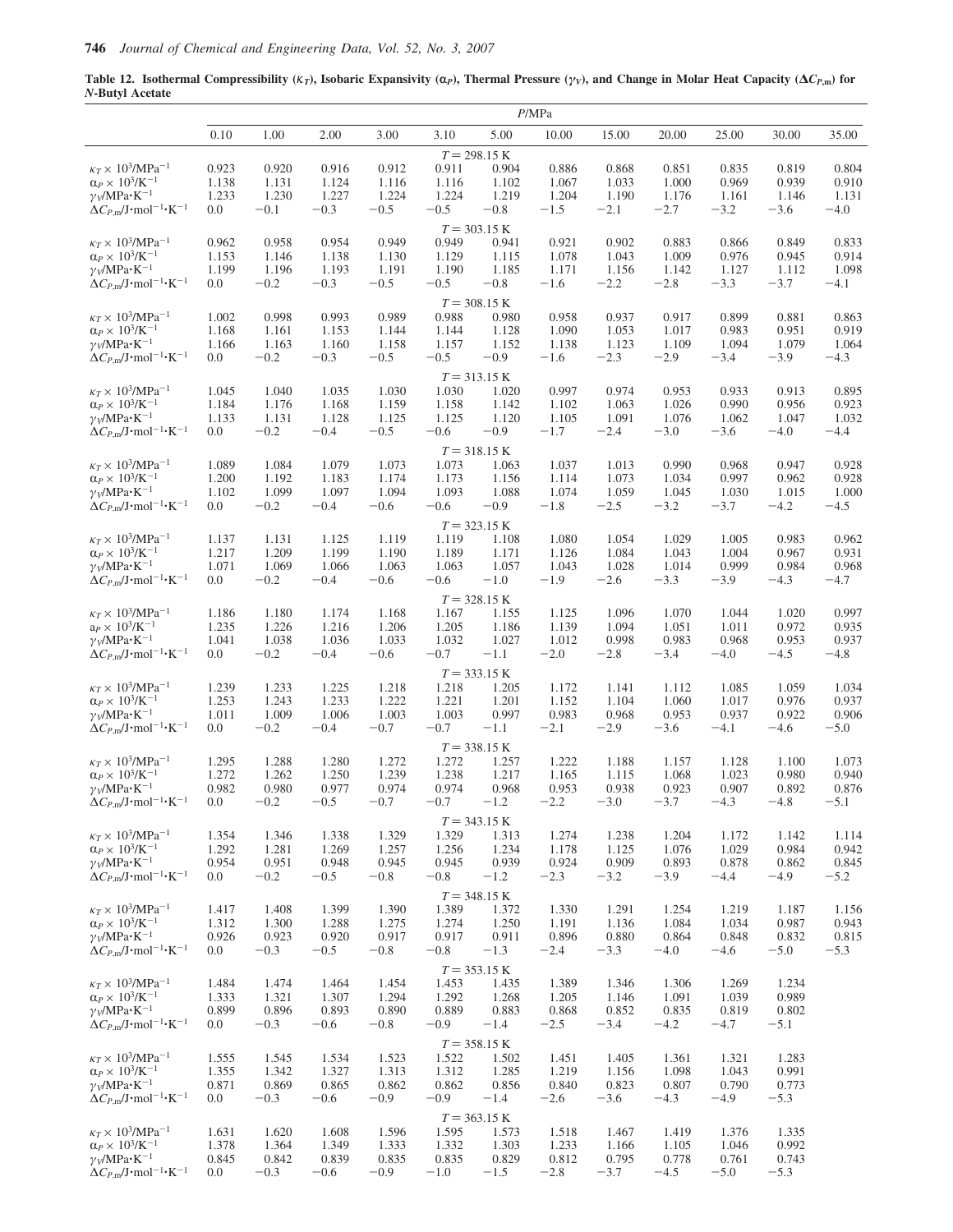**Table 12.** Isothermal Compressibility ( $K_T$ ), Isobaric Expansivity ( $\alpha$ <sub>*P*</sub>), Thermal Pressure ( $\gamma$ *v*), and Change in Molar Heat Capacity ( $\Delta C_{P,\text{m}}$ ) for *N***-Butyl Acetate**

|                                                                                                       |                |                 |                 |                 |                 |                         | P/MPa           |                 |                 |                 |                 |                 |
|-------------------------------------------------------------------------------------------------------|----------------|-----------------|-----------------|-----------------|-----------------|-------------------------|-----------------|-----------------|-----------------|-----------------|-----------------|-----------------|
|                                                                                                       | 0.10           | 1.00            | 2.00            | 3.00            | 3.10            | 5.00                    | 10.00           | 15.00           | 20.00           | 25.00           | 30.00           | 35.00           |
|                                                                                                       |                |                 |                 |                 |                 | $T = 298.15 K$          |                 |                 |                 |                 |                 |                 |
| $\kappa_T \times 10^3/\text{MPa}^{-1}$                                                                | 0.923          | 0.920           | 0.916           | 0.912           | 0.911           | 0.904                   | 0.886           | 0.868           | 0.851           | 0.835           | 0.819           | 0.804           |
| $\alpha_P \times 10^3$ /K <sup>-1</sup><br>$\gamma_V/MPa \cdot K^{-1}$                                | 1.138<br>1.233 | 1.131<br>1.230  | 1.124<br>1.227  | 1.116<br>1.224  | 1.116<br>1.224  | 1.102<br>1.219          | 1.067<br>1.204  | 1.033<br>1.190  | 1.000<br>1.176  | 0.969<br>1.161  | 0.939<br>1.146  | 0.910<br>1.131  |
| $\Delta C_{P,\text{m}}/\text{J}\cdot \text{mol}^{-1} \cdot \text{K}^{-1}$                             | 0.0            | $-0.1$          | $-0.3$          | $-0.5$          | $-0.5$          | $-0.8$                  | $-1.5$          | $-2.1$          | $-2.7$          | $-3.2$          | $-3.6$          | $-4.0$          |
|                                                                                                       |                |                 |                 |                 |                 | $T = 303.15 K$          |                 |                 |                 |                 |                 |                 |
| $\kappa_T \times 10^3/\text{MPa}^{-1}$                                                                | 0.962          | 0.958           | 0.954           | 0.949           | 0.949           | 0.941                   | 0.921           | 0.902           | 0.883           | 0.866           | 0.849           | 0.833           |
| $\alpha_P \times 10^3$ /K <sup>-1</sup>                                                               | 1.153          | 1.146           | 1.138           | 1.130           | 1.129           | 1.115                   | 1.078           | 1.043           | 1.009           | 0.976           | 0.945           | 0.914           |
| $\gamma_V/MPa \cdot K^{-1}$                                                                           | 1.199          | 1.196           | 1.193           | 1.191           | 1.190           | 1.185                   | 1.171           | 1.156           | 1.142           | 1.127           | 1.112           | 1.098           |
| $\Delta C_{P,\text{m}}/\text{J}\cdot \text{mol}^{-1} \cdot \text{K}^{-1}$                             | 0.0            | $-0.2$          | $-0.3$          | $-0.5$          | $-0.5$          | $-0.8$                  | $-1.6$          | $-2.2$          | $-2.8$          | $-3.3$          | $-3.7$          | $-4.1$          |
|                                                                                                       |                |                 |                 |                 |                 | $T = 308.15$ K          |                 |                 |                 |                 |                 |                 |
| $\kappa_T \times 10^3/\text{MPa}^{-1}$                                                                | 1.002          | 0.998           | 0.993           | 0.989           | 0.988           | 0.980                   | 0.958           | 0.937           | 0.917           | 0.899           | 0.881           | 0.863           |
| $\alpha_P \times 10^3$ /K <sup>-1</sup>                                                               | 1.168          | 1.161           | 1.153           | 1.144           | 1.144           | 1.128                   | 1.090           | 1.053           | 1.017           | 0.983           | 0.951           | 0.919           |
| $\gamma_V/MPa \cdot K^{-1}$<br>$\Delta C_{P,\text{m}}/J \cdot \text{mol}^{-1} \cdot \text{K}^{-1}$    | 1.166<br>0.0   | 1.163<br>$-0.2$ | 1.160<br>$-0.3$ | 1.158<br>$-0.5$ | 1.157<br>$-0.5$ | 1.152<br>$-0.9$         | 1.138<br>$-1.6$ | 1.123<br>$-2.3$ | 1.109<br>$-2.9$ | 1.094<br>$-3.4$ | 1.079<br>$-3.9$ | 1.064<br>$-4.3$ |
|                                                                                                       |                |                 |                 |                 |                 |                         |                 |                 |                 |                 |                 |                 |
| $\kappa_T \times 10^3/\text{MPa}^{-1}$                                                                | 1.045          | 1.040           | 1.035           | 1.030           | 1.030           | $T = 313.15 K$<br>1.020 | 0.997           | 0.974           | 0.953           | 0.933           | 0.913           | 0.895           |
| $\alpha_P \times 10^3/K^{-1}$                                                                         | 1.184          | 1.176           | 1.168           | 1.159           | 1.158           | 1.142                   | 1.102           | 1.063           | 1.026           | 0.990           | 0.956           | 0.923           |
| $\gamma_V/MPa \cdot K^{-1}$                                                                           | 1.133          | 1.131           | 1.128           | 1.125           | 1.125           | 1.120                   | 1.105           | 1.091           | 1.076           | 1.062           | 1.047           | 1.032           |
| $\Delta C_{P,\text{m}}/J \cdot \text{mol}^{-1} \cdot \text{K}^{-1}$                                   | 0.0            | $-0.2$          | $-0.4$          | $-0.5$          | $-0.6$          | $-0.9$                  | $-1.7$          | $-2.4$          | $-3.0$          | $-3.6$          | $-4.0$          | $-4.4$          |
|                                                                                                       |                |                 |                 |                 |                 | $T = 318.15 K$          |                 |                 |                 |                 |                 |                 |
| $\kappa_T \times 10^3/\text{MPa}^{-1}$                                                                | 1.089          | 1.084           | 1.079           | 1.073           | 1.073           | 1.063                   | 1.037           | 1.013           | 0.990           | 0.968           | 0.947           | 0.928           |
| $\alpha_P \times\,10^3\text{/K}^{-1}$                                                                 | 1.200          | 1.192           | 1.183           | 1.174           | 1.173           | 1.156                   | 1.114           | 1.073           | 1.034           | 0.997           | 0.962           | 0.928           |
| $\gamma_V/MPa \cdot K^{-1}$                                                                           | 1.102          | 1.099           | 1.097           | 1.094           | 1.093           | 1.088                   | 1.074           | 1.059           | 1.045           | 1.030           | 1.015           | 1.000           |
| $\Delta C_{P,m}/J$ ·mol <sup>-1</sup> ·K <sup>-1</sup>                                                | 0.0            | $-0.2$          | $-0.4$          | $-0.6$          | $-0.6$          | $-0.9$                  | $-1.8$          | $-2.5$          | $-3.2$          | $-3.7$          | $-4.2$          | $-4.5$          |
|                                                                                                       |                |                 |                 |                 |                 | $T = 323.15 K$          |                 |                 |                 |                 |                 |                 |
| $\kappa_T \times 10^3/\text{MPa}^{-1}$                                                                | 1.137          | 1.131           | 1.125           | 1.119           | 1.119           | 1.108                   | 1.080           | 1.054           | 1.029           | 1.005           | 0.983           | 0.962           |
| $\alpha_P \times 10^3/K^{-1}$<br>$\gamma_V/MPa \cdot K^{-1}$                                          | 1.217<br>1.071 | 1.209<br>1.069  | 1.199<br>1.066  | 1.190<br>1.063  | 1.189<br>1.063  | 1.171<br>1.057          | 1.126<br>1.043  | 1.084<br>1.028  | 1.043<br>1.014  | 1.004<br>0.999  | 0.967<br>0.984  | 0.931<br>0.968  |
| $\Delta C_{P,\text{m}}/J \cdot \text{mol}^{-1} \cdot \text{K}^{-1}$                                   | 0.0            | $-0.2$          | $-0.4$          | $-0.6$          | $-0.6$          | $-1.0$                  | $-1.9$          | $-2.6$          | $-3.3$          | $-3.9$          | $-4.3$          | $-4.7$          |
|                                                                                                       |                |                 |                 |                 |                 | $T = 328.15 K$          |                 |                 |                 |                 |                 |                 |
| $\kappa_T \times 10^3/\text{MPa}^{-1}$                                                                | 1.186          | 1.180           | 1.174           | 1.168           | 1.167           | 1.155                   | 1.125           | 1.096           | 1.070           | 1.044           | 1.020           | 0.997           |
| $a_P \times 10^3 / K^{-1}$                                                                            | 1.235          | 1.226           | 1.216           | 1.206           | 1.205           | 1.186                   | 1.139           | 1.094           | 1.051           | 1.011           | 0.972           | 0.935           |
| $\gamma_V/MPa \cdot K^{-1}$                                                                           | 1.041          | 1.038           | 1.036           | 1.033           | 1.032           | 1.027                   | 1.012           | 0.998           | 0.983           | 0.968           | 0.953           | 0.937           |
| $\Delta C_{P,m}/J$ ·mol <sup>-1</sup> ·K <sup>-1</sup>                                                | 0.0            | $-0.2$          | $-0.4$          | $-0.6$          | $-0.7$          | $-1.1$                  | $-2.0$          | $-2.8$          | $-3.4$          | $-4.0$          | $-4.5$          | $-4.8$          |
|                                                                                                       |                |                 |                 |                 |                 | $T = 333.15 K$          |                 |                 |                 |                 |                 |                 |
| $\kappa_T \times 10^3/\text{MPa}^{-1}$                                                                | 1.239          | 1.233           | 1.225           | 1.218           | 1.218           | 1.205                   | 1.172           | 1.141           | 1.112           | 1.085           | 1.059           | 1.034           |
| $\alpha_P \times 10^3$ /K <sup>-1</sup>                                                               | 1.253          | 1.243           | 1.233           | 1.222           | 1.221           | 1.201                   | 1.152           | 1.104           | 1.060           | 1.017           | 0.976           | 0.937           |
| $\gamma_V/MPa \cdot K^{-1}$<br>$\Delta C_{P,\text{m}}/\text{J}\cdot\text{mol}^{-1}\cdot\text{K}^{-1}$ | 1.011<br>0.0   | 1.009<br>$-0.2$ | 1.006<br>$-0.4$ | 1.003<br>$-0.7$ | 1.003<br>$-0.7$ | 0.997<br>$-1.1$         | 0.983<br>$-2.1$ | 0.968<br>$-2.9$ | 0.953<br>$-3.6$ | 0.937<br>$-4.1$ | 0.922<br>$-4.6$ | 0.906<br>$-5.0$ |
|                                                                                                       |                |                 |                 |                 |                 |                         |                 |                 |                 |                 |                 |                 |
| $\kappa_T \times 10^3/\text{MPa}^{-1}$                                                                | 1.295          | 1.288           | 1.280           | 1.272           | 1.272           | $T = 338.15 K$<br>1.257 | 1.222           | 1.188           | 1.157           | 1.128           | 1.100           | 1.073           |
| $\alpha_P \times\,10^3\text{/K}^{-1}$                                                                 | 1.272          | 1.262           | 1.250           | 1.239           | 1.238           | 1.217                   | 1.165           | 1.115           | 1.068           | 1.023           | 0.980           | 0.940           |
| $\gamma_V/MPa \cdot K^{-1}$                                                                           | 0.982          | 0.980           | 0.977           | 0.974           | 0.974           | 0.968                   | 0.953           | 0.938           | 0.923           | 0.907           | 0.892           | 0.876           |
| $\Delta C_{P,\text{m}}/\text{J}\cdot \text{mol}^{-1} \cdot \text{K}^{-1}$                             | 0.0            | $-0.2$          | $-0.5$          | $-0.7$          | $-0.7$          | $-1.2$                  | $-2.2$          | $-3.0$          | $-3.7$          | $-4.3$          | $-4.8$          | $-5.1$          |
|                                                                                                       |                |                 |                 |                 |                 | $T = 343.15 K$          |                 |                 |                 |                 |                 |                 |
| $\kappa_T \times 10^3/\text{MPa}^{-1}$                                                                | 1.354          | 1.346           | 1.338           | 1.329           | 1.329           | 1.313                   | 1.274           | 1.238           | 1.204           | 1.172           | 1.142           | 1.114           |
| $\alpha_P \times 10^3/K^{-1}$                                                                         | 1.292          | 1.281           | 1.269           | 1.257           | 1.256           | 1.234                   | 1.178           | 1.125           | 1.076           | 1.029           | 0.984           | 0.942           |
| $\gamma_V/MPa \cdot K^{-1}$                                                                           | 0.954<br>0.0   | 0.951           | 0.948           | 0.945<br>$-0.8$ | 0.945           | 0.939                   | 0.924           | 0.909           | 0.893           | 0.878           | 0.862<br>$-4.9$ | 0.845           |
| $\Delta C_{P,m}/J \cdot$ mol <sup>-1</sup> ·K <sup>-1</sup>                                           |                | $-0.2$          | $-0.5$          |                 | $-0.8$          | $-1.2$                  | $-2.3$          | $-3.2$          | $-3.9$          | $-4.4$          |                 | $-5.2$          |
|                                                                                                       |                |                 |                 |                 |                 | $T = 348.15 K$          |                 |                 |                 |                 |                 |                 |
| $\kappa_T \times 10^3/\text{MPa}^{-1}$<br>$\alpha_P \times 10^3$ /K <sup>-1</sup>                     | 1.417<br>1.312 | 1.408<br>1.300  | 1.399<br>1.288  | 1.390<br>1.275  | 1.389<br>1.274  | 1.372<br>1.250          | 1.330<br>1.191  | 1.291<br>1.136  | 1.254<br>1.084  | 1.219<br>1.034  | 1.187<br>0.987  | 1.156<br>0.943  |
| $\gamma_V/MPa \cdot K^{-1}$                                                                           | 0.926          | 0.923           | 0.920           | 0.917           | 0.917           | 0.911                   | 0.896           | 0.880           | 0.864           | 0.848           | 0.832           | 0.815           |
| $\Delta C_{P,\text{m}}/J \cdot \text{mol}^{-1} \cdot K^{-1}$                                          | 0.0            | $-0.3$          | $-0.5$          | $-0.8$          | $-0.8$          | $-1.3$                  | $-2.4$          | $-3.3$          | $-4.0$          | $-4.6$          | $-5.0$          | $-5.3$          |
|                                                                                                       |                |                 |                 |                 |                 | $T = 353.15 K$          |                 |                 |                 |                 |                 |                 |
| $\kappa_T \times 10^3/\text{MPa}^{-1}$                                                                | 1.484          | 1.474           | 1.464           | 1.454           | 1.453           | 1.435                   | 1.389           | 1.346           | 1.306           | 1.269           | 1.234           |                 |
| $\alpha_P \times 10^3$ /K <sup>-1</sup>                                                               | 1.333          | 1.321           | 1.307           | 1.294           | 1.292           | 1.268                   | 1.205           | 1.146           | 1.091           | 1.039           | 0.989           |                 |
| $\gamma_V/MPa \cdot K^{-1}$                                                                           | 0.899          | 0.896           | 0.893           | 0.890           | 0.889           | 0.883                   | 0.868           | 0.852           | 0.835           | 0.819           | 0.802           |                 |
| $\Delta C_{P,\text{m}}/J \cdot \text{mol}^{-1} \cdot K^{-1}$                                          | 0.0            | $-0.3$          | $-0.6$          | $-0.8$          | $-0.9$          | $-1.4$                  | $-2.5$          | $-3.4$          | $-4.2$          | $-4.7$          | $-5.1$          |                 |
|                                                                                                       |                |                 |                 |                 |                 | $T = 358.15 K$          |                 |                 |                 |                 |                 |                 |
| $\kappa_T \times 10^3/\text{MPa}^{-1}$                                                                | 1.555          | 1.545           | 1.534           | 1.523           | 1.522           | 1.502                   | 1.451           | 1.405           | 1.361           | 1.321           | 1.283           |                 |
| $\alpha_P \times 10^3$ /K <sup>-1</sup>                                                               | 1.355          | 1.342           | 1.327           | 1.313           | 1.312           | 1.285                   | 1.219           | 1.156           | 1.098           | 1.043           | 0.991           |                 |
| $\gamma_V/MPa \cdot K^{-1}$<br>$\Delta C_{P,\text{m}}/J \cdot \text{mol}^{-1} \cdot \text{K}^{-1}$    | 0.871<br>0.0   | 0.869<br>$-0.3$ | 0.865<br>$-0.6$ | 0.862<br>$-0.9$ | 0.862<br>$-0.9$ | 0.856<br>$-1.4$         | 0.840<br>$-2.6$ | 0.823<br>$-3.6$ | 0.807<br>$-4.3$ | 0.790<br>$-4.9$ | 0.773<br>$-5.3$ |                 |
|                                                                                                       |                |                 |                 |                 |                 |                         |                 |                 |                 |                 |                 |                 |
| $\kappa_T \times 10^3/\text{MPa}^{-1}$                                                                | 1.631          |                 |                 |                 |                 | $T = 363.15 K$<br>1.573 |                 |                 |                 |                 |                 |                 |
| $\alpha_P \times 10^3$ /K <sup>-1</sup>                                                               | 1.378          | 1.620<br>1.364  | 1.608<br>1.349  | 1.596<br>1.333  | 1.595<br>1.332  | 1.303                   | 1.518<br>1.233  | 1.467<br>1.166  | 1.419<br>1.105  | 1.376<br>1.046  | 1.335<br>0.992  |                 |
| $\gamma_V/MPa \cdot K^{-1}$                                                                           | 0.845          | 0.842           | 0.839           | 0.835           | 0.835           | 0.829                   | 0.812           | 0.795           | 0.778           | 0.761           | 0.743           |                 |
| $\Delta C_{P,m}/J \cdot$ mol <sup>-1</sup> ·K <sup>-1</sup>                                           | 0.0            | $-0.3$          | $-0.6$          | $-0.9$          | $-1.0$          | $-1.5$                  | $-2.8$          | $-3.7$          | $-4.5$          | $-5.0$          | $-5.3$          |                 |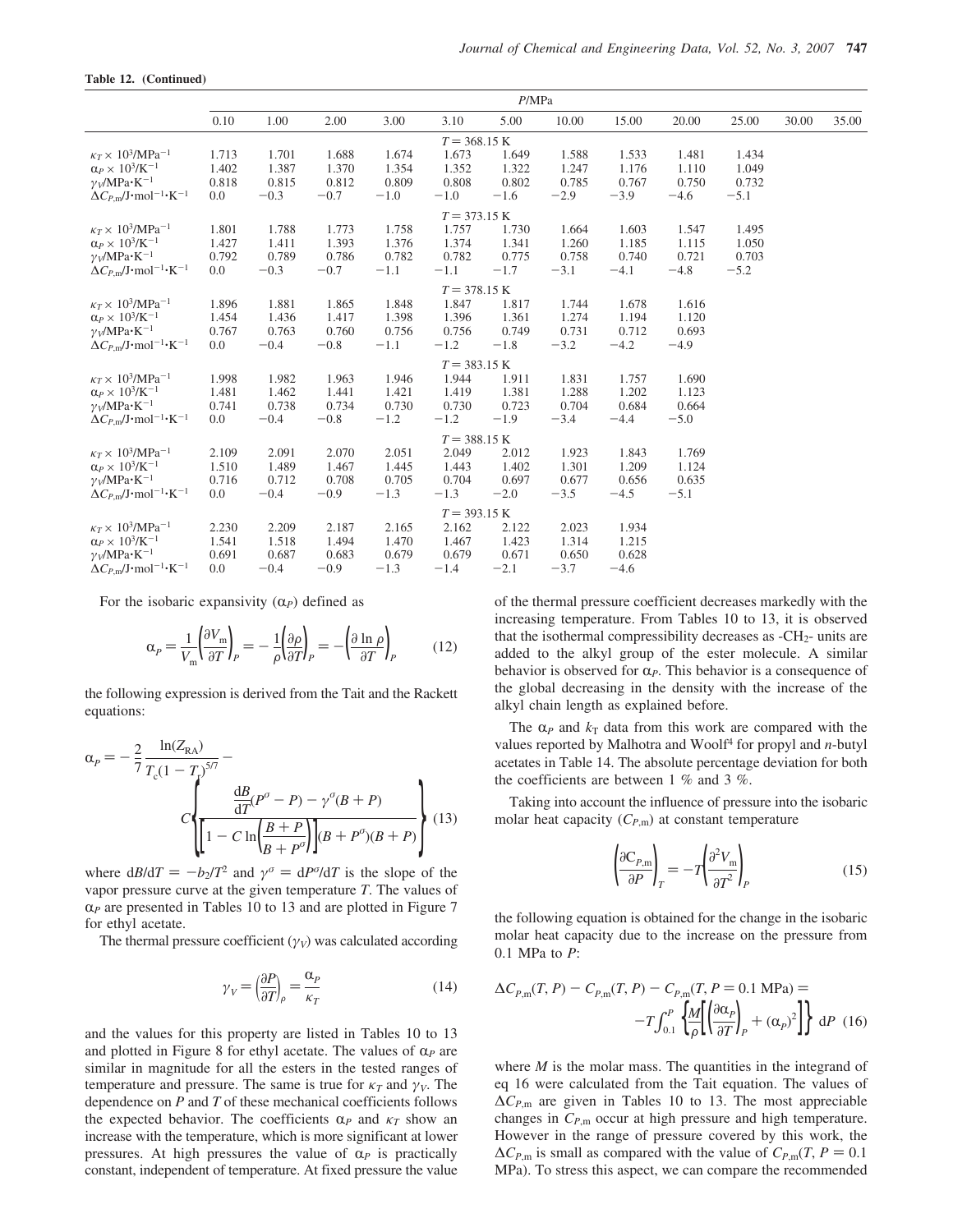#### **Table 12. (Continued)**

|                                                                        | P/MPa |        |        |        |                        |        |        |        |        |        |       |       |
|------------------------------------------------------------------------|-------|--------|--------|--------|------------------------|--------|--------|--------|--------|--------|-------|-------|
|                                                                        | 0.10  | 1.00   | 2.00   | 3.00   | 3.10                   | 5.00   | 10.00  | 15.00  | 20.00  | 25.00  | 30.00 | 35.00 |
|                                                                        |       |        |        |        | $T = 368.15 \text{ K}$ |        |        |        |        |        |       |       |
| $\kappa_T \times 10^3/\text{MPa}^{-1}$                                 | 1.713 | 1.701  | 1.688  | 1.674  | 1.673                  | 1.649  | 1.588  | 1.533  | 1.481  | 1.434  |       |       |
| $\alpha_P \times 10^3$ /K <sup>-1</sup>                                | 1.402 | 1.387  | 1.370  | 1.354  | 1.352                  | 1.322  | 1.247  | 1.176  | 1.110  | 1.049  |       |       |
| $\gamma_V/MPa \cdot K^{-1}$                                            | 0.818 | 0.815  | 0.812  | 0.809  | 0.808                  | 0.802  | 0.785  | 0.767  | 0.750  | 0.732  |       |       |
| $\Delta C_{P,m}/J$ ·mol <sup>-1</sup> ·K <sup>-1</sup>                 | 0.0   | $-0.3$ | $-0.7$ | $-1.0$ | $-1.0$                 | $-1.6$ | $-2.9$ | $-3.9$ | $-4.6$ | $-5.1$ |       |       |
|                                                                        |       |        |        |        | $T = 373.15 K$         |        |        |        |        |        |       |       |
| $\kappa_T \times 10^3/\text{MPa}^{-1}$                                 | 1.801 | 1.788  | 1.773  | 1.758  | 1.757                  | 1.730  | 1.664  | 1.603  | 1.547  | 1.495  |       |       |
| $\alpha_P \times 10^3$ /K <sup>-1</sup>                                | 1.427 | 1.411  | 1.393  | 1.376  | 1.374                  | 1.341  | 1.260  | 1.185  | 1.115  | 1.050  |       |       |
| $\gamma$ <sub>V</sub> /MPa·K <sup>-1</sup>                             | 0.792 | 0.789  | 0.786  | 0.782  | 0.782                  | 0.775  | 0.758  | 0.740  | 0.721  | 0.703  |       |       |
| $\Delta C_{P,m}/J$ ·mol <sup>-1</sup> ·K <sup>-1</sup>                 | 0.0   | $-0.3$ | $-0.7$ | $-1.1$ | $-1.1$                 | $-1.7$ | $-3.1$ | $-4.1$ | $-4.8$ | $-5.2$ |       |       |
|                                                                        |       |        |        |        | $T = 378.15 K$         |        |        |        |        |        |       |       |
| $\kappa_T \times 10^3/\text{MPa}^{-1}$                                 | 1.896 | 1.881  | 1.865  | 1.848  | 1.847                  | 1.817  | 1.744  | 1.678  | 1.616  |        |       |       |
| $\alpha_P \times 10^3$ /K <sup>-1</sup>                                | 1.454 | 1.436  | 1.417  | 1.398  | 1.396                  | 1.361  | 1.274  | 1.194  | 1.120  |        |       |       |
| $\gamma_V/MPa \cdot K^{-1}$                                            | 0.767 | 0.763  | 0.760  | 0.756  | 0.756                  | 0.749  | 0.731  | 0.712  | 0.693  |        |       |       |
| $\Delta C_{P,m}/J$ ·mol <sup>-1</sup> ·K <sup>-1</sup>                 | 0.0   | $-0.4$ | $-0.8$ | $-1.1$ | $-1.2$                 | $-1.8$ | $-3.2$ | $-4.2$ | $-4.9$ |        |       |       |
|                                                                        |       |        |        |        | $T = 383.15 \text{ K}$ |        |        |        |        |        |       |       |
| $\kappa_T \times 10^3/\text{MPa}^{-1}$                                 | 1.998 | 1.982  | 1.963  | 1.946  | 1.944                  | 1.911  | 1.831  | 1.757  | 1.690  |        |       |       |
| $\alpha_P \times 10^3$ /K <sup>-1</sup>                                | 1.481 | 1.462  | 1.441  | 1.421  | 1.419                  | 1.381  | 1.288  | 1.202  | 1.123  |        |       |       |
| $\gamma_V/MPa \cdot K^{-1}$                                            | 0.741 | 0.738  | 0.734  | 0.730  | 0.730                  | 0.723  | 0.704  | 0.684  | 0.664  |        |       |       |
| $\Delta C_{P,\text{m}}/J \cdot \text{mol}^{-1} \cdot K^{-1}$           | 0.0   | $-0.4$ | $-0.8$ | $-1.2$ | $-1.2$                 | $-1.9$ | $-3.4$ | $-4.4$ | $-5.0$ |        |       |       |
|                                                                        |       |        |        |        | $T = 388.15 \text{ K}$ |        |        |        |        |        |       |       |
| $\kappa_T \times 10^3/\text{MPa}^{-1}$                                 | 2.109 | 2.091  | 2.070  | 2.051  | 2.049                  | 2.012  | 1.923  | 1.843  | 1.769  |        |       |       |
| $\alpha_P \times 10^3$ /K <sup>-1</sup>                                | 1.510 | 1.489  | 1.467  | 1.445  | 1.443                  | 1.402  | 1.301  | 1.209  | 1.124  |        |       |       |
| $\gamma$ <sub>V</sub> /MPa·K <sup>-1</sup>                             | 0.716 | 0.712  | 0.708  | 0.705  | 0.704                  | 0.697  | 0.677  | 0.656  | 0.635  |        |       |       |
| $\Delta C_{P,\text{m}}/\text{J}\cdot\text{mol}^{-1}\cdot\text{K}^{-1}$ | 0.0   | $-0.4$ | $-0.9$ | $-1.3$ | $-1.3$                 | $-2.0$ | $-3.5$ | $-4.5$ | $-5.1$ |        |       |       |
|                                                                        |       |        |        |        | $T = 393.15 \text{ K}$ |        |        |        |        |        |       |       |
| $\kappa_T \times 10^3/\text{MPa}^{-1}$                                 | 2.230 | 2.209  | 2.187  | 2.165  | 2.162                  | 2.122  | 2.023  | 1.934  |        |        |       |       |
| $\alpha_P \times 10^3$ /K <sup>-1</sup>                                | 1.541 | 1.518  | 1.494  | 1.470  | 1.467                  | 1.423  | 1.314  | 1.215  |        |        |       |       |
| $\gamma_V/MPa \cdot K^{-1}$                                            | 0.691 | 0.687  | 0.683  | 0.679  | 0.679                  | 0.671  | 0.650  | 0.628  |        |        |       |       |
| $\Delta C_{P,m}/J \cdot$ mol <sup>-1</sup> ·K <sup>-1</sup>            | 0.0   | $-0.4$ | $-0.9$ | $-1.3$ | $-1.4$                 | $-2.1$ | $-3.7$ | $-4.6$ |        |        |       |       |

For the isobaric expansivity  $(\alpha_P)$  defined as

$$
\alpha_P = \frac{1}{V_m} \left( \frac{\partial V_m}{\partial T} \right)_P = -\frac{1}{\rho} \left( \frac{\partial \rho}{\partial T} \right)_P = -\left( \frac{\partial \ln \rho}{\partial T} \right)_P \tag{12}
$$

the following expression is derived from the Tait and the Rackett equations:

$$
\alpha_{P} = -\frac{2}{7} \frac{\ln(Z_{\text{RA}})}{T_{\text{c}}(1 - T_{\text{r}})^{5/7}} - \frac{dB}{dT}(P^{\sigma} - P) - \gamma^{\sigma}(B + P) \frac{1}{\text{d}T}(P^{\sigma} - P) - \gamma^{\sigma}(B + P) \left[\left[1 - C \ln\left(\frac{B + P}{B + P^{\sigma}}\right)\right](B + P^{\sigma})(B + P)\right] \tag{13}
$$

where  $dB/dT = -b_2/T^2$  and  $\gamma^{\sigma} = dP^{\sigma}/dT$  is the slope of the vapor pressure curve at the given temperature *T*. The values of  $\alpha$ *P* are presented in Tables 10 to 13 and are plotted in Figure 7 for ethyl acetate.

The thermal pressure coefficient  $(\gamma_V)$  was calculated according

$$
\gamma_V = \left(\frac{\partial P}{\partial T}\right)_{\rho} = \frac{\alpha_P}{\kappa_T} \tag{14}
$$

and the values for this property are listed in Tables 10 to 13 and plotted in Figure 8 for ethyl acetate. The values of  $\alpha_P$  are similar in magnitude for all the esters in the tested ranges of temperature and pressure. The same is true for  $\kappa_T$  and  $\gamma_V$ . The dependence on *P* and *T* of these mechanical coefficients follows the expected behavior. The coefficients  $\alpha_P$  and  $\kappa_T$  show an increase with the temperature, which is more significant at lower pressures. At high pressures the value of  $\alpha_p$  is practically constant, independent of temperature. At fixed pressure the value of the thermal pressure coefficient decreases markedly with the increasing temperature. From Tables 10 to 13, it is observed that the isothermal compressibility decreases as  $-CH<sub>2</sub>$  units are added to the alkyl group of the ester molecule. A similar behavior is observed for  $\alpha_P$ . This behavior is a consequence of the global decreasing in the density with the increase of the alkyl chain length as explained before.

The  $\alpha_P$  and  $k_T$  data from this work are compared with the values reported by Malhotra and Woolf<sup>4</sup> for propyl and *n*-butyl acetates in Table 14. The absolute percentage deviation for both the coefficients are between 1 % and 3 %.

Taking into account the influence of pressure into the isobaric molar heat capacity  $(C_{P,m})$  at constant temperature

$$
\left(\frac{\partial C_{P,m}}{\partial P}\right)_T = -T \left(\frac{\partial^2 V_m}{\partial T^2}\right)_P\tag{15}
$$

the following equation is obtained for the change in the isobaric molar heat capacity due to the increase on the pressure from 0.1 MPa to *P*:

$$
\Delta C_{P,\text{m}}(T, P) - C_{P,\text{m}}(T, P) - C_{P,\text{m}}(T, P = 0.1 \text{ MPa}) =
$$

$$
-T \int_{0.1}^{P} \left\{ \frac{M}{\rho} \left[ \left( \frac{\partial \alpha_P}{\partial T} \right)_P + (\alpha_P)^2 \right] \right\} \, \, \mathrm{d}P \tag{16}
$$

where *M* is the molar mass. The quantities in the integrand of eq 16 were calculated from the Tait equation. The values of ∆*CP*,m are given in Tables 10 to 13. The most appreciable changes in *CP*,m occur at high pressure and high temperature. However in the range of pressure covered by this work, the  $\Delta C_{P,m}$  is small as compared with the value of  $C_{P,m}(T, P = 0.1)$ MPa). To stress this aspect, we can compare the recommended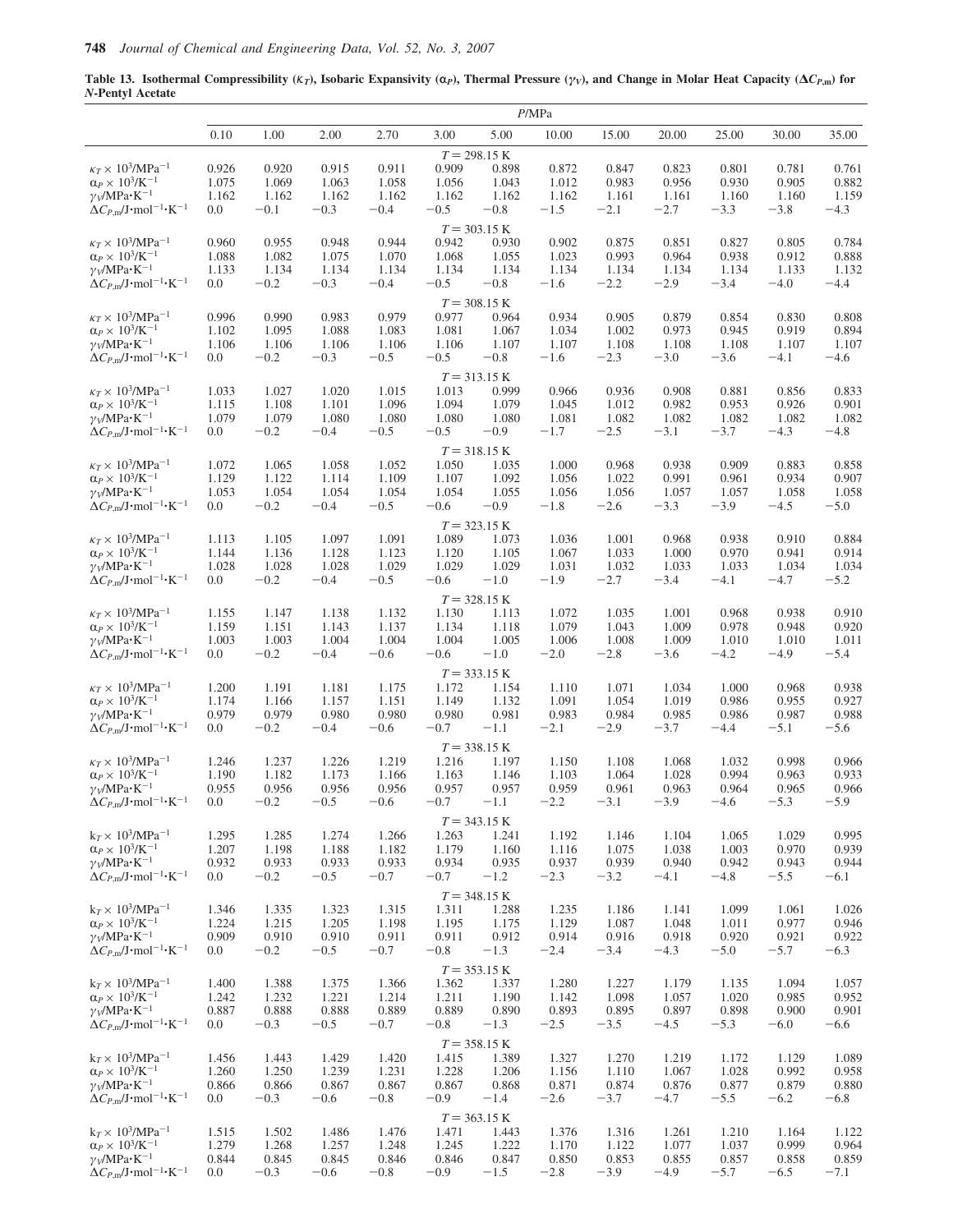**Table 13. Isothermal Compressibility (** $K_T$ **), Isobaric Expansivity (** $\alpha$ **<sub>***P***</sub>), Thermal Pressure (** $\gamma$ *v***), and Change in Molar Heat Capacity (** $\Delta C_{P,\text{m}}$ **) for** *N***-Pentyl Acetate**

|                                                                              |                |                |                |                |                |                | P/MPa          |                |                |                |                |                |
|------------------------------------------------------------------------------|----------------|----------------|----------------|----------------|----------------|----------------|----------------|----------------|----------------|----------------|----------------|----------------|
|                                                                              | 0.10           | 1.00           | 2.00           | 2.70           | 3.00           | 5.00           | 10.00          | 15.00          | 20.00          | 25.00          | 30.00          | 35.00          |
|                                                                              |                |                |                |                |                | $T = 298.15 K$ |                |                |                |                |                |                |
| $\kappa_T \times 10^3/\text{MPa}^{-1}$                                       | 0.926          | 0.920          | 0.915          | 0.911          | 0.909          | 0.898          | 0.872          | 0.847          | 0.823          | 0.801          | 0.781          | 0.761          |
| $\alpha_P \times 10^3$ /K <sup>-1</sup>                                      | 1.075          | 1.069          | 1.063          | 1.058          | 1.056          | 1.043          | 1.012          | 0.983          | 0.956          | 0.930          | 0.905          | 0.882          |
| $\gamma_V/MPa \cdot K^{-1}$                                                  | 1.162          | 1.162          | 1.162          | 1.162          | 1.162          | 1.162          | 1.162          | 1.161          | 1.161          | 1.160          | 1.160          | 1.159          |
| $\Delta C_{P,\text{m}}/\text{J}\cdot \text{mol}^{-1} \cdot \text{K}^{-1}$    | 0.0            | $-0.1$         | $-0.3$         | $-0.4$         | $-0.5$         | $-0.8$         | $-1.5$         | $-2.1$         | $-2.7$         | $-3.3$         | $-3.8$         | $-4.3$         |
|                                                                              |                |                |                |                |                | $T = 303.15 K$ |                |                |                |                |                |                |
| $\kappa_T \times 10^3/\mathrm{MPa^{-1}}$                                     | 0.960          | 0.955          | 0.948          | 0.944          | 0.942          | 0.930          | 0.902          | 0.875          | 0.851          | 0.827          | 0.805          | 0.784          |
| $\alpha_P \times 10^3$ /K <sup>-1</sup>                                      | 1.088          | 1.082          | 1.075          | 1.070          | 1.068          | 1.055          | 1.023          | 0.993          | 0.964          | 0.938          | 0.912          | 0.888          |
| $\gamma_V/MPa \cdot K^{-1}$                                                  | 1.133          | 1.134          | 1.134          | 1.134          | 1.134          | 1.134          | 1.134          | 1.134          | 1.134          | 1.134          | 1.133          | 1.132          |
| $\Delta C_{P,\text{m}}/\text{J}\cdot \text{mol}^{-1} \cdot \text{K}^{-1}$    | 0.0            | $-0.2$         | $-0.3$         | $-0.4$         | $-0.5$         | $-0.8$         | $-1.6$         | $-2.2$         | $-2.9$         | $-3.4$         | $-4.0$         | $-4.4$         |
|                                                                              |                |                |                |                |                | $T = 308.15$ K |                |                |                |                |                |                |
| $\kappa_T \times 10^3/\text{MPa}^{-1}$                                       | 0.996          | 0.990          | 0.983          | 0.979          | 0.977          | 0.964          | 0.934          | 0.905          | 0.879          | 0.854          | 0.830          | 0.808          |
| $\alpha_P \times 10^3$ /K <sup>-1</sup>                                      | 1.102          | 1.095          | 1.088          | 1.083          | 1.081          | 1.067          | 1.034          | 1.002          | 0.973          | 0.945          | 0.919          | 0.894          |
| $\gamma_V/MPa \cdot K^{-1}$                                                  | 1.106          | 1.106          | 1.106          | 1.106          | 1.106          | 1.107          | 1.107          | 1.108          | 1.108          | 1.108          | 1.107          | 1.107          |
| $\Delta C_{P,\text{m}}/\text{J}\cdot \text{mol}^{-1} \cdot \text{K}^{-1}$    | 0.0            | $-0.2$         | $-0.3$         | $-0.5$         | $-0.5$         | $-0.8$         | $-1.6$         | $-2.3$         | $-3.0$         | $-3.6$         | $-4.1$         | $-4.6$         |
|                                                                              |                |                |                |                |                | $T = 313.15 K$ |                |                |                |                |                |                |
| $\kappa_T \times 10^3/\text{MPa}^{-1}$                                       | 1.033          | 1.027          | 1.020          | 1.015          | 1.013          | 0.999          | 0.966          | 0.936          | 0.908          | 0.881          | 0.856          | 0.833          |
| $\alpha_P \times 10^3/K^{-1}$                                                | 1.115          | 1.108          | 1.101          | 1.096          | 1.094          | 1.079          | 1.045          | 1.012          | 0.982          | 0.953          | 0.926          | 0.901          |
| $\gamma_V/MPa \cdot K^{-1}$                                                  | 1.079          | 1.079          | 1.080          | 1.080          | 1.080          | 1.080          | 1.081          | 1.082          | 1.082          | 1.082          | 1.082          | 1.082          |
| $\Delta C_{P,\text{m}}/J \cdot \text{mol}^{-1} \cdot \text{K}^{-1}$          | 0.0            | $-0.2$         | $-0.4$         | $-0.5$         | $-0.5$         | $-0.9$         | $-1.7$         | $-2.5$         | $-3.1$         | $-3.7$         | $-4.3$         | $-4.8$         |
|                                                                              |                |                |                |                |                |                |                |                |                |                |                |                |
| $\kappa_T \times 10^3/\text{MPa}^{-1}$                                       |                |                |                |                |                | $T = 318.15 K$ |                |                |                |                |                |                |
| $\alpha_P \times 10^3/K^{-1}$                                                | 1.072<br>1.129 | 1.065<br>1.122 | 1.058<br>1.114 | 1.052<br>1.109 | 1.050<br>1.107 | 1.035<br>1.092 | 1.000<br>1.056 | 0.968<br>1.022 | 0.938<br>0.991 | 0.909<br>0.961 | 0.883<br>0.934 | 0.858<br>0.907 |
| $\gamma_V/MPa \cdot K^{-1}$                                                  | 1.053          | 1.054          | 1.054          | 1.054          | 1.054          | 1.055          | 1.056          | 1.056          | 1.057          | 1.057          | 1.058          | 1.058          |
| $\Delta C_{P,\text{m}}/J \cdot \text{mol}^{-1} \cdot \text{K}^{-1}$          | 0.0            | $-0.2$         | $-0.4$         | $-0.5$         | $-0.6$         | $-0.9$         | $-1.8$         | $-2.6$         | $-3.3$         | $-3.9$         | $-4.5$         | $-5.0$         |
|                                                                              |                |                |                |                |                |                |                |                |                |                |                |                |
|                                                                              |                |                |                |                |                | $T = 323.15 K$ |                |                |                |                |                |                |
| $\kappa_T \times 10^3/\text{MPa}^{-1}$<br>$\alpha_P \times 10^3/K^{-1}$      | 1.113<br>1.144 | 1.105<br>1.136 | 1.097<br>1.128 | 1.091<br>1.123 | 1.089<br>1.120 | 1.073<br>1.105 | 1.036<br>1.067 | 1.001<br>1.033 | 0.968<br>1.000 | 0.938<br>0.970 | 0.910<br>0.941 | 0.884<br>0.914 |
| $\gamma_V/MPa \cdot K^{-1}$                                                  | 1.028          | 1.028          | 1.028          | 1.029          | 1.029          | 1.029          | 1.031          | 1.032          | 1.033          | 1.033          | 1.034          | 1.034          |
| $\Delta C_{P,\text{m}}/J \cdot \text{mol}^{-1} \cdot \text{K}^{-1}$          | 0.0            | $-0.2$         | $-0.4$         | $-0.5$         | $-0.6$         | $-1.0$         | $-1.9$         | $-2.7$         | $-3.4$         | $-4.1$         | $-4.7$         | $-5.2$         |
|                                                                              |                |                |                |                |                |                |                |                |                |                |                |                |
|                                                                              |                |                |                |                |                | $T = 328.15 K$ |                |                |                |                |                |                |
| $\kappa_T \times \, 10^3/\mathrm{MPa^{-1}}$<br>$\alpha_P \times 10^3/K^{-1}$ | 1.155<br>1.159 | 1.147<br>1.151 | 1.138<br>1.143 | 1.132<br>1.137 | 1.130<br>1.134 | 1.113<br>1.118 | 1.072<br>1.079 | 1.035<br>1.043 | 1.001<br>1.009 | 0.968<br>0.978 | 0.938<br>0.948 | 0.910<br>0.920 |
| $\gamma_V/MPa \cdot K^{-1}$                                                  | 1.003          | 1.003          | 1.004          | 1.004          | 1.004          | 1.005          | 1.006          | 1.008          | 1.009          | 1.010          | 1.010          | 1.011          |
| $\Delta C_{P,m}/J \cdot$ mol <sup>-1</sup> ·K <sup>-1</sup>                  | 0.0            | $-0.2$         | $-0.4$         | $-0.6$         | $-0.6$         | $-1.0$         | $-2.0$         | $-2.8$         | $-3.6$         | $-4.2$         | $-4.9$         | $-5.4$         |
|                                                                              |                |                |                |                |                |                |                |                |                |                |                |                |
|                                                                              |                |                |                |                |                | $T = 333.15 K$ |                |                |                |                |                |                |
| $\kappa_T \times$ $10^3\!/\mathrm{MPa^{-1}}$                                 | 1.200          | 1.191          | 1.181          | 1.175          | 1.172          | 1.154          | 1.110          | 1.071          | 1.034          | 1.000          | 0.968          | 0.938          |
| $\alpha_P \times 10^3$ /K <sup>-1</sup><br>$\gamma_V/MPa \cdot K^{-1}$       | 1.174<br>0.979 | 1.166<br>0.979 | 1.157<br>0.980 | 1.151<br>0.980 | 1.149<br>0.980 | 1.132<br>0.981 | 1.091<br>0.983 | 1.054<br>0.984 | 1.019<br>0.985 | 0.986<br>0.986 | 0.955<br>0.987 | 0.927<br>0.988 |
| $\Delta C_{P,\text{m}}/\text{J}\cdot\text{mol}^{-1}\cdot\text{K}^{-1}$       | 0.0            | $-0.2$         | $-0.4$         | $-0.6$         | $-0.7$         | $-1.1$         | $-2.1$         | $-2.9$         | $-3.7$         | $-4.4$         | $-5.1$         | $-5.6$         |
|                                                                              |                |                |                |                |                |                |                |                |                |                |                |                |
|                                                                              |                |                |                |                |                | $T = 338.15$ K |                |                |                |                |                |                |
| $\kappa_T \times 10^3/\mathrm{MPa^{-1}}$<br>$\alpha_P \times 10^3/K^{-1}$    | 1.246          | 1.237          | 1.226          | 1.219          | 1.216          | 1.197          | 1.150          | 1.108          | 1.068          | 1.032<br>0.994 | 0.998          | 0.966          |
| $\gamma_V/MPa \cdot K^{-1}$                                                  | 1.190<br>0.955 | 1.182<br>0.956 | 1.173<br>0.956 | 1.166<br>0.956 | 1.163<br>0.957 | 1.146<br>0.957 | 1.103<br>0.959 | 1.064<br>0.961 | 1.028<br>0.963 | 0.964          | 0.963<br>0.965 | 0.933<br>0.966 |
| $\Delta C_{P,\text{m}}/\text{J}\cdot \text{mol}^{-1} \cdot \text{K}^{-1}$    | 0.0            | $-0.2$         | $-0.5$         | $-0.6$         | $-0.7$         | $-1.1$         | $-2.2$         | $-3.1$         | $-3.9$         | $-4.6$         | $-5.3$         | $-5.9$         |
|                                                                              |                |                |                |                |                |                |                |                |                |                |                |                |
|                                                                              |                |                |                |                |                | $T = 343.15 K$ |                |                |                |                |                |                |
| $k_T \times 10^3/MPa^{-1}$                                                   | 1.295          | 1.285          | 1.274          | 1.266          | 1.263          | 1.241          | 1.192          | 1.146          | 1.104          | 1.065          | 1.029          | 0.995<br>0.939 |
| $\alpha_P \times 10^3$ /K <sup>-1</sup><br>$\gamma_V/MPa \cdot K^{-1}$       | 1.207<br>0.932 | 1.198<br>0.933 | 1.188<br>0.933 | 1.182<br>0.933 | 1.179<br>0.934 | 1.160<br>0.935 | 1.116<br>0.937 | 1.075<br>0.939 | 1.038<br>0.940 | 1.003<br>0.942 | 0.970<br>0.943 | 0.944          |
| $\Delta C_{P,m}/J \cdot$ mol <sup>-1</sup> ·K <sup>-1</sup>                  | 0.0            | $-0.2$         | $-0.5$         | $-0.7$         | $-0.7$         | $-1.2$         | $-2.3$         | $-3.2$         | $-4.1$         | $-4.8$         | $-5.5$         | $-6.1$         |
|                                                                              |                |                |                |                |                |                |                |                |                |                |                |                |
|                                                                              |                |                |                |                |                | $T = 348.15$ K |                |                |                |                |                |                |
| $k \tau \times 10^3/MPa^{-1}$                                                | 1.346          | 1.335          | 1.323          | 1.315          | 1.311          | 1.288          | 1.235          | 1.186          | 1.141          | 1.099          | 1.061          | 1.026          |
| $\alpha_P \times 10^3$ /K <sup>-1</sup><br>$\gamma_V/MPa \cdot K^{-1}$       | 1.224<br>0.909 | 1.215<br>0.910 | 1.205<br>0.910 | 1.198<br>0.911 | 1.195<br>0.911 | 1.175<br>0.912 | 1.129<br>0.914 | 1.087<br>0.916 | 1.048<br>0.918 | 1.011<br>0.920 | 0.977<br>0.921 | 0.946<br>0.922 |
| $\Delta C_{P,\text{m}}/J \cdot \text{mol}^{-1} \cdot \text{K}^{-1}$          | 0.0            | $-0.2$         | $-0.5$         | $-0.7$         | $-0.8$         | $-1.3$         | $-2.4$         | $-3.4$         | $-4.3$         | $-5.0$         | $-5.7$         | $-6.3$         |
|                                                                              |                |                |                |                |                |                |                |                |                |                |                |                |
|                                                                              |                |                |                |                |                | $T = 353.15 K$ |                |                |                |                |                |                |
| $k_T \times 10^3/MPa^{-1}$                                                   | 1.400          | 1.388          | 1.375          | 1.366          | 1.362          | 1.337          | 1.280          | 1.227          | 1.179          | 1.135          | 1.094          | 1.057          |
| $\alpha_P \times 10^3$ /K <sup>-1</sup>                                      | 1.242          | 1.232          | 1.221          | 1.214          | 1.211          | 1.190          | 1.142          | 1.098          | 1.057          | 1.020          | 0.985          | 0.952          |
| $\gamma_V/MPa \cdot K^{-1}$                                                  | 0.887          | 0.888          | 0.888          | 0.889          | 0.889          | 0.890          | 0.893          | 0.895          | 0.897          | 0.898          | 0.900          | 0.901          |
| $\Delta C_{P,\text{m}}/J \cdot \text{mol}^{-1} \cdot \text{K}^{-1}$          | 0.0            | $-0.3$         | $-0.5$         | $-0.7$         | $-0.8$         | $-1.3$         | $-2.5$         | $-3.5$         | $-4.5$         | $-5.3$         | $-6.0$         | $-6.6$         |
|                                                                              |                |                |                |                |                | $T = 358.15 K$ |                |                |                |                |                |                |
| $k_T \times 10^3/MPa^{-1}$                                                   | 1.456          | 1.443          | 1.429          | 1.420          | 1.415          | 1.389          | 1.327          | 1.270          | 1.219          | 1.172          | 1.129          | 1.089          |
| $\alpha_P \times 10^3$ /K <sup>-1</sup>                                      | 1.260          | 1.250          | 1.239          | 1.231          | 1.228          | 1.206          | 1.156          | 1.110          | 1.067          | 1.028          | 0.992          | 0.958          |
| $\gamma_V/MPa \cdot K^{-1}$                                                  | 0.866          | 0.866          | 0.867          | 0.867          | 0.867          | 0.868          | 0.871          | 0.874          | 0.876          | 0.877          | 0.879          | 0.880          |
| $\Delta C_{P,\text{m}}/J \cdot \text{mol}^{-1} \cdot \text{K}^{-1}$          | 0.0            | $-0.3$         | $-0.6$         | $-0.8$         | $-0.9$         | $-1.4$         | $-2.6$         | $-3.7$         | $-4.7$         | $-5.5$         | $-6.2$         | $-6.8$         |
|                                                                              |                |                |                |                |                | $T = 363.15 K$ |                |                |                |                |                |                |
| $k_T \times 10^3/MPa^{-1}$                                                   | 1.515          | 1.502          | 1.486          | 1.476          | 1.471          | 1.443          | 1.376          | 1.316          | 1.261          | 1.210          | 1.164          | 1.122          |
| $\alpha_P \times 10^3$ /K <sup>-1</sup>                                      | 1.279          | 1.268          | 1.257          | 1.248          | 1.245          | 1.222          | 1.170          | 1.122          | 1.077          | 1.037          | 0.999          | 0.964          |
| $\gamma_V/MPa \cdot K^{-1}$                                                  | 0.844          | 0.845          | 0.845          | 0.846          | 0.846          | 0.847          | 0.850          | 0.853          | 0.855          | 0.857          | 0.858          | 0.859          |
| $\Delta C_{P,m}/J \cdot$ mol <sup>-1</sup> ·K <sup>-1</sup>                  | 0.0            | $-0.3$         | $-0.6$         | $-0.8$         | $-0.9$         | $-1.5$         | $-2.8$         | $-3.9$         | $-4.9$         | $-5.7$         | $-6.5$         | $-7.1$         |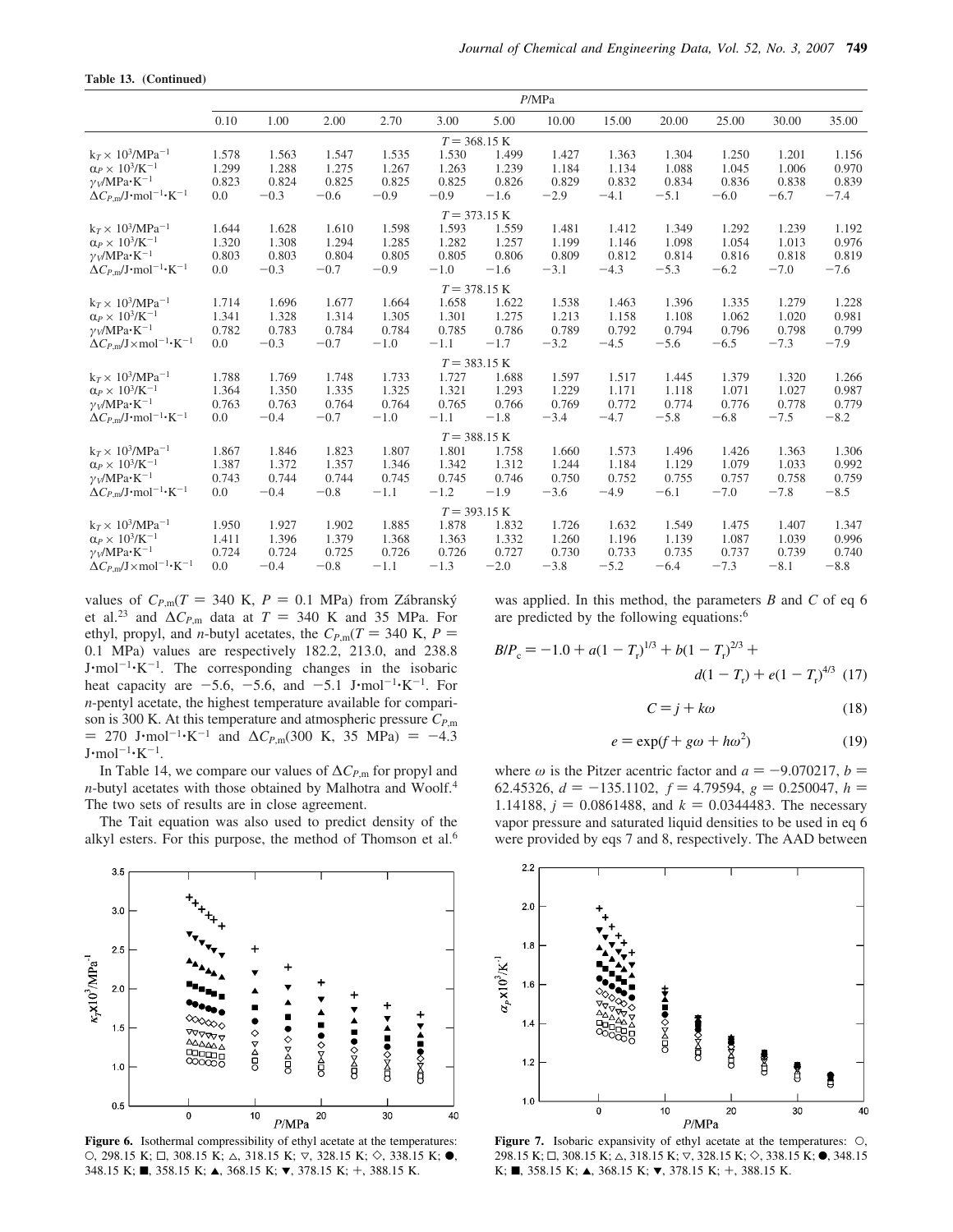|  |  | Table 13. (Continued) |
|--|--|-----------------------|
|--|--|-----------------------|

|                                                              | P/MPa |        |        |        |        |                        |        |        |        |        |        |        |
|--------------------------------------------------------------|-------|--------|--------|--------|--------|------------------------|--------|--------|--------|--------|--------|--------|
|                                                              | 0.10  | 1.00   | 2.00   | 2.70   | 3.00   | 5.00                   | 10.00  | 15.00  | 20.00  | 25.00  | 30.00  | 35.00  |
|                                                              |       |        |        |        |        | $T = 368.15$ K         |        |        |        |        |        |        |
| $k_T \times 10^3/MPa^{-1}$                                   | 1.578 | 1.563  | 1.547  | 1.535  | 1.530  | 1.499                  | 1.427  | 1.363  | 1.304  | 1.250  | 1.201  | 1.156  |
| $\alpha_P \times 10^3$ /K <sup>-1</sup>                      | 1.299 | 1.288  | 1.275  | 1.267  | 1.263  | 1.239                  | 1.184  | 1.134  | 1.088  | 1.045  | 1.006  | 0.970  |
| $\gamma_V/MPa \cdot K^{-1}$                                  | 0.823 | 0.824  | 0.825  | 0.825  | 0.825  | 0.826                  | 0.829  | 0.832  | 0.834  | 0.836  | 0.838  | 0.839  |
| $\Delta C_{P,m}/J$ ·mol <sup>-1</sup> ·K <sup>-1</sup>       | 0.0   | $-0.3$ | $-0.6$ | $-0.9$ | $-0.9$ | $-1.6$                 | $-2.9$ | $-4.1$ | $-5.1$ | $-6.0$ | $-6.7$ | $-7.4$ |
|                                                              |       |        |        |        |        | $T = 373.15 K$         |        |        |        |        |        |        |
| $k_T \times 10^3/MPa^{-1}$                                   | 1.644 | 1.628  | 1.610  | 1.598  | 1.593  | 1.559                  | 1.481  | 1.412  | 1.349  | 1.292  | 1.239  | 1.192  |
| $\alpha_P \times 10^3$ /K <sup>-1</sup>                      | 1.320 | 1.308  | 1.294  | 1.285  | 1.282  | 1.257                  | 1.199  | 1.146  | 1.098  | 1.054  | 1.013  | 0.976  |
| $\gamma_V/MPa \cdot K^{-1}$                                  | 0.803 | 0.803  | 0.804  | 0.805  | 0.805  | 0.806                  | 0.809  | 0.812  | 0.814  | 0.816  | 0.818  | 0.819  |
| $\Delta C_{P,m}/J$ ·mol <sup>-1</sup> ·K <sup>-1</sup>       | 0.0   | $-0.3$ | $-0.7$ | $-0.9$ | $-1.0$ | $-1.6$                 | $-3.1$ | $-4.3$ | $-5.3$ | $-6.2$ | $-7.0$ | $-7.6$ |
|                                                              |       |        |        |        |        | $T = 378.15 K$         |        |        |        |        |        |        |
| $k_T \times 10^3/MPa^{-1}$                                   | 1.714 | 1.696  | 1.677  | 1.664  | 1.658  | 1.622                  | 1.538  | 1.463  | 1.396  | 1.335  | 1.279  | 1.228  |
| $\alpha_P \times 10^3$ /K <sup>-1</sup>                      | 1.341 | 1.328  | 1.314  | 1.305  | 1.301  | 1.275                  | 1.213  | 1.158  | 1.108  | 1.062  | 1.020  | 0.981  |
| $\gamma_V/MPa \cdot K^{-1}$                                  | 0.782 | 0.783  | 0.784  | 0.784  | 0.785  | 0.786                  | 0.789  | 0.792  | 0.794  | 0.796  | 0.798  | 0.799  |
| $\Delta C_{P,m}/J \times$ mol <sup>-1</sup> ·K <sup>-1</sup> | 0.0   | $-0.3$ | $-0.7$ | $-1.0$ | $-1.1$ | $-1.7$                 | $-3.2$ | $-4.5$ | $-5.6$ | $-6.5$ | $-7.3$ | $-7.9$ |
|                                                              |       |        |        |        |        | $T = 383.15 K$         |        |        |        |        |        |        |
| $k_T \times 10^3/MPa^{-1}$                                   | 1.788 | 1.769  | 1.748  | 1.733  | 1.727  | 1.688                  | 1.597  | 1.517  | 1.445  | 1.379  | 1.320  | 1.266  |
| $\alpha_P \times 10^3$ /K <sup>-1</sup>                      | 1.364 | 1.350  | 1.335  | 1.325  | 1.321  | 1.293                  | 1.229  | 1.171  | 1.118  | 1.071  | 1.027  | 0.987  |
| $\gamma_V/MPa \cdot K^{-1}$                                  | 0.763 | 0.763  | 0.764  | 0.764  | 0.765  | 0.766                  | 0.769  | 0.772  | 0.774  | 0.776  | 0.778  | 0.779  |
| $\Delta C_{P,m}/J$ ·mol <sup>-1</sup> ·K <sup>-1</sup>       | 0.0   | $-0.4$ | $-0.7$ | $-1.0$ | $-1.1$ | $-1.8$                 | $-3.4$ | $-4.7$ | $-5.8$ | $-6.8$ | $-7.5$ | $-8.2$ |
|                                                              |       |        |        |        |        | $T = 388.15$ K         |        |        |        |        |        |        |
| $k_T \times 10^3/MPa^{-1}$                                   | 1.867 | 1.846  | 1.823  | 1.807  | 1.801  | 1.758                  | 1.660  | 1.573  | 1.496  | 1.426  | 1.363  | 1.306  |
| $\alpha_P \times 10^3$ /K <sup>-1</sup>                      | 1.387 | 1.372  | 1.357  | 1.346  | 1.342  | 1.312                  | 1.244  | 1.184  | 1.129  | 1.079  | 1.033  | 0.992  |
| $\gamma_V/MPa \cdot K^{-1}$                                  | 0.743 | 0.744  | 0.744  | 0.745  | 0.745  | 0.746                  | 0.750  | 0.752  | 0.755  | 0.757  | 0.758  | 0.759  |
| $\Delta C_{P,m}/J$ ·mol <sup>-1</sup> ·K <sup>-1</sup>       | 0.0   | $-0.4$ | $-0.8$ | $-1.1$ | $-1.2$ | $-1.9$                 | $-3.6$ | $-4.9$ | $-6.1$ | $-7.0$ | $-7.8$ | $-8.5$ |
|                                                              |       |        |        |        |        | $T = 393.15 \text{ K}$ |        |        |        |        |        |        |
| $k_T \times 10^3/MPa^{-1}$                                   | 1.950 | 1.927  | 1.902  | 1.885  | 1.878  | 1.832                  | 1.726  | 1.632  | 1.549  | 1.475  | 1.407  | 1.347  |
| $\alpha_P \times 10^3$ /K <sup>-1</sup>                      | 1.411 | 1.396  | 1.379  | 1.368  | 1.363  | 1.332                  | 1.260  | 1.196  | 1.139  | 1.087  | 1.039  | 0.996  |
| $\gamma_V/MPa \cdot K^{-1}$                                  | 0.724 | 0.724  | 0.725  | 0.726  | 0.726  | 0.727                  | 0.730  | 0.733  | 0.735  | 0.737  | 0.739  | 0.740  |
| $\Delta C_{P,m}/J \times$ mol <sup>-1</sup> ·K <sup>-1</sup> | 0.0   | $-0.4$ | $-0.8$ | $-1.1$ | $-1.3$ | $-2.0$                 | $-3.8$ | $-5.2$ | $-6.4$ | $-7.3$ | $-8.1$ | $-8.8$ |

values of  $C_{P,m}(T = 340 \text{ K}, P = 0.1 \text{ MPa})$  from Zábranský et al.<sup>23</sup> and  $\Delta C_{P,\text{m}}$  data at *T* = 340 K and 35 MPa. For ethyl, propyl, and *n*-butyl acetates, the  $C_{P,m}(T = 340 \text{ K}, P =$ 0.1 MPa) values are respectively 182.2, 213.0, and 238.8  $J \cdot mol^{-1} \cdot K^{-1}$ . The corresponding changes in the isobaric heat capacity are  $-5.6$ ,  $-5.6$ , and  $-5.1$  J·mol<sup>-1</sup>·K<sup>-1</sup>. For *n*-pentyl acetate, the highest temperature available for comparison is 300 K. At this temperature and atmospheric pressure *CP*,m  $= 270$  J⋅mol<sup>-1</sup>⋅K<sup>-1</sup> and Δ*C<sub>P,m</sub>*(300 K, 35 MPa) = -4.3  $J \cdot \text{mol}^{-1} \cdot \text{K}^{-1}$ .

In Table 14, we compare our values of ∆*CP*,m for propyl and *n*-butyl acetates with those obtained by Malhotra and Woolf.<sup>4</sup> The two sets of results are in close agreement.

The Tait equation was also used to predict density of the alkyl esters. For this purpose, the method of Thomson et al.<sup>6</sup>



Figure 6. Isothermal compressibility of ethyl acetate at the temperatures: O, 298.15 K;  $\Box$ , 308.15 K;  $\triangle$ , 318.15 K;  $\nabla$ , 328.15 K;  $\diamond$ , 338.15 K;  $\bullet$ , 348.15 K; ■, 358.15 K; ▲, 368.15 K; ▼, 378.15 K; +, 388.15 K.

was applied. In this method, the parameters *B* and *C* of eq 6 are predicted by the following equations:<sup>6</sup>

$$
B/P_c = -1.0 + a(1 - T_r)^{1/3} + b(1 - T_r)^{2/3} + d(1 - T_r) + e(1 - T_r)^{4/3}
$$
 (17)

$$
C = j + k\omega \tag{18}
$$

$$
e = \exp(f + g\omega + h\omega^2)
$$
 (19)

where  $\omega$  is the Pitzer acentric factor and  $a = -9.070217$ ,  $b =$ 62.45326,  $d = -135.1102$ ,  $f = 4.79594$ ,  $g = 0.250047$ ,  $h =$ 1.14188,  $j = 0.0861488$ , and  $k = 0.0344483$ . The necessary vapor pressure and saturated liquid densities to be used in eq 6 were provided by eqs 7 and 8, respectively. The AAD between



**Figure 7.** Isobaric expansivity of ethyl acetate at the temperatures: O, 298.15 K;  $\Box$ , 308.15 K;  $\triangle$ , 318.15 K;  $\nabla$ , 328.15 K;  $\diamond$ , 338.15 K;  $\bullet$ , 348.15  $K; \blacksquare$ , 358.15 K;  $\blacktriangle$ , 368.15 K;  $\nabla$ , 378.15 K; +, 388.15 K.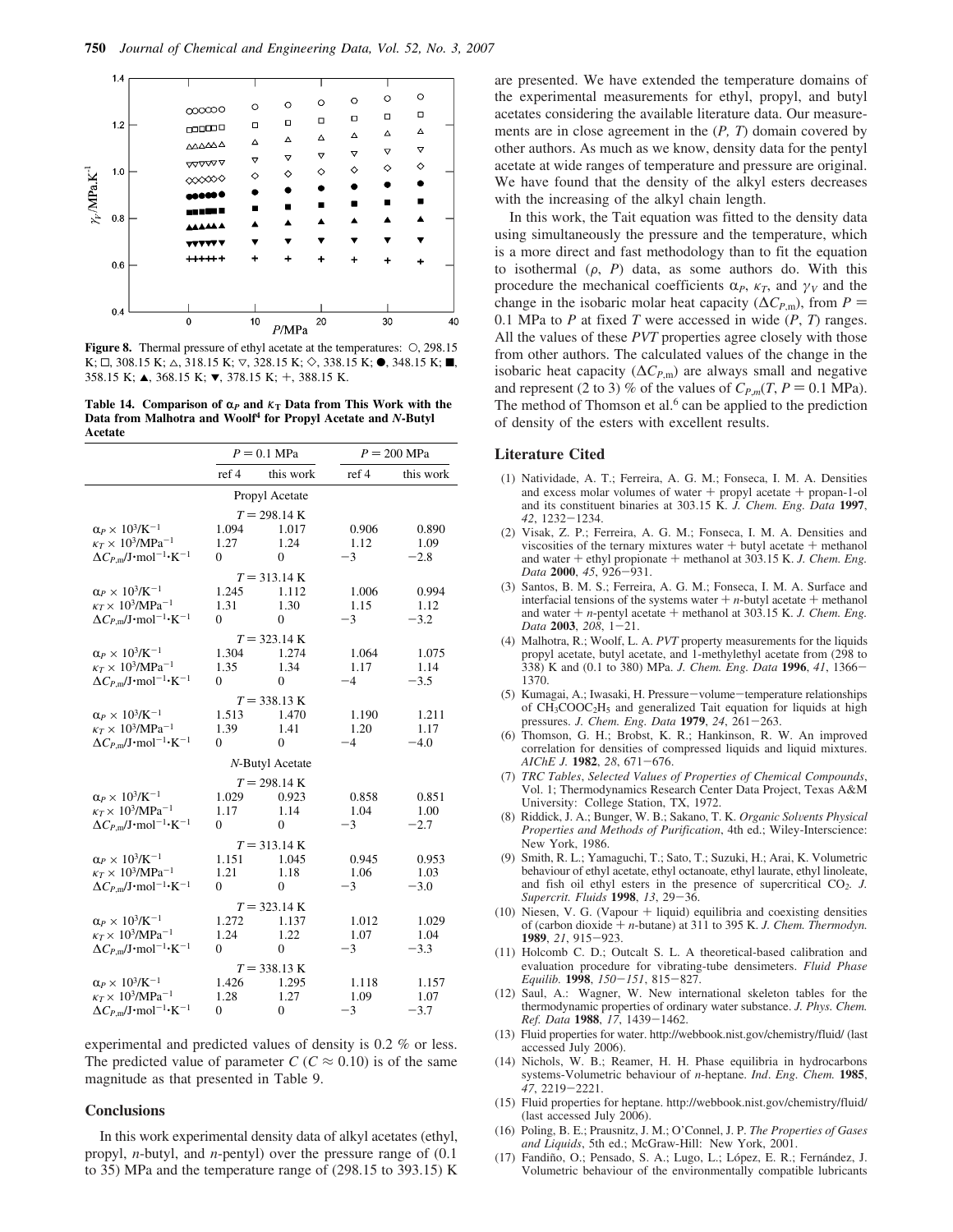

**Figure 8.** Thermal pressure of ethyl acetate at the temperatures: O, 298.15  $K; \Box$ , 308.15 K;  $\triangle$ , 318.15 K;  $\nabla$ , 328.15 K;  $\diamond$ , 338.15 K;  $\bullet$ , 348.15 K;  $\blacksquare$ , 358.15 K; ▲, 368.15 K; ▼, 378.15 K; +, 388.15 K.

**Table 14. Comparison of**  $\alpha_P$  **and**  $\kappa_T$  **Data from This Work with the Data from Malhotra and Woolf<sup>4</sup> for Propyl Acetate and** *N***-Butyl Acetate**

|                                                                                                                                                   |                                 | $P = 0.1$ MPa                               |                       | $P = 200$ MPa           |  |  |  |
|---------------------------------------------------------------------------------------------------------------------------------------------------|---------------------------------|---------------------------------------------|-----------------------|-------------------------|--|--|--|
|                                                                                                                                                   | ref 4                           | this work                                   | ref 4                 | this work               |  |  |  |
|                                                                                                                                                   |                                 | Propyl Acetate                              |                       |                         |  |  |  |
| $\alpha_P \times\,10^3\text{/K}^{-1}$                                                                                                             | 1.094                           | $T = 298.14 K$<br>1.017                     | 0.906                 | 0.890                   |  |  |  |
| $\kappa_T \times 10^3/\text{MPa}^{-1}$<br>$\Delta C_{P,m}/J$ ·mol <sup>-1</sup> ·K <sup>-1</sup>                                                  | 1.27<br>$\Omega$                | 1.24<br>$\Omega$                            | 1.12<br>$-3$          | 1.09<br>$-2.8$          |  |  |  |
|                                                                                                                                                   |                                 | $T = 313.14 \text{ K}$                      |                       |                         |  |  |  |
| $\alpha_P \times 10^3 / \mathrm{K}^{-1}$<br>$\kappa_T \times 10^3/\text{MPa}^{-1}$                                                                | 1.245<br>1.31<br>$\theta$       | 1.112<br>1.30<br>$\Omega$                   | 1.006<br>1.15<br>$-3$ | 0.994<br>1.12<br>$-3.2$ |  |  |  |
| $\Delta C_{P,\text{m}}/\text{J}\cdot\text{mol}^{-1}\cdot\text{K}^{-1}$                                                                            |                                 |                                             |                       |                         |  |  |  |
| $\alpha_P \times 10^3/K^{-1}$<br>$\kappa_T \times 10^3/\text{MPa}^{-1}$<br>$\Delta C_{P,m}/J$ ·mol <sup>-1</sup> ·K <sup>-1</sup>                 | 1.304<br>1.35<br>$\Omega$       | $T = 323.14 K$<br>1.274<br>1.34<br>$\Omega$ | 1.064<br>1.17<br>$-4$ | 1.075<br>1.14<br>$-3.5$ |  |  |  |
|                                                                                                                                                   |                                 | $T = 338.13 \text{ K}$                      |                       |                         |  |  |  |
| $\alpha_P \times 10^3 / \mathrm{K}^{-1}$<br>$\kappa_T \times 10^3/\text{MPa}^{-1}$<br>$\Delta C_{P,m} / J \cdot mol^{-1} \cdot K^{-1}$            | 1.513<br>1.39<br>$\overline{0}$ | 1.470<br>1.41<br>$\Omega$                   | 1.190<br>1.20<br>$-4$ | 1.211<br>1.17<br>$-4.0$ |  |  |  |
|                                                                                                                                                   |                                 | N-Butyl Acetate                             |                       |                         |  |  |  |
|                                                                                                                                                   |                                 | $T = 298.14 K$                              |                       |                         |  |  |  |
| $\alpha_P \times 10^3/K^{-1}$<br>$\kappa_T \times 10^3/\text{MPa}^{-1}$<br>$\Delta C_{P,m}/J$ ·mol <sup>-1</sup> ·K <sup>-1</sup>                 | 1.029<br>1.17<br>$\theta$       | 0.923<br>1.14<br>$\Omega$                   | 0.858<br>1.04<br>$-3$ | 0.851<br>1.00<br>$-2.7$ |  |  |  |
|                                                                                                                                                   |                                 | $T = 313.14 \text{ K}$                      |                       |                         |  |  |  |
| $\alpha_P \times 10^3/K^{-1}$<br>$\kappa_T \times 10^3/\text{MPa}^{-1}$<br>$\Delta C_{P,m}/J$ ·mol <sup>-1</sup> ·K <sup>-1</sup>                 | 1.151<br>1.21<br>$\overline{0}$ | 1.045<br>1.18<br>$\overline{0}$             | 0.945<br>1.06<br>$-3$ | 0.953<br>1.03<br>$-3.0$ |  |  |  |
|                                                                                                                                                   |                                 | $T = 323.14 \text{ K}$                      |                       |                         |  |  |  |
| $\alpha_P \times 10^3$ /K <sup>-1</sup><br>$\kappa_T \times 10^3/\text{MPa}^{-1}$<br>$\Delta C_{P,m}/J$ ·mol <sup>-1</sup> ·K <sup>-1</sup>       | 1.272<br>1.24<br>$\Omega$       | 1.137<br>1.22<br>$\overline{0}$             | 1.012<br>1.07<br>$-3$ | 1.029<br>1.04<br>$-3.3$ |  |  |  |
|                                                                                                                                                   | $T = 338.13 K$                  |                                             |                       |                         |  |  |  |
| $\alpha_P \times 10^3/K^{-1}$<br>$\kappa_T \times 10^3/\text{MPa}^{-1}$<br>$\Delta C_{P,\text{m}}/\text{J}\cdot\text{mol}^{-1}\cdot\text{K}^{-1}$ | 1.426<br>1.28<br>$\overline{0}$ | 1.295<br>1.27<br>$\mathbf{0}$               | 1.118<br>1.09<br>$-3$ | 1.157<br>1.07<br>$-3.7$ |  |  |  |

experimental and predicted values of density is 0.2 % or less. The predicted value of parameter  $C$  ( $C \approx 0.10$ ) is of the same magnitude as that presented in Table 9.

#### **Conclusions**

In this work experimental density data of alkyl acetates (ethyl, propyl, *n*-butyl, and *n*-pentyl) over the pressure range of (0.1 to 35) MPa and the temperature range of (298.15 to 393.15) K

are presented. We have extended the temperature domains of the experimental measurements for ethyl, propyl, and butyl acetates considering the available literature data. Our measurements are in close agreement in the (*P, T*) domain covered by other authors. As much as we know, density data for the pentyl acetate at wide ranges of temperature and pressure are original. We have found that the density of the alkyl esters decreases with the increasing of the alkyl chain length.

In this work, the Tait equation was fitted to the density data using simultaneously the pressure and the temperature, which is a more direct and fast methodology than to fit the equation to isothermal  $(\rho, P)$  data, as some authors do. With this procedure the mechanical coefficients  $\alpha_P$ ,  $\kappa_T$ , and  $\gamma_V$  and the change in the isobaric molar heat capacity ( $\Delta C_{P,m}$ ), from *P* = 0.1 MPa to *P* at fixed *T* were accessed in wide (*P*, *T*) ranges. All the values of these *PVT* properties agree closely with those from other authors. The calculated values of the change in the isobaric heat capacity ( $\Delta C_{P,\text{m}}$ ) are always small and negative and represent (2 to 3) % of the values of  $C_{P,m}(T, P = 0.1 \text{ MPa})$ . The method of Thomson et al. $6$  can be applied to the prediction of density of the esters with excellent results.

#### **Literature Cited**

- (1) Natividade, A. T.; Ferreira, A. G. M.; Fonseca, I. M. A. Densities and excess molar volumes of water  $+$  propyl acetate  $+$  propan-1-ol and its constituent binaries at 303.15 K. *J. Chem. Eng. Data* **1997**, *42*, 1232-1234.
- (2) Visak, Z. P.; Ferreira, A. G. M.; Fonseca, I. M. A. Densities and viscosities of the ternary mixtures water  $+$  butyl acetate  $+$  methanol and water + ethyl propionate + methanol at 303.15 K. *J. Chem. Eng. Data* **2000**, *45*, 926-931.
- (3) Santos, B. M. S.; Ferreira, A. G. M.; Fonseca, I. M. A. Surface and interfacial tensions of the systems water  $+n$ -butyl acetate  $+$  methanol and water + *n*-pentyl acetate + methanol at 303.15 K. *J. Chem. Eng. Data* **2003**, *208*, 1-21.
- (4) Malhotra, R.; Woolf, L. A. *PVT* property measurements for the liquids propyl acetate, butyl acetate, and 1-methylethyl acetate from (298 to 338) K and (0.1 to 380) MPa. *J. Chem. Eng. Data* **1996**, *41*, 1366- 1370.
- (5) Kumagai, A.; Iwasaki, H. Pressure-volume-temperature relationships of CH3COOC2H<sup>5</sup> and generalized Tait equation for liquids at high pressures. *J. Chem. Eng. Data* **1979**, *24*, 261-263.
- (6) Thomson, G. H.; Brobst, K. R.; Hankinson, R. W. An improved correlation for densities of compressed liquids and liquid mixtures. *AIChE J.* **1982**, *28*, 671-676.
- (7) *TRC Tables*, *Selected Values of Properties of Chemical Compounds*, Vol. 1; Thermodynamics Research Center Data Project, Texas A&M University: College Station, TX, 1972.
- (8) Riddick, J. A.; Bunger, W. B.; Sakano, T. K. *Organic Sol*V*ents Physical Properties and Methods of Purification*, 4th ed.; Wiley-Interscience: New York, 1986.
- (9) Smith, R. L.; Yamaguchi, T.; Sato, T.; Suzuki, H.; Arai, K. Volumetric behaviour of ethyl acetate, ethyl octanoate, ethyl laurate, ethyl linoleate, and fish oil ethyl esters in the presence of supercritical CO*2. J. Supercrit. Fluids* **1998**, *13*, 29-36.
- $(10)$  Niesen, V. G. (Vapour  $+$  liquid) equilibria and coexisting densities of (carbon dioxide + *n*-butane) at 311 to 395 K. *J. Chem. Thermodyn.* **1989**, *21*, 915-923.
- (11) Holcomb C. D.; Outcalt S. L. A theoretical-based calibration and evaluation procedure for vibrating-tube densimeters. *Fluid Phase Equilib.* **1998**, *150*-*151*, 815-827.
- (12) Saul, A.: Wagner, W. New international skeleton tables for the thermodynamic properties of ordinary water substance. *J. Phys. Chem. Ref. Data* **1988**, *17*, 1439-1462.
- (13) Fluid properties for water. http://webbook.nist.gov/chemistry/fluid/ (last accessed July 2006).
- (14) Nichols, W. B.; Reamer, H. H. Phase equilibria in hydrocarbons systems-Volumetric behaviour of *n*-heptane. *Ind*. *Eng. Chem.* **1985**, *47*, 2219-2221.
- (15) Fluid properties for heptane. http://webbook.nist.gov/chemistry/fluid/ (last accessed July 2006).
- (16) Poling, B. E.; Prausnitz, J. M.; O'Connel, J. P. *The Properties of Gases and Liquids*, 5th ed.; McGraw-Hill: New York, 2001.
- (17) Fandiño, O.; Pensado, S. A.; Lugo, L.; López, E. R.; Fernández, J. Volumetric behaviour of the environmentally compatible lubricants